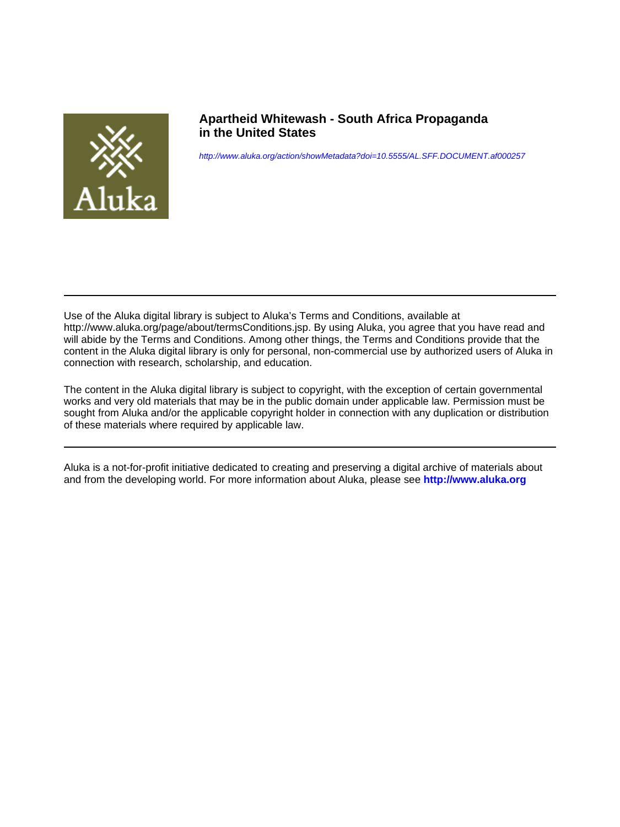

**Apartheid Whitewash - South Africa Propaganda in the United States**

<http://www.aluka.org/action/showMetadata?doi=10.5555/AL.SFF.DOCUMENT.af000257>

Use of the Aluka digital library is subject to Aluka's Terms and Conditions, available at http://www.aluka.org/page/about/termsConditions.jsp. By using Aluka, you agree that you have read and will abide by the Terms and Conditions. Among other things, the Terms and Conditions provide that the content in the Aluka digital library is only for personal, non-commercial use by authorized users of Aluka in connection with research, scholarship, and education.

The content in the Aluka digital library is subject to copyright, with the exception of certain governmental works and very old materials that may be in the public domain under applicable law. Permission must be sought from Aluka and/or the applicable copyright holder in connection with any duplication or distribution of these materials where required by applicable law.

Aluka is a not-for-profit initiative dedicated to creating and preserving a digital archive of materials about and from the developing world. For more information about Aluka, please see **<http://www.aluka.org>**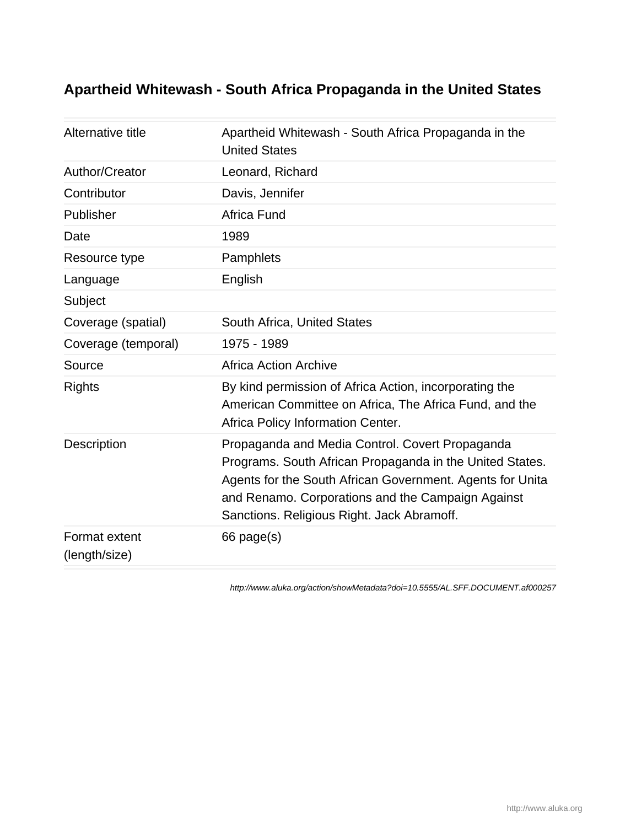# **Apartheid Whitewash - South Africa Propaganda in the United States**

| Alternative title              | Apartheid Whitewash - South Africa Propaganda in the<br><b>United States</b>                                                                                                                                                                                                |
|--------------------------------|-----------------------------------------------------------------------------------------------------------------------------------------------------------------------------------------------------------------------------------------------------------------------------|
| Author/Creator                 | Leonard, Richard                                                                                                                                                                                                                                                            |
| Contributor                    | Davis, Jennifer                                                                                                                                                                                                                                                             |
| Publisher                      | Africa Fund                                                                                                                                                                                                                                                                 |
| Date                           | 1989                                                                                                                                                                                                                                                                        |
| Resource type                  | Pamphlets                                                                                                                                                                                                                                                                   |
| Language                       | English                                                                                                                                                                                                                                                                     |
| Subject                        |                                                                                                                                                                                                                                                                             |
| Coverage (spatial)             | South Africa, United States                                                                                                                                                                                                                                                 |
| Coverage (temporal)            | 1975 - 1989                                                                                                                                                                                                                                                                 |
| Source                         | <b>Africa Action Archive</b>                                                                                                                                                                                                                                                |
| <b>Rights</b>                  | By kind permission of Africa Action, incorporating the<br>American Committee on Africa, The Africa Fund, and the<br>Africa Policy Information Center.                                                                                                                       |
| Description                    | Propaganda and Media Control. Covert Propaganda<br>Programs. South African Propaganda in the United States.<br>Agents for the South African Government. Agents for Unita<br>and Renamo. Corporations and the Campaign Against<br>Sanctions. Religious Right. Jack Abramoff. |
| Format extent<br>(length/size) | 66 page(s)                                                                                                                                                                                                                                                                  |

<http://www.aluka.org/action/showMetadata?doi=10.5555/AL.SFF.DOCUMENT.af000257>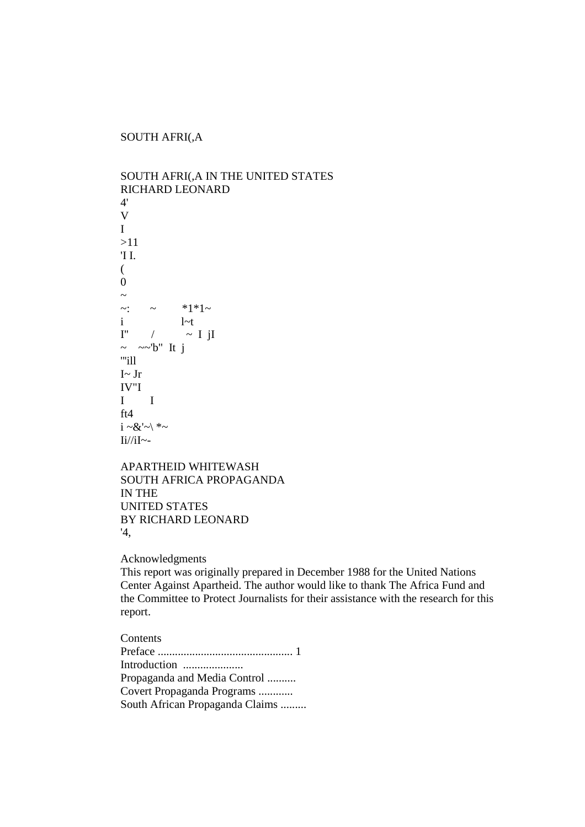SOUTH AFRI(,A

SOUTH AFRI(,A IN THE UNITED STATES RICHARD LEONARD 4' V I >11 'I I. (  $\Omega$  $\sim$ ~:  $\sim$  \*1\*1~ i l~t  $I''$  /  $\sim I \text{ } |I|$  $\sim$  ~~'b" It j '''ill  $I~\sim$  Jr IV"I I I ft4  $i \sim \& ' \sim \& ' \sim$  $Ii//iI~$ --

APARTHEID WHITEWASH SOUTH AFRICA PROPAGANDA IN THE UNITED STATES BY RICHARD LEONARD '4,

Acknowledgments

This report was originally prepared in December 1988 for the United Nations Center Against Apartheid. The author would like to thank The Africa Fund and the Committee to Protect Journalists for their assistance with the research for this report.

Contents Preface ............................................... 1 Introduction ..................... Propaganda and Media Control .......... Covert Propaganda Programs ............ South African Propaganda Claims .........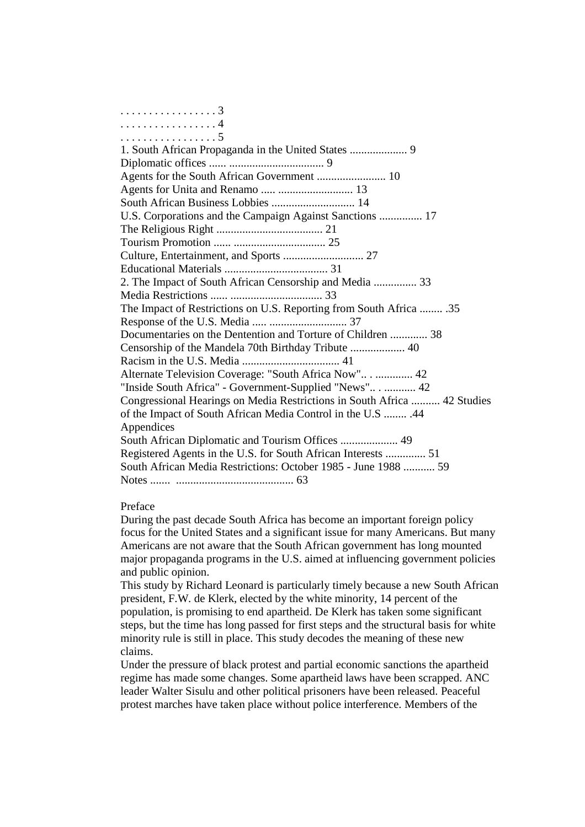. . . . . . . . . . . . . . . . . 3 . . . . . . . . . . . . . . . . . 4 . . . . . . . . . . . . . . . . . 5 1. South African Propaganda in the United States .................... 9 Diplomatic offices ...... ................................. 9 Agents for the South African Government ........................ 10 Agents for Unita and Renamo ..... .......................... 13 South African Business Lobbies ............................. 14 U.S. Corporations and the Campaign Against Sanctions ............... 17 The Religious Right ..................................... 21 Tourism Promotion ...... ................................ 25 Culture, Entertainment, and Sports ............................ 27 Educational Materials .................................... 31 2. The Impact of South African Censorship and Media ............... 33 Media Restrictions ...... ................................ 33 The Impact of Restrictions on U.S. Reporting from South Africa ........ .35 Response of the U.S. Media ..... ........................... 37 Documentaries on the Dentention and Torture of Children ............. 38 Censorship of the Mandela 70th Birthday Tribute ................... 40 Racism in the U.S. Media .................................. 41 Alternate Television Coverage: "South Africa Now".. . ............. 42 "Inside South Africa" - Government-Supplied "News".. . ........... 42 Congressional Hearings on Media Restrictions in South Africa .......... 42 Studies of the Impact of South African Media Control in the U.S ........ .44 Appendices South African Diplomatic and Tourism Offices .................... 49 Registered Agents in the U.S. for South African Interests .............. 51 South African Media Restrictions: October 1985 - June 1988 ........... 59 Notes ....... ......................................... 63

# Preface

During the past decade South Africa has become an important foreign policy focus for the United States and a significant issue for many Americans. But many Americans are not aware that the South African government has long mounted major propaganda programs in the U.S. aimed at influencing government policies and public opinion.

This study by Richard Leonard is particularly timely because a new South African president, F.W. de Klerk, elected by the white minority, 14 percent of the population, is promising to end apartheid. De Klerk has taken some significant steps, but the time has long passed for first steps and the structural basis for white minority rule is still in place. This study decodes the meaning of these new claims.

Under the pressure of black protest and partial economic sanctions the apartheid regime has made some changes. Some apartheid laws have been scrapped. ANC leader Walter Sisulu and other political prisoners have been released. Peaceful protest marches have taken place without police interference. Members of the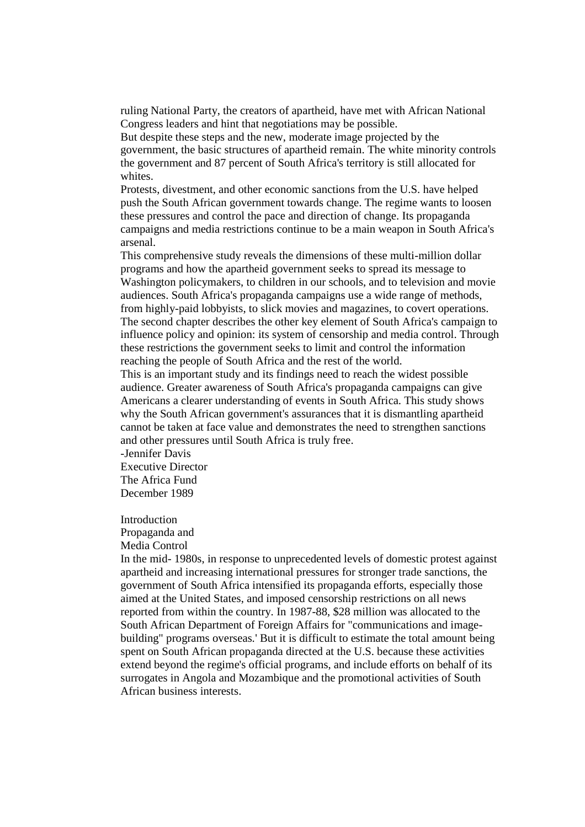ruling National Party, the creators of apartheid, have met with African National Congress leaders and hint that negotiations may be possible.

But despite these steps and the new, moderate image projected by the government, the basic structures of apartheid remain. The white minority controls the government and 87 percent of South Africa's territory is still allocated for whites.

Protests, divestment, and other economic sanctions from the U.S. have helped push the South African government towards change. The regime wants to loosen these pressures and control the pace and direction of change. Its propaganda campaigns and media restrictions continue to be a main weapon in South Africa's arsenal.

This comprehensive study reveals the dimensions of these multi-million dollar programs and how the apartheid government seeks to spread its message to Washington policymakers, to children in our schools, and to television and movie audiences. South Africa's propaganda campaigns use a wide range of methods, from highly-paid lobbyists, to slick movies and magazines, to covert operations. The second chapter describes the other key element of South Africa's campaign to influence policy and opinion: its system of censorship and media control. Through these restrictions the government seeks to limit and control the information reaching the people of South Africa and the rest of the world.

This is an important study and its findings need to reach the widest possible audience. Greater awareness of South Africa's propaganda campaigns can give Americans a clearer understanding of events in South Africa. This study shows why the South African government's assurances that it is dismantling apartheid cannot be taken at face value and demonstrates the need to strengthen sanctions and other pressures until South Africa is truly free.

-Jennifer Davis Executive Director The Africa Fund December 1989

Introduction

Propaganda and Media Control

In the mid- 1980s, in response to unprecedented levels of domestic protest against apartheid and increasing international pressures for stronger trade sanctions, the government of South Africa intensified its propaganda efforts, especially those aimed at the United States, and imposed censorship restrictions on all news reported from within the country. In 1987-88, \$28 million was allocated to the South African Department of Foreign Affairs for "communications and imagebuilding" programs overseas.' But it is difficult to estimate the total amount being spent on South African propaganda directed at the U.S. because these activities extend beyond the regime's official programs, and include efforts on behalf of its surrogates in Angola and Mozambique and the promotional activities of South African business interests.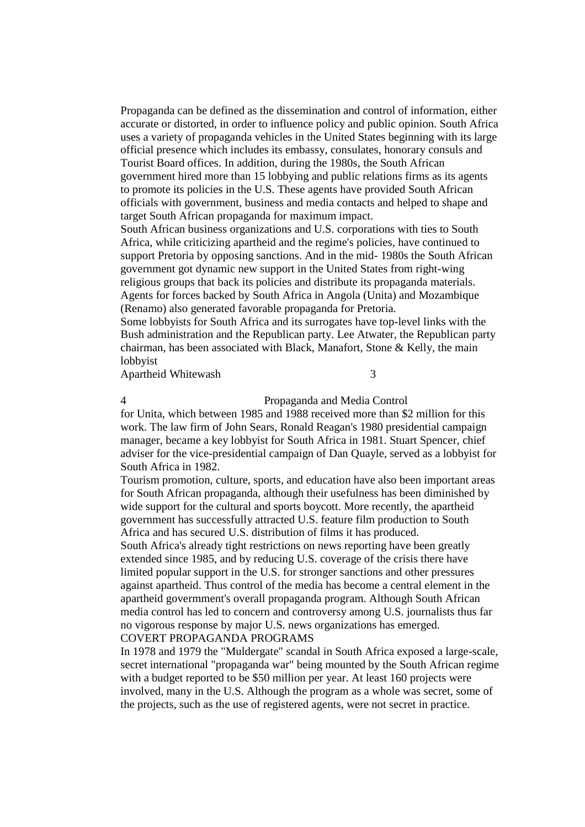Propaganda can be defined as the dissemination and control of information, either accurate or distorted, in order to influence policy and public opinion. South Africa uses a variety of propaganda vehicles in the United States beginning with its large official presence which includes its embassy, consulates, honorary consuls and Tourist Board offices. In addition, during the 1980s, the South African government hired more than 15 lobbying and public relations firms as its agents to promote its policies in the U.S. These agents have provided South African officials with government, business and media contacts and helped to shape and target South African propaganda for maximum impact.

South African business organizations and U.S. corporations with ties to South Africa, while criticizing apartheid and the regime's policies, have continued to support Pretoria by opposing sanctions. And in the mid- 1980s the South African government got dynamic new support in the United States from right-wing religious groups that back its policies and distribute its propaganda materials. Agents for forces backed by South Africa in Angola (Unita) and Mozambique (Renamo) also generated favorable propaganda for Pretoria.

Some lobbyists for South Africa and its surrogates have top-level links with the Bush administration and the Republican party. Lee Atwater, the Republican party chairman, has been associated with Black, Manafort, Stone & Kelly, the main lobbyist

Apartheid Whitewash 3

4 Propaganda and Media Control for Unita, which between 1985 and 1988 received more than \$2 million for this work. The law firm of John Sears, Ronald Reagan's 1980 presidential campaign manager, became a key lobbyist for South Africa in 1981. Stuart Spencer, chief adviser for the vice-presidential campaign of Dan Quayle, served as a lobbyist for South Africa in 1982.

Tourism promotion, culture, sports, and education have also been important areas for South African propaganda, although their usefulness has been diminished by wide support for the cultural and sports boycott. More recently, the apartheid government has successfully attracted U.S. feature film production to South Africa and has secured U.S. distribution of films it has produced.

South Africa's already tight restrictions on news reporting have been greatly extended since 1985, and by reducing U.S. coverage of the crisis there have limited popular support in the U.S. for stronger sanctions and other pressures against apartheid. Thus control of the media has become a central element in the apartheid govermment's overall propaganda program. Although South African media control has led to concern and controversy among U.S. journalists thus far no vigorous response by major U.S. news organizations has emerged. COVERT PROPAGANDA PROGRAMS

In 1978 and 1979 the "Muldergate" scandal in South Africa exposed a large-scale, secret international "propaganda war" being mounted by the South African regime with a budget reported to be \$50 million per year. At least 160 projects were involved, many in the U.S. Although the program as a whole was secret, some of the projects, such as the use of registered agents, were not secret in practice.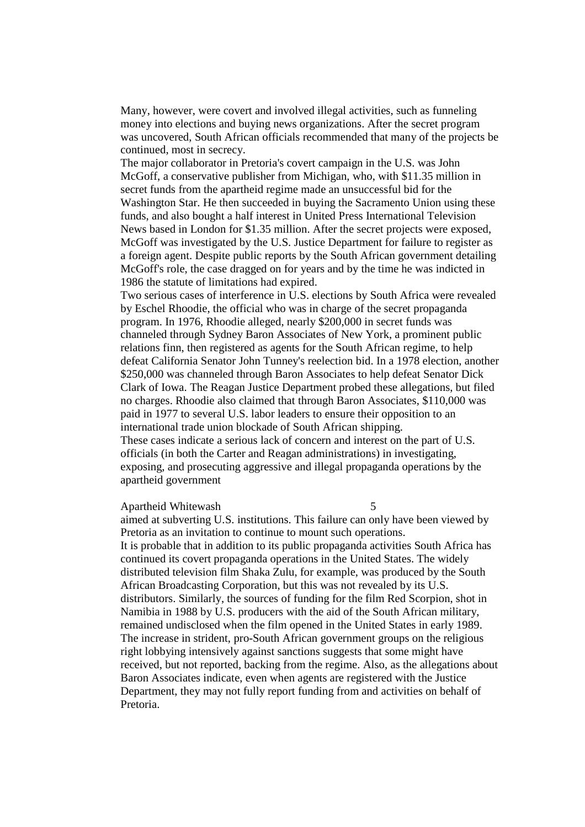Many, however, were covert and involved illegal activities, such as funneling money into elections and buying news organizations. After the secret program was uncovered, South African officials recommended that many of the projects be continued, most in secrecy.

The major collaborator in Pretoria's covert campaign in the U.S. was John McGoff, a conservative publisher from Michigan, who, with \$11.35 million in secret funds from the apartheid regime made an unsuccessful bid for the Washington Star. He then succeeded in buying the Sacramento Union using these funds, and also bought a half interest in United Press International Television News based in London for \$1.35 million. After the secret projects were exposed, McGoff was investigated by the U.S. Justice Department for failure to register as a foreign agent. Despite public reports by the South African government detailing McGoff's role, the case dragged on for years and by the time he was indicted in 1986 the statute of limitations had expired.

Two serious cases of interference in U.S. elections by South Africa were revealed by Eschel Rhoodie, the official who was in charge of the secret propaganda program. In 1976, Rhoodie alleged, nearly \$200,000 in secret funds was channeled through Sydney Baron Associates of New York, a prominent public relations finn, then registered as agents for the South African regime, to help defeat California Senator John Tunney's reelection bid. In a 1978 election, another \$250,000 was channeled through Baron Associates to help defeat Senator Dick Clark of Iowa. The Reagan Justice Department probed these allegations, but filed no charges. Rhoodie also claimed that through Baron Associates, \$110,000 was paid in 1977 to several U.S. labor leaders to ensure their opposition to an international trade union blockade of South African shipping. These cases indicate a serious lack of concern and interest on the part of U.S. officials (in both the Carter and Reagan administrations) in investigating, exposing, and prosecuting aggressive and illegal propaganda operations by the apartheid government

Apartheid Whitewash 5

aimed at subverting U.S. institutions. This failure can only have been viewed by Pretoria as an invitation to continue to mount such operations. It is probable that in addition to its public propaganda activities South Africa has continued its covert propaganda operations in the United States. The widely distributed television film Shaka Zulu, for example, was produced by the South African Broadcasting Corporation, but this was not revealed by its U.S. distributors. Similarly, the sources of funding for the film Red Scorpion, shot in Namibia in 1988 by U.S. producers with the aid of the South African military, remained undisclosed when the film opened in the United States in early 1989. The increase in strident, pro-South African government groups on the religious right lobbying intensively against sanctions suggests that some might have received, but not reported, backing from the regime. Also, as the allegations about Baron Associates indicate, even when agents are registered with the Justice Department, they may not fully report funding from and activities on behalf of Pretoria.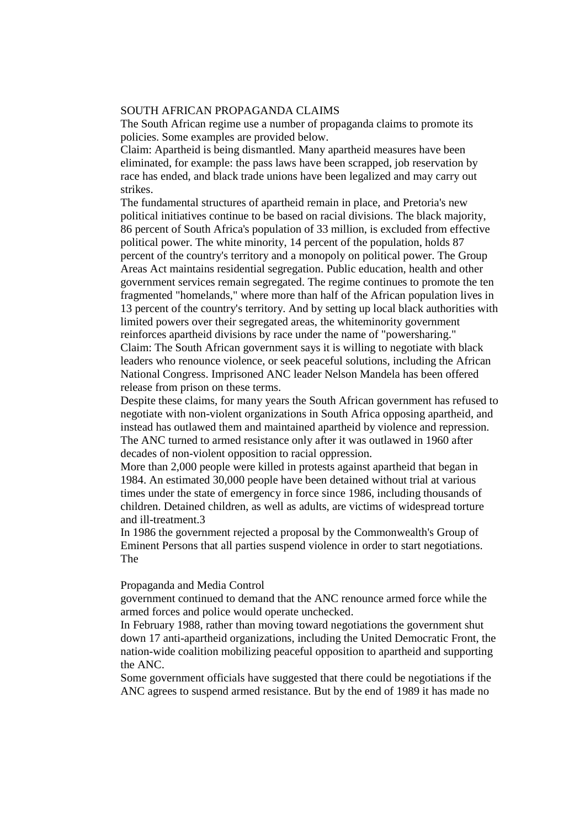#### SOUTH AFRICAN PROPAGANDA CLAIMS

The South African regime use a number of propaganda claims to promote its policies. Some examples are provided below.

Claim: Apartheid is being dismantled. Many apartheid measures have been eliminated, for example: the pass laws have been scrapped, job reservation by race has ended, and black trade unions have been legalized and may carry out strikes.

The fundamental structures of apartheid remain in place, and Pretoria's new political initiatives continue to be based on racial divisions. The black majority, 86 percent of South Africa's population of 33 million, is excluded from effective political power. The white minority, 14 percent of the population, holds 87 percent of the country's territory and a monopoly on political power. The Group Areas Act maintains residential segregation. Public education, health and other government services remain segregated. The regime continues to promote the ten fragmented "homelands," where more than half of the African population lives in 13 percent of the country's territory. And by setting up local black authorities with limited powers over their segregated areas, the whiteminority government reinforces apartheid divisions by race under the name of "powersharing." Claim: The South African government says it is willing to negotiate with black leaders who renounce violence, or seek peaceful solutions, including the African National Congress. Imprisoned ANC leader Nelson Mandela has been offered release from prison on these terms.

Despite these claims, for many years the South African government has refused to negotiate with non-violent organizations in South Africa opposing apartheid, and instead has outlawed them and maintained apartheid by violence and repression. The ANC turned to armed resistance only after it was outlawed in 1960 after decades of non-violent opposition to racial oppression.

More than 2,000 people were killed in protests against apartheid that began in 1984. An estimated 30,000 people have been detained without trial at various times under the state of emergency in force since 1986, including thousands of children. Detained children, as well as adults, are victims of widespread torture and ill-treatment.3

In 1986 the government rejected a proposal by the Commonwealth's Group of Eminent Persons that all parties suspend violence in order to start negotiations. The

#### Propaganda and Media Control

government continued to demand that the ANC renounce armed force while the armed forces and police would operate unchecked.

In February 1988, rather than moving toward negotiations the government shut down 17 anti-apartheid organizations, including the United Democratic Front, the nation-wide coalition mobilizing peaceful opposition to apartheid and supporting the ANC.

Some government officials have suggested that there could be negotiations if the ANC agrees to suspend armed resistance. But by the end of 1989 it has made no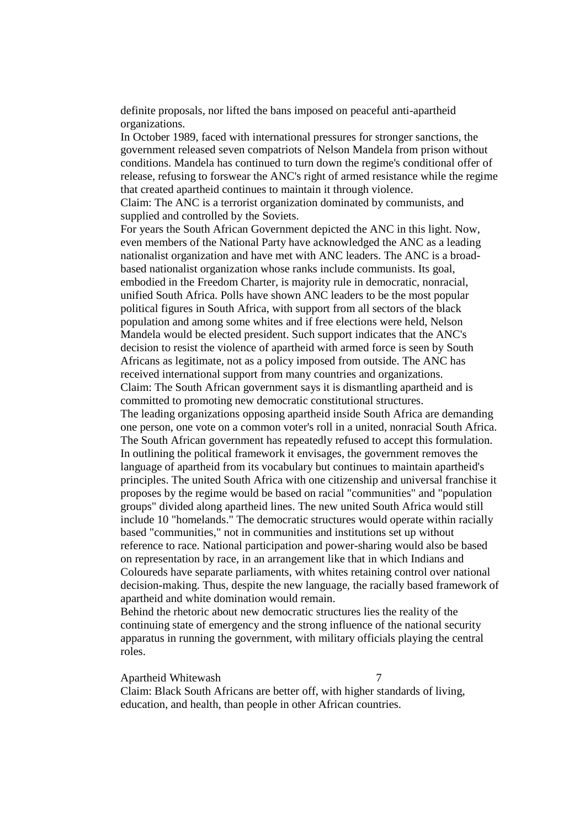definite proposals, nor lifted the bans imposed on peaceful anti-apartheid organizations.

In October 1989, faced with international pressures for stronger sanctions, the government released seven compatriots of Nelson Mandela from prison without conditions. Mandela has continued to turn down the regime's conditional offer of release, refusing to forswear the ANC's right of armed resistance while the regime that created apartheid continues to maintain it through violence.

Claim: The ANC is a terrorist organization dominated by communists, and supplied and controlled by the Soviets.

For years the South African Government depicted the ANC in this light. Now, even members of the National Party have acknowledged the ANC as a leading nationalist organization and have met with ANC leaders. The ANC is a broadbased nationalist organization whose ranks include communists. Its goal, embodied in the Freedom Charter, is majority rule in democratic, nonracial, unified South Africa. Polls have shown ANC leaders to be the most popular political figures in South Africa, with support from all sectors of the black population and among some whites and if free elections were held, Nelson Mandela would be elected president. Such support indicates that the ANC's decision to resist the violence of apartheid with armed force is seen by South Africans as legitimate, not as a policy imposed from outside. The ANC has received international support from many countries and organizations. Claim: The South African government says it is dismantling apartheid and is committed to promoting new democratic constitutional structures. The leading organizations opposing apartheid inside South Africa are demanding one person, one vote on a common voter's roll in a united, nonracial South Africa. The South African government has repeatedly refused to accept this formulation. In outlining the political framework it envisages, the government removes the language of apartheid from its vocabulary but continues to maintain apartheid's principles. The united South Africa with one citizenship and universal franchise it proposes by the regime would be based on racial "communities" and "population groups" divided along apartheid lines. The new united South Africa would still include 10 "homelands." The democratic structures would operate within racially based "communities," not in communities and institutions set up without reference to race. National participation and power-sharing would also be based on representation by race, in an arrangement like that in which Indians and Coloureds have separate parliaments, with whites retaining control over national decision-making. Thus, despite the new language, the racially based framework of apartheid and white domination would remain.

Behind the rhetoric about new democratic structures lies the reality of the continuing state of emergency and the strong influence of the national security apparatus in running the government, with military officials playing the central roles.

Apartheid Whitewash 7

Claim: Black South Africans are better off, with higher standards of living, education, and health, than people in other African countries.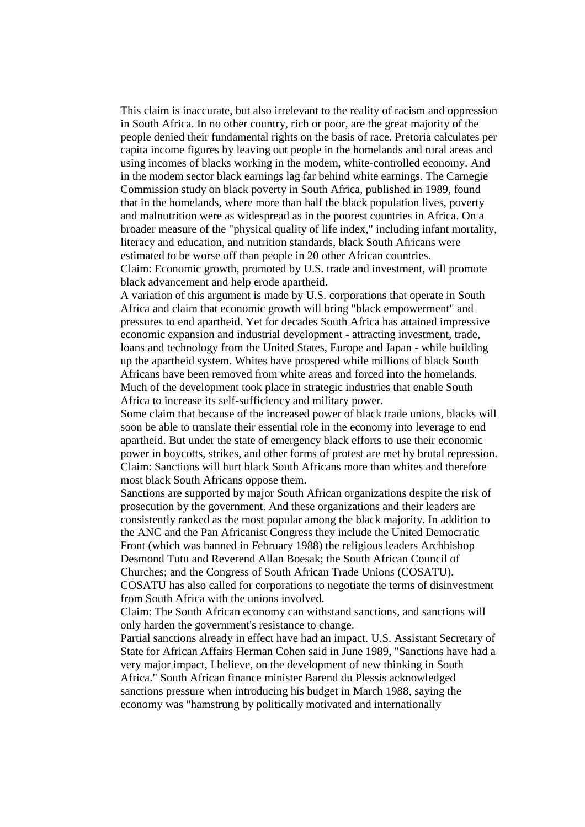This claim is inaccurate, but also irrelevant to the reality of racism and oppression in South Africa. In no other country, rich or poor, are the great majority of the people denied their fundamental rights on the basis of race. Pretoria calculates per capita income figures by leaving out people in the homelands and rural areas and using incomes of blacks working in the modem, white-controlled economy. And in the modem sector black earnings lag far behind white earnings. The Carnegie Commission study on black poverty in South Africa, published in 1989, found that in the homelands, where more than half the black population lives, poverty and malnutrition were as widespread as in the poorest countries in Africa. On a broader measure of the "physical quality of life index," including infant mortality, literacy and education, and nutrition standards, black South Africans were estimated to be worse off than people in 20 other African countries. Claim: Economic growth, promoted by U.S. trade and investment, will promote black advancement and help erode apartheid.

A variation of this argument is made by U.S. corporations that operate in South Africa and claim that economic growth will bring "black empowerment" and pressures to end apartheid. Yet for decades South Africa has attained impressive economic expansion and industrial development - attracting investment, trade, loans and technology from the United States, Europe and Japan - while building up the apartheid system. Whites have prospered while millions of black South Africans have been removed from white areas and forced into the homelands. Much of the development took place in strategic industries that enable South Africa to increase its self-sufficiency and military power.

Some claim that because of the increased power of black trade unions, blacks will soon be able to translate their essential role in the economy into leverage to end apartheid. But under the state of emergency black efforts to use their economic power in boycotts, strikes, and other forms of protest are met by brutal repression. Claim: Sanctions will hurt black South Africans more than whites and therefore most black South Africans oppose them.

Sanctions are supported by major South African organizations despite the risk of prosecution by the government. And these organizations and their leaders are consistently ranked as the most popular among the black majority. In addition to the ANC and the Pan Africanist Congress they include the United Democratic Front (which was banned in February 1988) the religious leaders Archbishop Desmond Tutu and Reverend Allan Boesak; the South African Council of Churches; and the Congress of South African Trade Unions (COSATU). COSATU has also called for corporations to negotiate the terms of disinvestment from South Africa with the unions involved.

Claim: The South African economy can withstand sanctions, and sanctions will only harden the government's resistance to change.

Partial sanctions already in effect have had an impact. U.S. Assistant Secretary of State for African Affairs Herman Cohen said in June 1989, "Sanctions have had a very major impact, I believe, on the development of new thinking in South Africa." South African finance minister Barend du Plessis acknowledged sanctions pressure when introducing his budget in March 1988, saying the economy was "hamstrung by politically motivated and internationally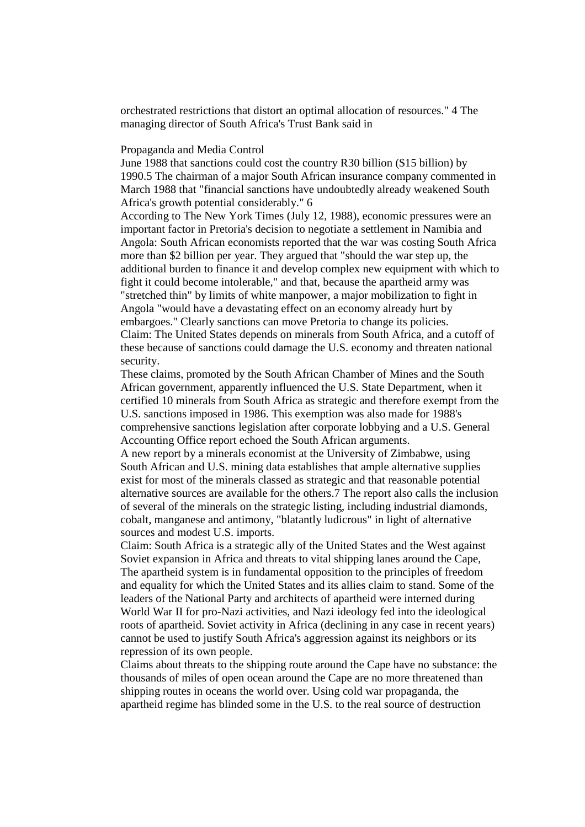orchestrated restrictions that distort an optimal allocation of resources." 4 The managing director of South Africa's Trust Bank said in

# Propaganda and Media Control

June 1988 that sanctions could cost the country R30 billion (\$15 billion) by 1990.5 The chairman of a major South African insurance company commented in March 1988 that "financial sanctions have undoubtedly already weakened South Africa's growth potential considerably." 6

According to The New York Times (July 12, 1988), economic pressures were an important factor in Pretoria's decision to negotiate a settlement in Namibia and Angola: South African economists reported that the war was costing South Africa more than \$2 billion per year. They argued that "should the war step up, the additional burden to finance it and develop complex new equipment with which to fight it could become intolerable," and that, because the apartheid army was "stretched thin" by limits of white manpower, a major mobilization to fight in Angola "would have a devastating effect on an economy already hurt by embargoes." Clearly sanctions can move Pretoria to change its policies. Claim: The United States depends on minerals from South Africa, and a cutoff of these because of sanctions could damage the U.S. economy and threaten national security.

These claims, promoted by the South African Chamber of Mines and the South African government, apparently influenced the U.S. State Department, when it certified 10 minerals from South Africa as strategic and therefore exempt from the U.S. sanctions imposed in 1986. This exemption was also made for 1988's comprehensive sanctions legislation after corporate lobbying and a U.S. General Accounting Office report echoed the South African arguments.

A new report by a minerals economist at the University of Zimbabwe, using South African and U.S. mining data establishes that ample alternative supplies exist for most of the minerals classed as strategic and that reasonable potential alternative sources are available for the others.7 The report also calls the inclusion of several of the minerals on the strategic listing, including industrial diamonds, cobalt, manganese and antimony, "blatantly ludicrous" in light of alternative sources and modest U.S. imports.

Claim: South Africa is a strategic ally of the United States and the West against Soviet expansion in Africa and threats to vital shipping lanes around the Cape, The apartheid system is in fundamental opposition to the principles of freedom and equality for which the United States and its allies claim to stand. Some of the leaders of the National Party and architects of apartheid were interned during World War II for pro-Nazi activities, and Nazi ideology fed into the ideological roots of apartheid. Soviet activity in Africa (declining in any case in recent years) cannot be used to justify South Africa's aggression against its neighbors or its repression of its own people.

Claims about threats to the shipping route around the Cape have no substance: the thousands of miles of open ocean around the Cape are no more threatened than shipping routes in oceans the world over. Using cold war propaganda, the apartheid regime has blinded some in the U.S. to the real source of destruction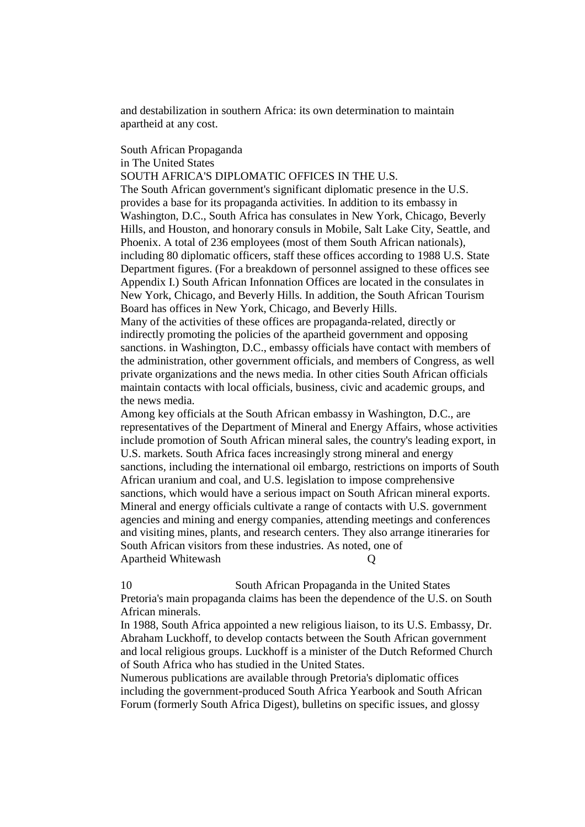and destabilization in southern Africa: its own determination to maintain apartheid at any cost.

# South African Propaganda

# in The United States

# SOUTH AFRICA'S DIPLOMATIC OFFICES IN THE U.S.

The South African government's significant diplomatic presence in the U.S. provides a base for its propaganda activities. In addition to its embassy in Washington, D.C., South Africa has consulates in New York, Chicago, Beverly Hills, and Houston, and honorary consuls in Mobile, Salt Lake City, Seattle, and Phoenix. A total of 236 employees (most of them South African nationals), including 80 diplomatic officers, staff these offices according to 1988 U.S. State Department figures. (For a breakdown of personnel assigned to these offices see Appendix I.) South African Infonnation Offices are located in the consulates in New York, Chicago, and Beverly Hills. In addition, the South African Tourism Board has offices in New York, Chicago, and Beverly Hills.

Many of the activities of these offices are propaganda-related, directly or indirectly promoting the policies of the apartheid government and opposing sanctions. in Washington, D.C., embassy officials have contact with members of the administration, other government officials, and members of Congress, as well private organizations and the news media. In other cities South African officials maintain contacts with local officials, business, civic and academic groups, and the news media.

Among key officials at the South African embassy in Washington, D.C., are representatives of the Department of Mineral and Energy Affairs, whose activities include promotion of South African mineral sales, the country's leading export, in U.S. markets. South Africa faces increasingly strong mineral and energy sanctions, including the international oil embargo, restrictions on imports of South African uranium and coal, and U.S. legislation to impose comprehensive sanctions, which would have a serious impact on South African mineral exports. Mineral and energy officials cultivate a range of contacts with U.S. government agencies and mining and energy companies, attending meetings and conferences and visiting mines, plants, and research centers. They also arrange itineraries for South African visitors from these industries. As noted, one of Apartheid Whitewash Q

10 South African Propaganda in the United States

Pretoria's main propaganda claims has been the dependence of the U.S. on South African minerals.

In 1988, South Africa appointed a new religious liaison, to its U.S. Embassy, Dr. Abraham Luckhoff, to develop contacts between the South African government and local religious groups. Luckhoff is a minister of the Dutch Reformed Church of South Africa who has studied in the United States.

Numerous publications are available through Pretoria's diplomatic offices including the government-produced South Africa Yearbook and South African Forum (formerly South Africa Digest), bulletins on specific issues, and glossy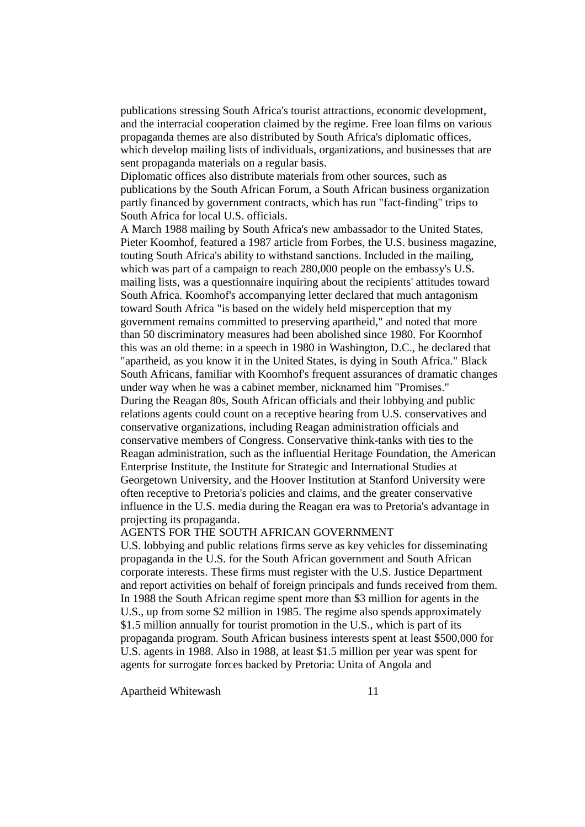publications stressing South Africa's tourist attractions, economic development, and the interracial cooperation claimed by the regime. Free loan films on various propaganda themes are also distributed by South Africa's diplomatic offices, which develop mailing lists of individuals, organizations, and businesses that are sent propaganda materials on a regular basis.

Diplomatic offices also distribute materials from other sources, such as publications by the South African Forum, a South African business organization partly financed by government contracts, which has run "fact-finding" trips to South Africa for local U.S. officials.

A March 1988 mailing by South Africa's new ambassador to the United States, Pieter Koomhof, featured a 1987 article from Forbes, the U.S. business magazine, touting South Africa's ability to withstand sanctions. Included in the mailing, which was part of a campaign to reach 280,000 people on the embassy's U.S. mailing lists, was a questionnaire inquiring about the recipients' attitudes toward South Africa. Koomhof's accompanying letter declared that much antagonism toward South Africa "is based on the widely held misperception that my government remains committed to preserving apartheid," and noted that more than 50 discriminatory measures had been abolished since 1980. For Koornhof this was an old theme: in a speech in 1980 in Washington, D.C., he declared that "apartheid, as you know it in the United States, is dying in South Africa." Black South Africans, familiar with Koornhof's frequent assurances of dramatic changes under way when he was a cabinet member, nicknamed him "Promises." During the Reagan 80s, South African officials and their lobbying and public relations agents could count on a receptive hearing from U.S. conservatives and conservative organizations, including Reagan administration officials and conservative members of Congress. Conservative think-tanks with ties to the Reagan administration, such as the influential Heritage Foundation, the American Enterprise Institute, the Institute for Strategic and International Studies at Georgetown University, and the Hoover Institution at Stanford University were often receptive to Pretoria's policies and claims, and the greater conservative influence in the U.S. media during the Reagan era was to Pretoria's advantage in projecting its propaganda.

#### AGENTS FOR THE SOUTH AFRICAN GOVERNMENT

U.S. lobbying and public relations firms serve as key vehicles for disseminating propaganda in the U.S. for the South African government and South African corporate interests. These firms must register with the U.S. Justice Department and report activities on behalf of foreign principals and funds received from them. In 1988 the South African regime spent more than \$3 million for agents in the U.S., up from some \$2 million in 1985. The regime also spends approximately \$1.5 million annually for tourist promotion in the U.S., which is part of its propaganda program. South African business interests spent at least \$500,000 for U.S. agents in 1988. Also in 1988, at least \$1.5 million per year was spent for agents for surrogate forces backed by Pretoria: Unita of Angola and

Apartheid Whitewash 11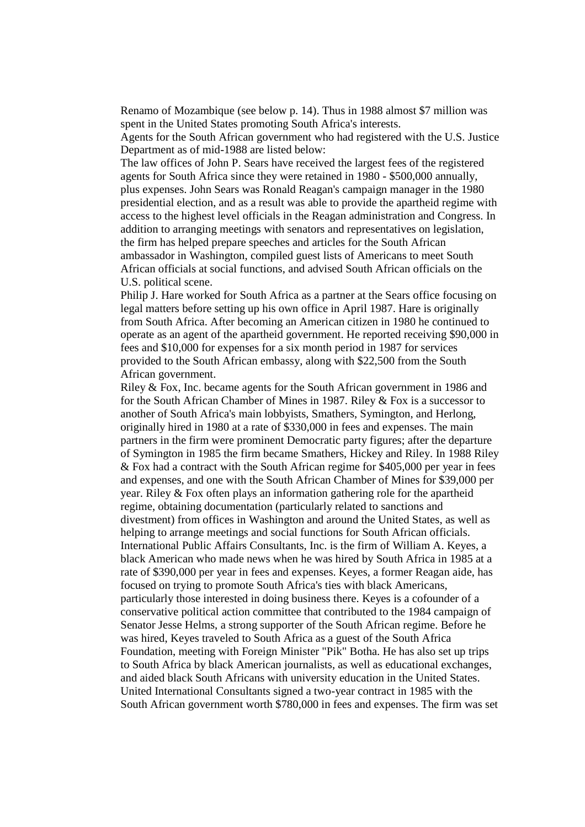Renamo of Mozambique (see below p. 14). Thus in 1988 almost \$7 million was spent in the United States promoting South Africa's interests.

Agents for the South African government who had registered with the U.S. Justice Department as of mid-1988 are listed below:

The law offices of John P. Sears have received the largest fees of the registered agents for South Africa since they were retained in 1980 - \$500,000 annually, plus expenses. John Sears was Ronald Reagan's campaign manager in the 1980 presidential election, and as a result was able to provide the apartheid regime with access to the highest level officials in the Reagan administration and Congress. In addition to arranging meetings with senators and representatives on legislation, the firm has helped prepare speeches and articles for the South African ambassador in Washington, compiled guest lists of Americans to meet South African officials at social functions, and advised South African officials on the U.S. political scene.

Philip J. Hare worked for South Africa as a partner at the Sears office focusing on legal matters before setting up his own office in April 1987. Hare is originally from South Africa. After becoming an American citizen in 1980 he continued to operate as an agent of the apartheid government. He reported receiving \$90,000 in fees and \$10,000 for expenses for a six month period in 1987 for services provided to the South African embassy, along with \$22,500 from the South African government.

Riley & Fox, Inc. became agents for the South African government in 1986 and for the South African Chamber of Mines in 1987. Riley & Fox is a successor to another of South Africa's main lobbyists, Smathers, Symington, and Herlong, originally hired in 1980 at a rate of \$330,000 in fees and expenses. The main partners in the firm were prominent Democratic party figures; after the departure of Symington in 1985 the firm became Smathers, Hickey and Riley. In 1988 Riley & Fox had a contract with the South African regime for \$405,000 per year in fees and expenses, and one with the South African Chamber of Mines for \$39,000 per year. Riley & Fox often plays an information gathering role for the apartheid regime, obtaining documentation (particularly related to sanctions and divestment) from offices in Washington and around the United States, as well as helping to arrange meetings and social functions for South African officials. International Public Affairs Consultants, Inc. is the firm of William A. Keyes, a black American who made news when he was hired by South Africa in 1985 at a rate of \$390,000 per year in fees and expenses. Keyes, a former Reagan aide, has focused on trying to promote South Africa's ties with black Americans, particularly those interested in doing business there. Keyes is a cofounder of a conservative political action committee that contributed to the 1984 campaign of Senator Jesse Helms, a strong supporter of the South African regime. Before he was hired, Keyes traveled to South Africa as a guest of the South Africa Foundation, meeting with Foreign Minister "Pik" Botha. He has also set up trips to South Africa by black American journalists, as well as educational exchanges, and aided black South Africans with university education in the United States. United International Consultants signed a two-year contract in 1985 with the South African government worth \$780,000 in fees and expenses. The firm was set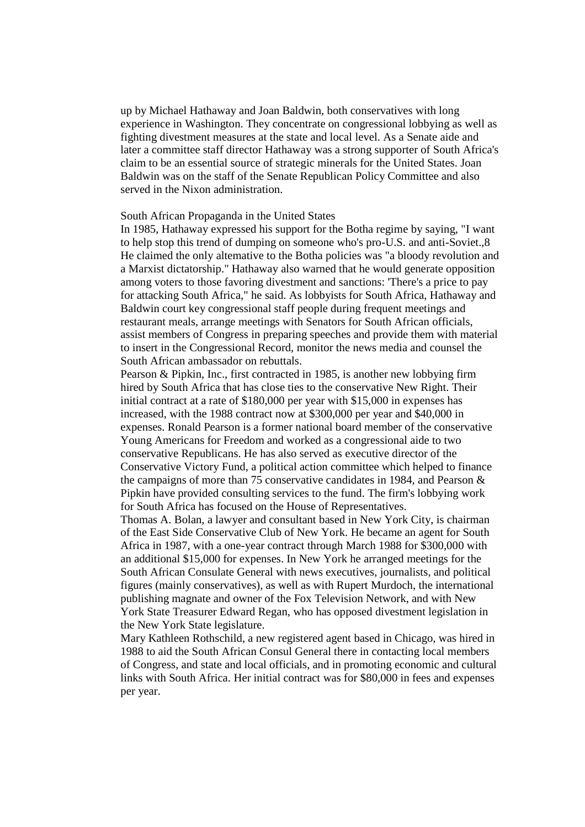up by Michael Hathaway and Joan Baldwin, both conservatives with long experience in Washington. They concentrate on congressional lobbying as well as fighting divestment measures at the state and local level. As a Senate aide and later a committee staff director Hathaway was a strong supporter of South Africa's claim to be an essential source of strategic minerals for the United States. Joan Baldwin was on the staff of the Senate Republican Policy Committee and also served in the Nixon administration.

### South African Propaganda in the United States

In 1985, Hathaway expressed his support for the Botha regime by saying, "I want to help stop this trend of dumping on someone who's pro-U.S. and anti-Soviet.,8 He claimed the only altemative to the Botha policies was "a bloody revolution and a Marxist dictatorship." Hathaway also warned that he would generate opposition among voters to those favoring divestment and sanctions: 'There's a price to pay for attacking South Africa," he said. As lobbyists for South Africa, Hathaway and Baldwin court key congressional staff people during frequent meetings and restaurant meals, arrange meetings with Senators for South African officials, assist members of Congress in preparing speeches and provide them with material to insert in the Congressional Record, monitor the news media and counsel the South African ambassador on rebuttals.

Pearson & Pipkin, Inc., first contracted in 1985, is another new lobbying firm hired by South Africa that has close ties to the conservative New Right. Their initial contract at a rate of \$180,000 per year with \$15,000 in expenses has increased, with the 1988 contract now at \$300,000 per year and \$40,000 in expenses. Ronald Pearson is a former national board member of the conservative Young Americans for Freedom and worked as a congressional aide to two conservative Republicans. He has also served as executive director of the Conservative Victory Fund, a political action committee which helped to finance the campaigns of more than 75 conservative candidates in 1984, and Pearson & Pipkin have provided consulting services to the fund. The firm's lobbying work for South Africa has focused on the House of Representatives.

Thomas A. Bolan, a lawyer and consultant based in New York City, is chairman of the East Side Conservative Club of New York. He became an agent for South Africa in 1987, with a one-year contract through March 1988 for \$300,000 with an additional \$15,000 for expenses. In New York he arranged meetings for the South African Consulate General with news executives, journalists, and political figures (mainly conservatives), as well as with Rupert Murdoch, the international publishing magnate and owner of the Fox Television Network, and with New York State Treasurer Edward Regan, who has opposed divestment legislation in the New York State legislature.

Mary Kathleen Rothschild, a new registered agent based in Chicago, was hired in 1988 to aid the South African Consul General there in contacting local members of Congress, and state and local officials, and in promoting economic and cultural links with South Africa. Her initial contract was for \$80,000 in fees and expenses per year.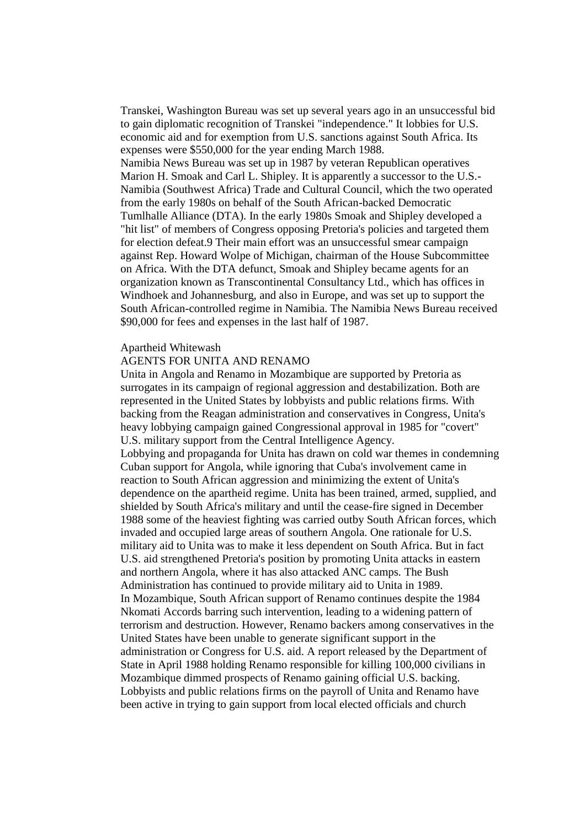Transkei, Washington Bureau was set up several years ago in an unsuccessful bid to gain diplomatic recognition of Transkei "independence." It lobbies for U.S. economic aid and for exemption from U.S. sanctions against South Africa. Its expenses were \$550,000 for the year ending March 1988.

Namibia News Bureau was set up in 1987 by veteran Republican operatives Marion H. Smoak and Carl L. Shipley. It is apparently a successor to the U.S.- Namibia (Southwest Africa) Trade and Cultural Council, which the two operated from the early 1980s on behalf of the South African-backed Democratic Tumlhalle Alliance (DTA). In the early 1980s Smoak and Shipley developed a "hit list" of members of Congress opposing Pretoria's policies and targeted them for election defeat.9 Their main effort was an unsuccessful smear campaign against Rep. Howard Wolpe of Michigan, chairman of the House Subcommittee on Africa. With the DTA defunct, Smoak and Shipley became agents for an organization known as Transcontinental Consultancy Ltd., which has offices in Windhoek and Johannesburg, and also in Europe, and was set up to support the South African-controlled regime in Namibia. The Namibia News Bureau received \$90,000 for fees and expenses in the last half of 1987.

### Apartheid Whitewash

### AGENTS FOR UNITA AND RENAMO

Unita in Angola and Renamo in Mozambique are supported by Pretoria as surrogates in its campaign of regional aggression and destabilization. Both are represented in the United States by lobbyists and public relations firms. With backing from the Reagan administration and conservatives in Congress, Unita's heavy lobbying campaign gained Congressional approval in 1985 for "covert" U.S. military support from the Central Intelligence Agency.

Lobbying and propaganda for Unita has drawn on cold war themes in condemning Cuban support for Angola, while ignoring that Cuba's involvement came in reaction to South African aggression and minimizing the extent of Unita's dependence on the apartheid regime. Unita has been trained, armed, supplied, and shielded by South Africa's military and until the cease-fire signed in December 1988 some of the heaviest fighting was carried outby South African forces, which invaded and occupied large areas of southern Angola. One rationale for U.S. military aid to Unita was to make it less dependent on South Africa. But in fact U.S. aid strengthened Pretoria's position by promoting Unita attacks in eastern and northern Angola, where it has also attacked ANC camps. The Bush Administration has continued to provide military aid to Unita in 1989. In Mozambique, South African support of Renamo continues despite the 1984 Nkomati Accords barring such intervention, leading to a widening pattern of terrorism and destruction. However, Renamo backers among conservatives in the United States have been unable to generate significant support in the administration or Congress for U.S. aid. A report released by the Department of State in April 1988 holding Renamo responsible for killing 100,000 civilians in Mozambique dimmed prospects of Renamo gaining official U.S. backing. Lobbyists and public relations firms on the payroll of Unita and Renamo have been active in trying to gain support from local elected officials and church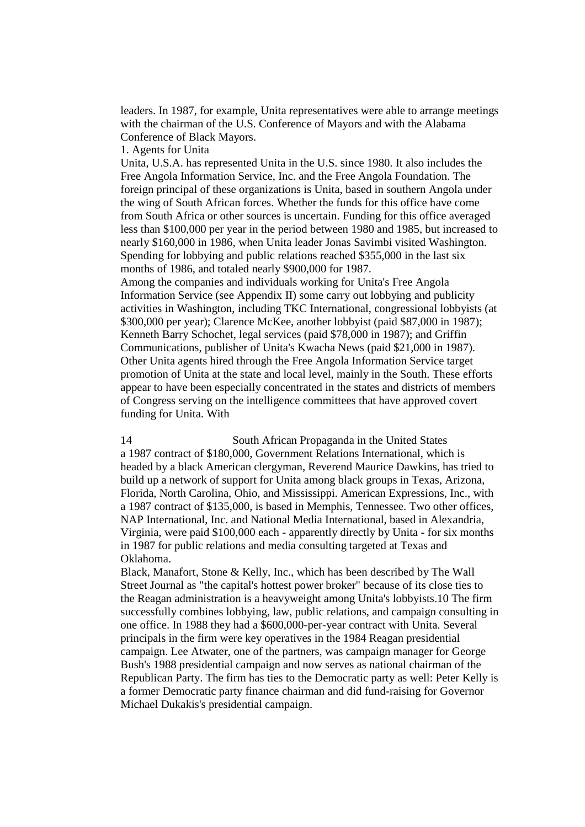leaders. In 1987, for example, Unita representatives were able to arrange meetings with the chairman of the U.S. Conference of Mayors and with the Alabama Conference of Black Mayors.

1. Agents for Unita

Unita, U.S.A. has represented Unita in the U.S. since 1980. It also includes the Free Angola Information Service, Inc. and the Free Angola Foundation. The foreign principal of these organizations is Unita, based in southern Angola under the wing of South African forces. Whether the funds for this office have come from South Africa or other sources is uncertain. Funding for this office averaged less than \$100,000 per year in the period between 1980 and 1985, but increased to nearly \$160,000 in 1986, when Unita leader Jonas Savimbi visited Washington. Spending for lobbying and public relations reached \$355,000 in the last six months of 1986, and totaled nearly \$900,000 for 1987.

Among the companies and individuals working for Unita's Free Angola Information Service (see Appendix II) some carry out lobbying and publicity activities in Washington, including TKC International, congressional lobbyists (at \$300,000 per year); Clarence McKee, another lobbyist (paid \$87,000 in 1987); Kenneth Barry Schochet, legal services (paid \$78,000 in 1987); and Griffin Communications, publisher of Unita's Kwacha News (paid \$21,000 in 1987). Other Unita agents hired through the Free Angola Information Service target promotion of Unita at the state and local level, mainly in the South. These efforts appear to have been especially concentrated in the states and districts of members of Congress serving on the intelligence committees that have approved covert funding for Unita. With

14 South African Propaganda in the United States a 1987 contract of \$180,000, Government Relations International, which is headed by a black American clergyman, Reverend Maurice Dawkins, has tried to build up a network of support for Unita among black groups in Texas, Arizona, Florida, North Carolina, Ohio, and Mississippi. American Expressions, Inc., with a 1987 contract of \$135,000, is based in Memphis, Tennessee. Two other offices, NAP International, Inc. and National Media International, based in Alexandria, Virginia, were paid \$100,000 each - apparently directly by Unita - for six months in 1987 for public relations and media consulting targeted at Texas and Oklahoma.

Black, Manafort, Stone & Kelly, Inc., which has been described by The Wall Street Journal as "the capital's hottest power broker" because of its close ties to the Reagan administration is a heavyweight among Unita's lobbyists.10 The firm successfully combines lobbying, law, public relations, and campaign consulting in one office. In 1988 they had a \$600,000-per-year contract with Unita. Several principals in the firm were key operatives in the 1984 Reagan presidential campaign. Lee Atwater, one of the partners, was campaign manager for George Bush's 1988 presidential campaign and now serves as national chairman of the Republican Party. The firm has ties to the Democratic party as well: Peter Kelly is a former Democratic party finance chairman and did fund-raising for Governor Michael Dukakis's presidential campaign.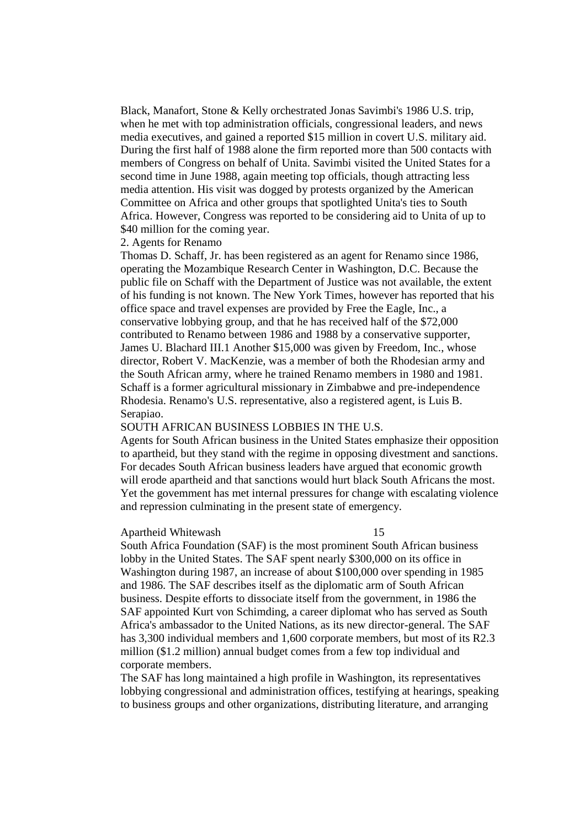Black, Manafort, Stone & Kelly orchestrated Jonas Savimbi's 1986 U.S. trip, when he met with top administration officials, congressional leaders, and news media executives, and gained a reported \$15 million in covert U.S. military aid. During the first half of 1988 alone the firm reported more than 500 contacts with members of Congress on behalf of Unita. Savimbi visited the United States for a second time in June 1988, again meeting top officials, though attracting less media attention. His visit was dogged by protests organized by the American Committee on Africa and other groups that spotlighted Unita's ties to South Africa. However, Congress was reported to be considering aid to Unita of up to \$40 million for the coming year.

### 2. Agents for Renamo

Thomas D. Schaff, Jr. has been registered as an agent for Renamo since 1986, operating the Mozambique Research Center in Washington, D.C. Because the public file on Schaff with the Department of Justice was not available, the extent of his funding is not known. The New York Times, however has reported that his office space and travel expenses are provided by Free the Eagle, Inc., a conservative lobbying group, and that he has received half of the \$72,000 contributed to Renamo between 1986 and 1988 by a conservative supporter, James U. Blachard III.1 Another \$15,000 was given by Freedom, Inc., whose director, Robert V. MacKenzie, was a member of both the Rhodesian army and the South African army, where he trained Renamo members in 1980 and 1981. Schaff is a former agricultural missionary in Zimbabwe and pre-independence Rhodesia. Renamo's U.S. representative, also a registered agent, is Luis B. Serapiao.

#### SOUTH AFRICAN BUSINESS LOBBIES IN THE U.S.

Agents for South African business in the United States emphasize their opposition to apartheid, but they stand with the regime in opposing divestment and sanctions. For decades South African business leaders have argued that economic growth will erode apartheid and that sanctions would hurt black South Africans the most. Yet the govemment has met internal pressures for change with escalating violence and repression culminating in the present state of emergency.

#### Apartheid Whitewash 15

South Africa Foundation (SAF) is the most prominent South African business lobby in the United States. The SAF spent nearly \$300,000 on its office in Washington during 1987, an increase of about \$100,000 over spending in 1985 and 1986. The SAF describes itself as the diplomatic arm of South African business. Despite efforts to dissociate itself from the government, in 1986 the SAF appointed Kurt von Schimding, a career diplomat who has served as South Africa's ambassador to the United Nations, as its new director-general. The SAF has 3,300 individual members and 1,600 corporate members, but most of its R2.3 million (\$1.2 million) annual budget comes from a few top individual and corporate members.

The SAF has long maintained a high profile in Washington, its representatives lobbying congressional and administration offices, testifying at hearings, speaking to business groups and other organizations, distributing literature, and arranging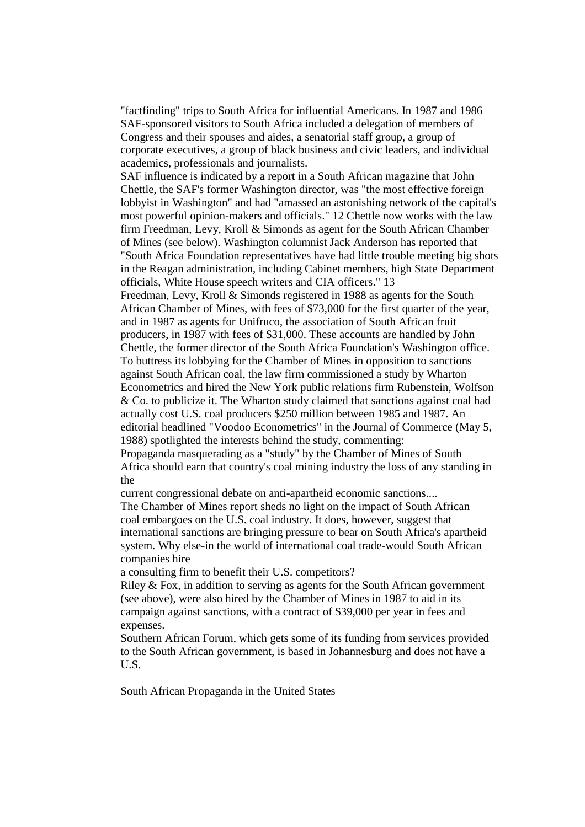"factfinding" trips to South Africa for influential Americans. In 1987 and 1986 SAF-sponsored visitors to South Africa included a delegation of members of Congress and their spouses and aides, a senatorial staff group, a group of corporate executives, a group of black business and civic leaders, and individual academics, professionals and journalists.

SAF influence is indicated by a report in a South African magazine that John Chettle, the SAF's former Washington director, was "the most effective foreign lobbyist in Washington" and had "amassed an astonishing network of the capital's most powerful opinion-makers and officials." 12 Chettle now works with the law firm Freedman, Levy, Kroll & Simonds as agent for the South African Chamber of Mines (see below). Washington columnist Jack Anderson has reported that "South Africa Foundation representatives have had little trouble meeting big shots in the Reagan administration, including Cabinet members, high State Department officials, White House speech writers and CIA officers." 13

Freedman, Levy, Kroll & Simonds registered in 1988 as agents for the South African Chamber of Mines, with fees of \$73,000 for the first quarter of the year, and in 1987 as agents for Unifruco, the association of South African fruit producers, in 1987 with fees of \$31,000. These accounts are handled by John Chettle, the former director of the South Africa Foundation's Washington office. To buttress its lobbying for the Chamber of Mines in opposition to sanctions against South African coal, the law firm commissioned a study by Wharton Econometrics and hired the New York public relations firm Rubenstein, Wolfson & Co. to publicize it. The Wharton study claimed that sanctions against coal had actually cost U.S. coal producers \$250 million between 1985 and 1987. An editorial headlined "Voodoo Econometrics" in the Journal of Commerce (May 5, 1988) spotlighted the interests behind the study, commenting:

Propaganda masquerading as a "study" by the Chamber of Mines of South Africa should earn that country's coal mining industry the loss of any standing in the

current congressional debate on anti-apartheid economic sanctions....

The Chamber of Mines report sheds no light on the impact of South African coal embargoes on the U.S. coal industry. It does, however, suggest that international sanctions are bringing pressure to bear on South Africa's apartheid system. Why else-in the world of international coal trade-would South African companies hire

a consulting firm to benefit their U.S. competitors?

Riley & Fox, in addition to serving as agents for the South African government (see above), were also hired by the Chamber of Mines in 1987 to aid in its campaign against sanctions, with a contract of \$39,000 per year in fees and expenses.

Southern African Forum, which gets some of its funding from services provided to the South African government, is based in Johannesburg and does not have a U.S.

South African Propaganda in the United States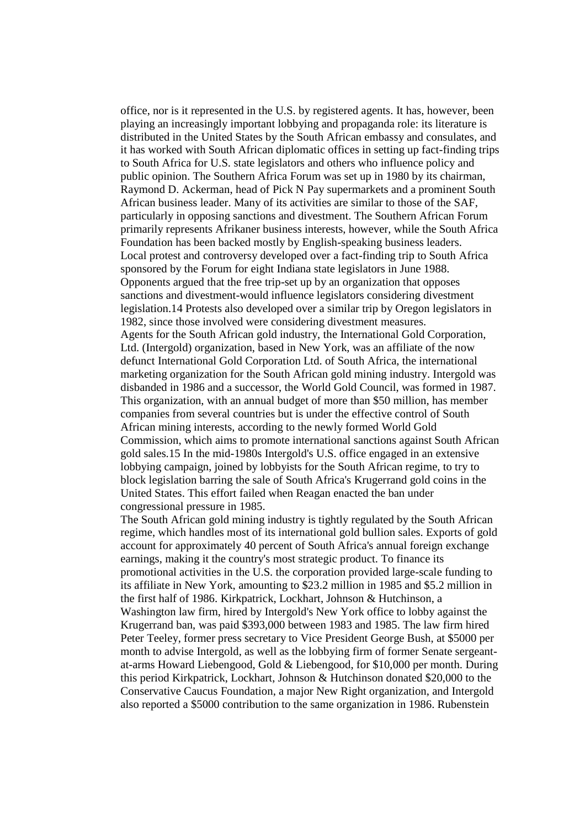office, nor is it represented in the U.S. by registered agents. It has, however, been playing an increasingly important lobbying and propaganda role: its literature is distributed in the United States by the South African embassy and consulates, and it has worked with South African diplomatic offices in setting up fact-finding trips to South Africa for U.S. state legislators and others who influence policy and public opinion. The Southern Africa Forum was set up in 1980 by its chairman, Raymond D. Ackerman, head of Pick N Pay supermarkets and a prominent South African business leader. Many of its activities are similar to those of the SAF, particularly in opposing sanctions and divestment. The Southern African Forum primarily represents Afrikaner business interests, however, while the South Africa Foundation has been backed mostly by English-speaking business leaders. Local protest and controversy developed over a fact-finding trip to South Africa sponsored by the Forum for eight Indiana state legislators in June 1988. Opponents argued that the free trip-set up by an organization that opposes sanctions and divestment-would influence legislators considering divestment legislation.14 Protests also developed over a similar trip by Oregon legislators in 1982, since those involved were considering divestment measures. Agents for the South African gold industry, the International Gold Corporation, Ltd. (Intergold) organization, based in New York, was an affiliate of the now defunct International Gold Corporation Ltd. of South Africa, the international marketing organization for the South African gold mining industry. Intergold was disbanded in 1986 and a successor, the World Gold Council, was formed in 1987. This organization, with an annual budget of more than \$50 million, has member companies from several countries but is under the effective control of South African mining interests, according to the newly formed World Gold Commission, which aims to promote international sanctions against South African gold sales.15 In the mid-1980s Intergold's U.S. office engaged in an extensive lobbying campaign, joined by lobbyists for the South African regime, to try to block legislation barring the sale of South Africa's Krugerrand gold coins in the United States. This effort failed when Reagan enacted the ban under congressional pressure in 1985.

The South African gold mining industry is tightly regulated by the South African regime, which handles most of its international gold bullion sales. Exports of gold account for approximately 40 percent of South Africa's annual foreign exchange earnings, making it the country's most strategic product. To finance its promotional activities in the U.S. the corporation provided large-scale funding to its affiliate in New York, amounting to \$23.2 million in 1985 and \$5.2 million in the first half of 1986. Kirkpatrick, Lockhart, Johnson & Hutchinson, a Washington law firm, hired by Intergold's New York office to lobby against the Krugerrand ban, was paid \$393,000 between 1983 and 1985. The law firm hired Peter Teeley, former press secretary to Vice President George Bush, at \$5000 per month to advise Intergold, as well as the lobbying firm of former Senate sergeantat-arms Howard Liebengood, Gold & Liebengood, for \$10,000 per month. During this period Kirkpatrick, Lockhart, Johnson & Hutchinson donated \$20,000 to the Conservative Caucus Foundation, a major New Right organization, and Intergold also reported a \$5000 contribution to the same organization in 1986. Rubenstein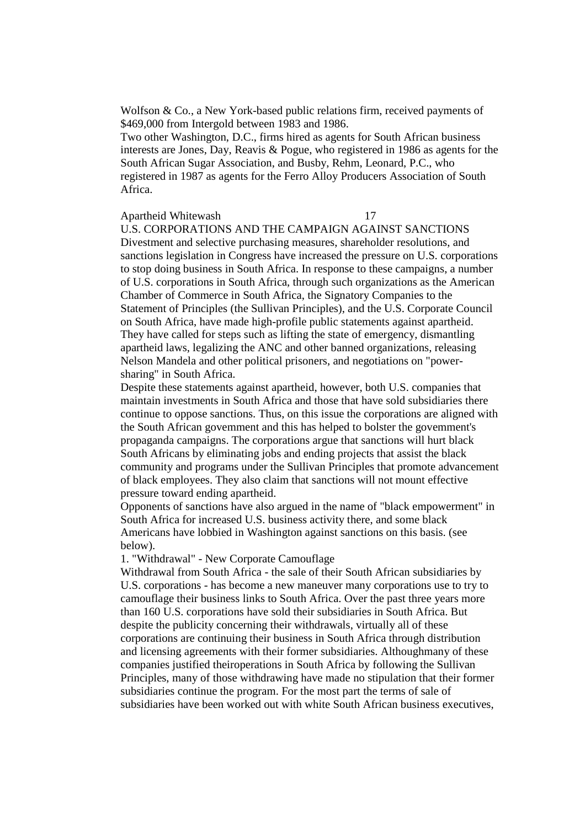Wolfson & Co., a New York-based public relations firm, received payments of \$469,000 from Intergold between 1983 and 1986.

Two other Washington, D.C., firms hired as agents for South African business interests are Jones, Day, Reavis & Pogue, who registered in 1986 as agents for the South African Sugar Association, and Busby, Rehm, Leonard, P.C., who registered in 1987 as agents for the Ferro Alloy Producers Association of South Africa.

# Apartheid Whitewash 17

U.S. CORPORATIONS AND THE CAMPAIGN AGAINST SANCTIONS Divestment and selective purchasing measures, shareholder resolutions, and sanctions legislation in Congress have increased the pressure on U.S. corporations to stop doing business in South Africa. In response to these campaigns, a number of U.S. corporations in South Africa, through such organizations as the American Chamber of Commerce in South Africa, the Signatory Companies to the Statement of Principles (the Sullivan Principles), and the U.S. Corporate Council on South Africa, have made high-profile public statements against apartheid. They have called for steps such as lifting the state of emergency, dismantling apartheid laws, legalizing the ANC and other banned organizations, releasing Nelson Mandela and other political prisoners, and negotiations on "powersharing" in South Africa.

Despite these statements against apartheid, however, both U.S. companies that maintain investments in South Africa and those that have sold subsidiaries there continue to oppose sanctions. Thus, on this issue the corporations are aligned with the South African govemment and this has helped to bolster the govemment's propaganda campaigns. The corporations argue that sanctions will hurt black South Africans by eliminating jobs and ending projects that assist the black community and programs under the Sullivan Principles that promote advancement of black employees. They also claim that sanctions will not mount effective pressure toward ending apartheid.

Opponents of sanctions have also argued in the name of "black empowerment" in South Africa for increased U.S. business activity there, and some black Americans have lobbied in Washington against sanctions on this basis. (see below).

1. "Withdrawal" - New Corporate Camouflage

Withdrawal from South Africa - the sale of their South African subsidiaries by U.S. corporations - has become a new maneuver many corporations use to try to camouflage their business links to South Africa. Over the past three years more than 160 U.S. corporations have sold their subsidiaries in South Africa. But despite the publicity concerning their withdrawals, virtually all of these corporations are continuing their business in South Africa through distribution and licensing agreements with their former subsidiaries. Althoughmany of these companies justified theiroperations in South Africa by following the Sullivan Principles, many of those withdrawing have made no stipulation that their former subsidiaries continue the program. For the most part the terms of sale of subsidiaries have been worked out with white South African business executives,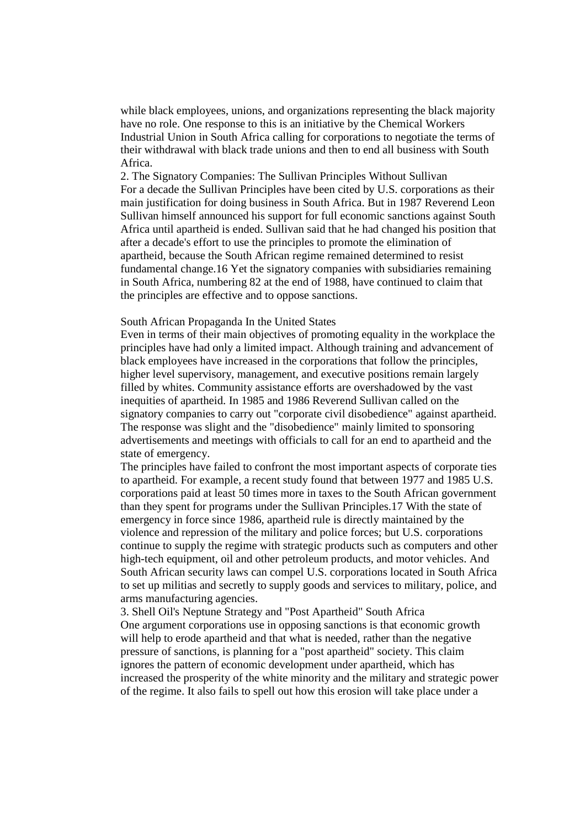while black employees, unions, and organizations representing the black majority have no role. One response to this is an initiative by the Chemical Workers Industrial Union in South Africa calling for corporations to negotiate the terms of their withdrawal with black trade unions and then to end all business with South Africa.

2. The Signatory Companies: The Sullivan Principles Without Sullivan For a decade the Sullivan Principles have been cited by U.S. corporations as their main justification for doing business in South Africa. But in 1987 Reverend Leon Sullivan himself announced his support for full economic sanctions against South Africa until apartheid is ended. Sullivan said that he had changed his position that after a decade's effort to use the principles to promote the elimination of apartheid, because the South African regime remained determined to resist fundamental change.16 Yet the signatory companies with subsidiaries remaining in South Africa, numbering 82 at the end of 1988, have continued to claim that the principles are effective and to oppose sanctions.

#### South African Propaganda In the United States

Even in terms of their main objectives of promoting equality in the workplace the principles have had only a limited impact. Although training and advancement of black employees have increased in the corporations that follow the principles, higher level supervisory, management, and executive positions remain largely filled by whites. Community assistance efforts are overshadowed by the vast inequities of apartheid. In 1985 and 1986 Reverend Sullivan called on the signatory companies to carry out "corporate civil disobedience" against apartheid. The response was slight and the "disobedience" mainly limited to sponsoring advertisements and meetings with officials to call for an end to apartheid and the state of emergency.

The principles have failed to confront the most important aspects of corporate ties to apartheid. For example, a recent study found that between 1977 and 1985 U.S. corporations paid at least 50 times more in taxes to the South African government than they spent for programs under the Sullivan Principles.17 With the state of emergency in force since 1986, apartheid rule is directly maintained by the violence and repression of the military and police forces; but U.S. corporations continue to supply the regime with strategic products such as computers and other high-tech equipment, oil and other petroleum products, and motor vehicles. And South African security laws can compel U.S. corporations located in South Africa to set up militias and secretly to supply goods and services to military, police, and arms manufacturing agencies.

3. Shell Oil's Neptune Strategy and "Post Apartheid" South Africa One argument corporations use in opposing sanctions is that economic growth will help to erode apartheid and that what is needed, rather than the negative pressure of sanctions, is planning for a "post apartheid" society. This claim ignores the pattern of economic development under apartheid, which has increased the prosperity of the white minority and the military and strategic power of the regime. It also fails to spell out how this erosion will take place under a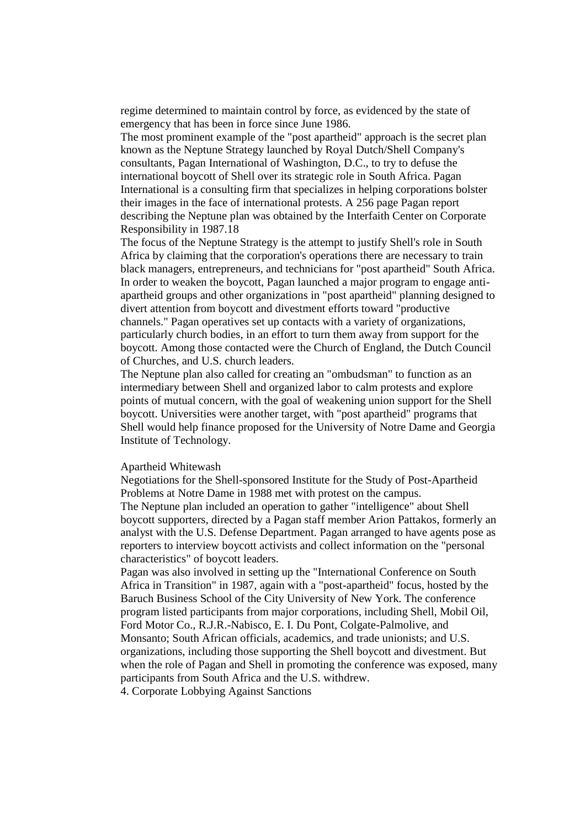regime determined to maintain control by force, as evidenced by the state of emergency that has been in force since June 1986.

The most prominent example of the "post apartheid" approach is the secret plan known as the Neptune Strategy launched by Royal Dutch/Shell Company's consultants, Pagan International of Washington, D.C., to try to defuse the international boycott of Shell over its strategic role in South Africa. Pagan International is a consulting firm that specializes in helping corporations bolster their images in the face of international protests. A 256 page Pagan report describing the Neptune plan was obtained by the Interfaith Center on Corporate Responsibility in 1987.18

The focus of the Neptune Strategy is the attempt to justify Shell's role in South Africa by claiming that the corporation's operations there are necessary to train black managers, entrepreneurs, and technicians for "post apartheid" South Africa. In order to weaken the boycott, Pagan launched a major program to engage antiapartheid groups and other organizations in "post apartheid" planning designed to divert attention from boycott and divestment efforts toward "productive channels." Pagan operatives set up contacts with a variety of organizations, particularly church bodies, in an effort to turn them away from support for the boycott. Among those contacted were the Church of England, the Dutch Council of Churches, and U.S. church leaders.

The Neptune plan also called for creating an "ombudsman" to function as an intermediary between Shell and organized labor to calm protests and explore points of mutual concern, with the goal of weakening union support for the Shell boycott. Universities were another target, with "post apartheid" programs that Shell would help finance proposed for the University of Notre Dame and Georgia Institute of Technology.

#### Apartheid Whitewash

Negotiations for the Shell-sponsored Institute for the Study of Post-Apartheid Problems at Notre Dame in 1988 met with protest on the campus. The Neptune plan included an operation to gather "intelligence" about Shell boycott supporters, directed by a Pagan staff member Arion Pattakos, formerly an analyst with the U.S. Defense Department. Pagan arranged to have agents pose as reporters to interview boycott activists and collect information on the "personal characteristics" of boycott leaders.

Pagan was also involved in setting up the "International Conference on South Africa in Transition" in 1987, again with a "post-apartheid" focus, hosted by the Baruch Business School of the City University of New York. The conference program listed participants from major corporations, including Shell, Mobil Oil, Ford Motor Co., R.J.R.-Nabisco, E. I. Du Pont, Colgate-Palmolive, and Monsanto; South African officials, academics, and trade unionists; and U.S. organizations, including those supporting the Shell boycott and divestment. But when the role of Pagan and Shell in promoting the conference was exposed, many participants from South Africa and the U.S. withdrew.

4. Corporate Lobbying Against Sanctions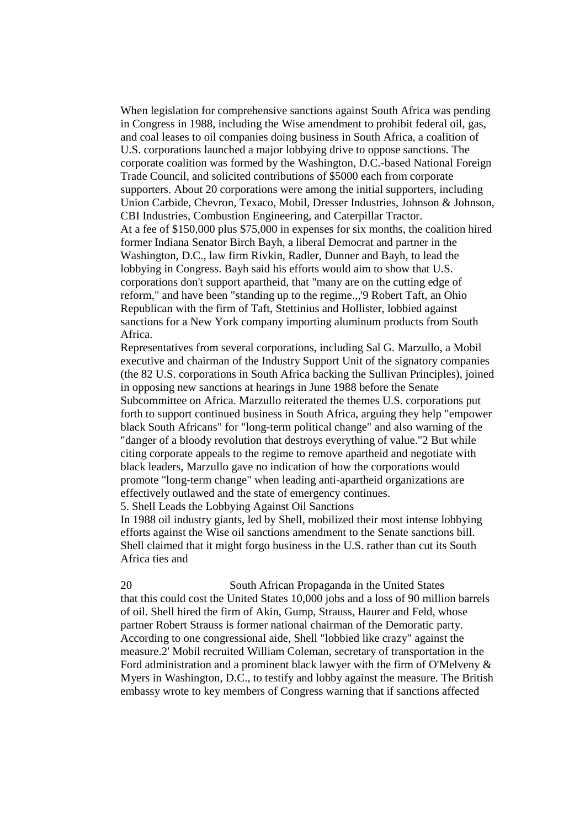When legislation for comprehensive sanctions against South Africa was pending in Congress in 1988, including the Wise amendment to prohibit federal oil, gas, and coal leases to oil companies doing business in South Africa, a coalition of U.S. corporations launched a major lobbying drive to oppose sanctions. The corporate coalition was formed by the Washington, D.C.-based National Foreign Trade Council, and solicited contributions of \$5000 each from corporate supporters. About 20 corporations were among the initial supporters, including Union Carbide, Chevron, Texaco, Mobil, Dresser Industries, Johnson & Johnson, CBI Industries, Combustion Engineering, and Caterpillar Tractor. At a fee of \$150,000 plus \$75,000 in expenses for six months, the coalition hired former Indiana Senator Birch Bayh, a liberal Democrat and partner in the Washington, D.C., law firm Rivkin, Radler, Dunner and Bayh, to lead the lobbying in Congress. Bayh said his efforts would aim to show that U.S. corporations don't support apartheid, that "many are on the cutting edge of reform," and have been "standing up to the regime.,,'9 Robert Taft, an Ohio Republican with the firm of Taft, Stettinius and Hollister, lobbied against sanctions for a New York company importing aluminum products from South Africa.

Representatives from several corporations, including Sal G. Marzullo, a Mobil executive and chairman of the Industry Support Unit of the signatory companies (the 82 U.S. corporations in South Africa backing the Sullivan Principles), joined in opposing new sanctions at hearings in June 1988 before the Senate Subcommittee on Africa. Marzullo reiterated the themes U.S. corporations put forth to support continued business in South Africa, arguing they help "empower black South Africans" for "long-term political change" and also warning of the "danger of a bloody revolution that destroys everything of value."2 But while citing corporate appeals to the regime to remove apartheid and negotiate with black leaders, Marzullo gave no indication of how the corporations would promote "long-term change" when leading anti-apartheid organizations are effectively outlawed and the state of emergency continues.

5. Shell Leads the Lobbying Against Oil Sanctions

In 1988 oil industry giants, led by Shell, mobilized their most intense lobbying efforts against the Wise oil sanctions amendment to the Senate sanctions bill. Shell claimed that it might forgo business in the U.S. rather than cut its South Africa ties and

20 South African Propaganda in the United States that this could cost the United States 10,000 jobs and a loss of 90 million barrels of oil. Shell hired the firm of Akin, Gump, Strauss, Haurer and Feld, whose partner Robert Strauss is former national chairman of the Demoratic party. According to one congressional aide, Shell "lobbied like crazy" against the measure.2' Mobil recruited William Coleman, secretary of transportation in the Ford administration and a prominent black lawyer with the firm of O'Melveny & Myers in Washington, D.C., to testify and lobby against the measure. The British embassy wrote to key members of Congress warning that if sanctions affected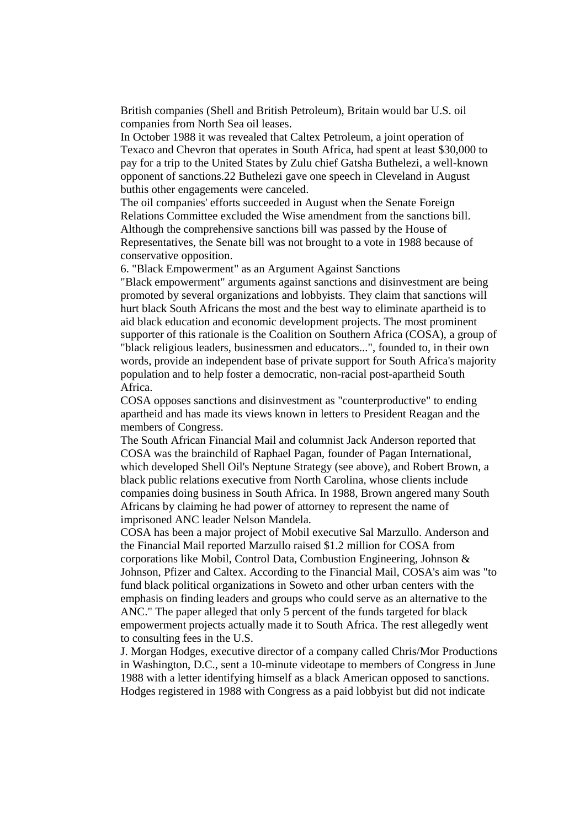British companies (Shell and British Petroleum), Britain would bar U.S. oil companies from North Sea oil leases.

In October 1988 it was revealed that Caltex Petroleum, a joint operation of Texaco and Chevron that operates in South Africa, had spent at least \$30,000 to pay for a trip to the United States by Zulu chief Gatsha Buthelezi, a well-known opponent of sanctions.22 Buthelezi gave one speech in Cleveland in August buthis other engagements were canceled.

The oil companies' efforts succeeded in August when the Senate Foreign Relations Committee excluded the Wise amendment from the sanctions bill. Although the comprehensive sanctions bill was passed by the House of Representatives, the Senate bill was not brought to a vote in 1988 because of conservative opposition.

6. "Black Empowerment" as an Argument Against Sanctions

"Black empowerment" arguments against sanctions and disinvestment are being promoted by several organizations and lobbyists. They claim that sanctions will hurt black South Africans the most and the best way to eliminate apartheid is to aid black education and economic development projects. The most prominent supporter of this rationale is the Coalition on Southern Africa (COSA), a group of "black religious leaders, businessmen and educators...", founded to, in their own words, provide an independent base of private support for South Africa's majority population and to help foster a democratic, non-racial post-apartheid South Africa.

COSA opposes sanctions and disinvestment as "counterproductive" to ending apartheid and has made its views known in letters to President Reagan and the members of Congress.

The South African Financial Mail and columnist Jack Anderson reported that COSA was the brainchild of Raphael Pagan, founder of Pagan International, which developed Shell Oil's Neptune Strategy (see above), and Robert Brown, a black public relations executive from North Carolina, whose clients include companies doing business in South Africa. In 1988, Brown angered many South Africans by claiming he had power of attorney to represent the name of imprisoned ANC leader Nelson Mandela.

COSA has been a major project of Mobil executive Sal Marzullo. Anderson and the Financial Mail reported Marzullo raised \$1.2 million for COSA from corporations like Mobil, Control Data, Combustion Engineering, Johnson & Johnson, Pfizer and Caltex. According to the Financial Mail, COSA's aim was "to fund black political organizations in Soweto and other urban centers with the emphasis on finding leaders and groups who could serve as an alternative to the ANC." The paper alleged that only 5 percent of the funds targeted for black empowerment projects actually made it to South Africa. The rest allegedly went to consulting fees in the U.S.

J. Morgan Hodges, executive director of a company called Chris/Mor Productions in Washington, D.C., sent a 10-minute videotape to members of Congress in June 1988 with a letter identifying himself as a black American opposed to sanctions. Hodges registered in 1988 with Congress as a paid lobbyist but did not indicate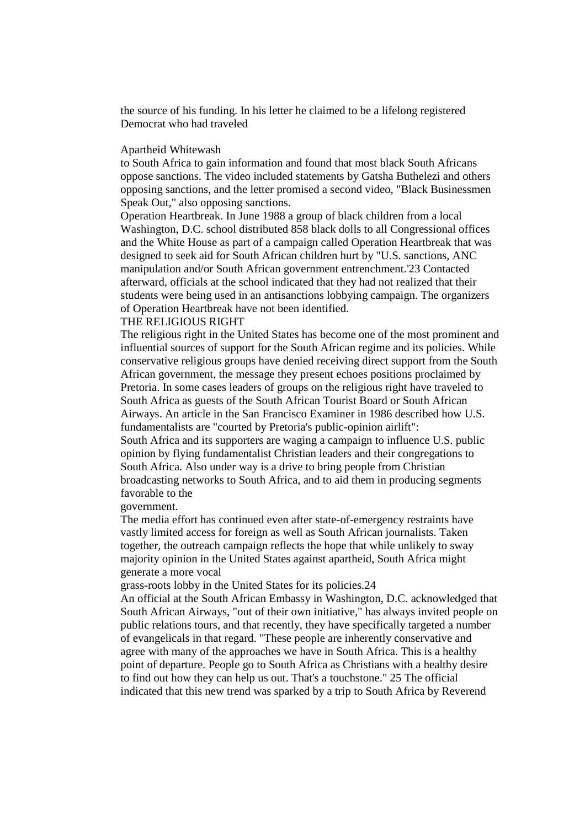the source of his funding. In his letter he claimed to be a lifelong registered Democrat who had traveled

# Apartheid Whitewash

to South Africa to gain information and found that most black South Africans oppose sanctions. The video included statements by Gatsha Buthelezi and others opposing sanctions, and the letter promised a second video, "Black Businessmen Speak Out," also opposing sanctions.

Operation Heartbreak. In June 1988 a group of black children from a local Washington, D.C. school distributed 858 black dolls to all Congressional offices and the White House as part of a campaign called Operation Heartbreak that was designed to seek aid for South African children hurt by "U.S. sanctions, ANC manipulation and/or South African government entrenchment.'23 Contacted afterward, officials at the school indicated that they had not realized that their students were being used in an antisanctions lobbying campaign. The organizers of Operation Heartbreak have not been identified.

# THE RELIGIOUS RIGHT

The religious right in the United States has become one of the most prominent and influential sources of support for the South African regime and its policies. While conservative religious groups have denied receiving direct support from the South African government, the message they present echoes positions proclaimed by Pretoria. In some cases leaders of groups on the religious right have traveled to South Africa as guests of the South African Tourist Board or South African Airways. An article in the San Francisco Examiner in 1986 described how U.S. fundamentalists are "courted by Pretoria's public-opinion airlift":

South Africa and its supporters are waging a campaign to influence U.S. public opinion by flying fundamentalist Christian leaders and their congregations to South Africa. Also under way is a drive to bring people from Christian broadcasting networks to South Africa, and to aid them in producing segments favorable to the

#### government.

The media effort has continued even after state-of-emergency restraints have vastly limited access for foreign as well as South African journalists. Taken together, the outreach campaign reflects the hope that while unlikely to sway majority opinion in the United States against apartheid, South Africa might generate a more vocal

grass-roots lobby in the United States for its policies.24

An official at the South African Embassy in Washington, D.C. acknowledged that South African Airways, "out of their own initiative," has always invited people on public relations tours, and that recently, they have specifically targeted a number of evangelicals in that regard. "These people are inherently conservative and agree with many of the approaches we have in South Africa. This is a healthy point of departure. People go to South Africa as Christians with a healthy desire to find out how they can help us out. That's a touchstone." 25 The official indicated that this new trend was sparked by a trip to South Africa by Reverend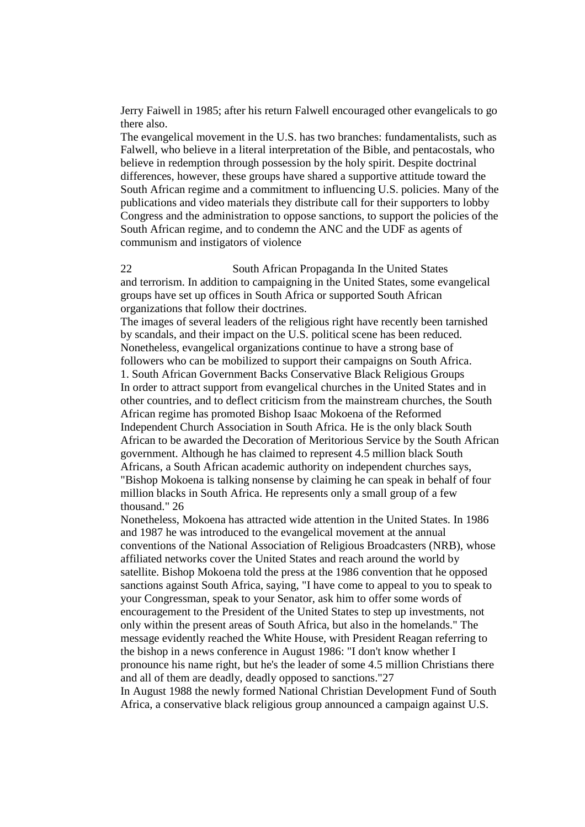Jerry Faiwell in 1985; after his return Falwell encouraged other evangelicals to go there also.

The evangelical movement in the U.S. has two branches: fundamentalists, such as Falwell, who believe in a literal interpretation of the Bible, and pentacostals, who believe in redemption through possession by the holy spirit. Despite doctrinal differences, however, these groups have shared a supportive attitude toward the South African regime and a commitment to influencing U.S. policies. Many of the publications and video materials they distribute call for their supporters to lobby Congress and the administration to oppose sanctions, to support the policies of the South African regime, and to condemn the ANC and the UDF as agents of communism and instigators of violence

22 South African Propaganda In the United States and terrorism. In addition to campaigning in the United States, some evangelical groups have set up offices in South Africa or supported South African organizations that follow their doctrines.

The images of several leaders of the religious right have recently been tarnished by scandals, and their impact on the U.S. political scene has been reduced. Nonetheless, evangelical organizations continue to have a strong base of followers who can be mobilized to support their campaigns on South Africa. 1. South African Government Backs Conservative Black Religious Groups In order to attract support from evangelical churches in the United States and in other countries, and to deflect criticism from the mainstream churches, the South African regime has promoted Bishop Isaac Mokoena of the Reformed Independent Church Association in South Africa. He is the only black South African to be awarded the Decoration of Meritorious Service by the South African government. Although he has claimed to represent 4.5 million black South Africans, a South African academic authority on independent churches says, "Bishop Mokoena is talking nonsense by claiming he can speak in behalf of four million blacks in South Africa. He represents only a small group of a few thousand." 26

Nonetheless, Mokoena has attracted wide attention in the United States. In 1986 and 1987 he was introduced to the evangelical movement at the annual conventions of the National Association of Religious Broadcasters (NRB), whose affiliated networks cover the United States and reach around the world by satellite. Bishop Mokoena told the press at the 1986 convention that he opposed sanctions against South Africa, saying, "I have come to appeal to you to speak to your Congressman, speak to your Senator, ask him to offer some words of encouragement to the President of the United States to step up investments, not only within the present areas of South Africa, but also in the homelands." The message evidently reached the White House, with President Reagan referring to the bishop in a news conference in August 1986: "I don't know whether I pronounce his name right, but he's the leader of some 4.5 million Christians there and all of them are deadly, deadly opposed to sanctions."27

In August 1988 the newly formed National Christian Development Fund of South Africa, a conservative black religious group announced a campaign against U.S.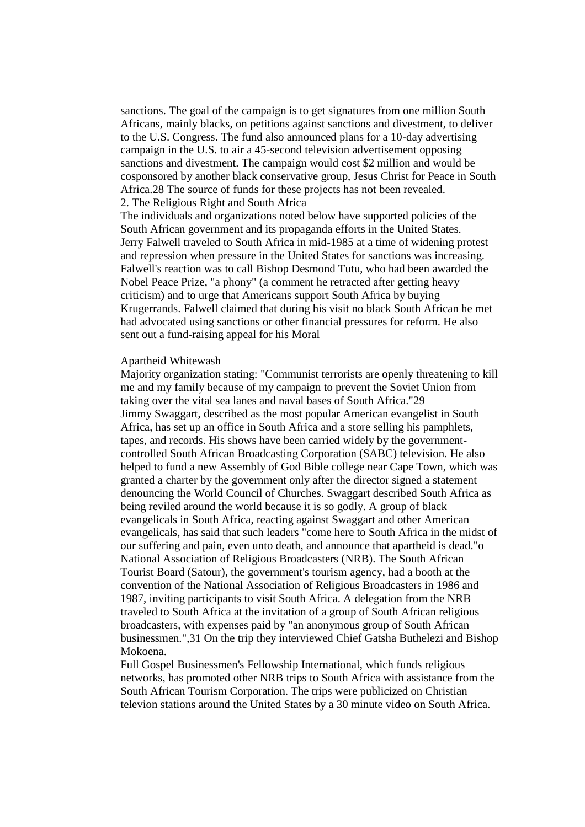sanctions. The goal of the campaign is to get signatures from one million South Africans, mainly blacks, on petitions against sanctions and divestment, to deliver to the U.S. Congress. The fund also announced plans for a 10-day advertising campaign in the U.S. to air a 45-second television advertisement opposing sanctions and divestment. The campaign would cost \$2 million and would be cosponsored by another black conservative group, Jesus Christ for Peace in South Africa.28 The source of funds for these projects has not been revealed. 2. The Religious Right and South Africa

The individuals and organizations noted below have supported policies of the South African government and its propaganda efforts in the United States. Jerry Falwell traveled to South Africa in mid-1985 at a time of widening protest and repression when pressure in the United States for sanctions was increasing. Falwell's reaction was to call Bishop Desmond Tutu, who had been awarded the Nobel Peace Prize, "a phony" (a comment he retracted after getting heavy criticism) and to urge that Americans support South Africa by buying Krugerrands. Falwell claimed that during his visit no black South African he met had advocated using sanctions or other financial pressures for reform. He also sent out a fund-raising appeal for his Moral

#### Apartheid Whitewash

Majority organization stating: "Communist terrorists are openly threatening to kill me and my family because of my campaign to prevent the Soviet Union from taking over the vital sea lanes and naval bases of South Africa."29 Jimmy Swaggart, described as the most popular American evangelist in South Africa, has set up an office in South Africa and a store selling his pamphlets, tapes, and records. His shows have been carried widely by the governmentcontrolled South African Broadcasting Corporation (SABC) television. He also helped to fund a new Assembly of God Bible college near Cape Town, which was granted a charter by the government only after the director signed a statement denouncing the World Council of Churches. Swaggart described South Africa as being reviled around the world because it is so godly. A group of black evangelicals in South Africa, reacting against Swaggart and other American evangelicals, has said that such leaders "come here to South Africa in the midst of our suffering and pain, even unto death, and announce that apartheid is dead."o National Association of Religious Broadcasters (NRB). The South African Tourist Board (Satour), the government's tourism agency, had a booth at the convention of the National Association of Religious Broadcasters in 1986 and 1987, inviting participants to visit South Africa. A delegation from the NRB traveled to South Africa at the invitation of a group of South African religious broadcasters, with expenses paid by "an anonymous group of South African businessmen.",31 On the trip they interviewed Chief Gatsha Buthelezi and Bishop Mokoena.

Full Gospel Businessmen's Fellowship International, which funds religious networks, has promoted other NRB trips to South Africa with assistance from the South African Tourism Corporation. The trips were publicized on Christian televion stations around the United States by a 30 minute video on South Africa.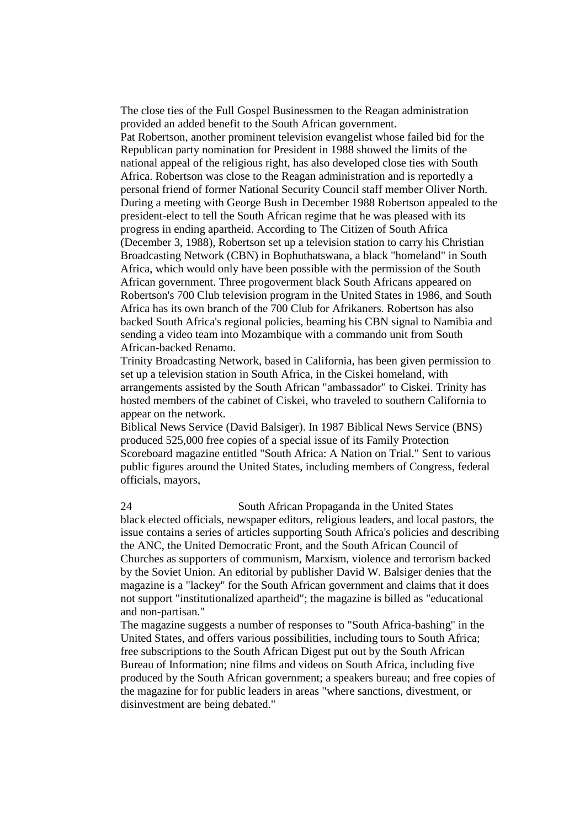The close ties of the Full Gospel Businessmen to the Reagan administration provided an added benefit to the South African government.

Pat Robertson, another prominent television evangelist whose failed bid for the Republican party nomination for President in 1988 showed the limits of the national appeal of the religious right, has also developed close ties with South Africa. Robertson was close to the Reagan administration and is reportedly a personal friend of former National Security Council staff member Oliver North. During a meeting with George Bush in December 1988 Robertson appealed to the president-elect to tell the South African regime that he was pleased with its progress in ending apartheid. According to The Citizen of South Africa (December 3, 1988), Robertson set up a television station to carry his Christian Broadcasting Network (CBN) in Bophuthatswana, a black "homeland" in South Africa, which would only have been possible with the permission of the South African government. Three progoverment black South Africans appeared on Robertson's 700 Club television program in the United States in 1986, and South Africa has its own branch of the 700 Club for Afrikaners. Robertson has also backed South Africa's regional policies, beaming his CBN signal to Namibia and sending a video team into Mozambique with a commando unit from South African-backed Renamo.

Trinity Broadcasting Network, based in California, has been given permission to set up a television station in South Africa, in the Ciskei homeland, with arrangements assisted by the South African "ambassador" to Ciskei. Trinity has hosted members of the cabinet of Ciskei, who traveled to southern California to appear on the network.

Biblical News Service (David Balsiger). In 1987 Biblical News Service (BNS) produced 525,000 free copies of a special issue of its Family Protection Scoreboard magazine entitled "South Africa: A Nation on Trial." Sent to various public figures around the United States, including members of Congress, federal officials, mayors,

24 South African Propaganda in the United States black elected officials, newspaper editors, religious leaders, and local pastors, the issue contains a series of articles supporting South Africa's policies and describing the ANC, the United Democratic Front, and the South African Council of Churches as supporters of communism, Marxism, violence and terrorism backed by the Soviet Union. An editorial by publisher David W. Balsiger denies that the magazine is a "lackey" for the South African government and claims that it does not support "institutionalized apartheid"; the magazine is billed as "educational and non-partisan."

The magazine suggests a number of responses to "South Africa-bashing" in the United States, and offers various possibilities, including tours to South Africa; free subscriptions to the South African Digest put out by the South African Bureau of Information; nine films and videos on South Africa, including five produced by the South African government; a speakers bureau; and free copies of the magazine for for public leaders in areas "where sanctions, divestment, or disinvestment are being debated."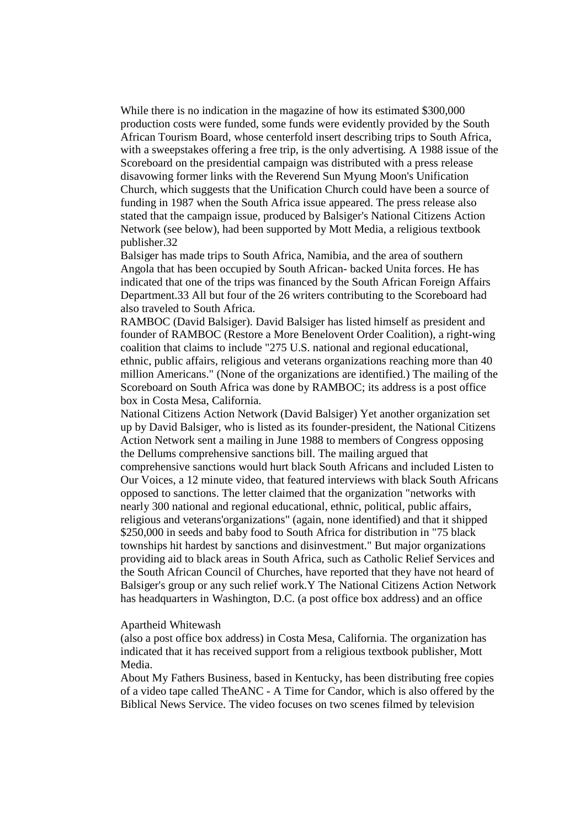While there is no indication in the magazine of how its estimated \$300,000 production costs were funded, some funds were evidently provided by the South African Tourism Board, whose centerfold insert describing trips to South Africa, with a sweepstakes offering a free trip, is the only advertising. A 1988 issue of the Scoreboard on the presidential campaign was distributed with a press release disavowing former links with the Reverend Sun Myung Moon's Unification Church, which suggests that the Unification Church could have been a source of funding in 1987 when the South Africa issue appeared. The press release also stated that the campaign issue, produced by Balsiger's National Citizens Action Network (see below), had been supported by Mott Media, a religious textbook publisher.32

Balsiger has made trips to South Africa, Namibia, and the area of southern Angola that has been occupied by South African- backed Unita forces. He has indicated that one of the trips was financed by the South African Foreign Affairs Department.33 All but four of the 26 writers contributing to the Scoreboard had also traveled to South Africa.

RAMBOC (David Balsiger). David Balsiger has listed himself as president and founder of RAMBOC (Restore a More Benelovent Order Coalition), a right-wing coalition that claims to include "275 U.S. national and regional educational, ethnic, public affairs, religious and veterans organizations reaching more than 40 million Americans." (None of the organizations are identified.) The mailing of the Scoreboard on South Africa was done by RAMBOC; its address is a post office box in Costa Mesa, California.

National Citizens Action Network (David Balsiger) Yet another organization set up by David Balsiger, who is listed as its founder-president, the National Citizens Action Network sent a mailing in June 1988 to members of Congress opposing the Dellums comprehensive sanctions bill. The mailing argued that comprehensive sanctions would hurt black South Africans and included Listen to Our Voices, a 12 minute video, that featured interviews with black South Africans opposed to sanctions. The letter claimed that the organization "networks with nearly 300 national and regional educational, ethnic, political, public affairs, religious and veterans'organizations" (again, none identified) and that it shipped \$250,000 in seeds and baby food to South Africa for distribution in "75 black townships hit hardest by sanctions and disinvestment." But major organizations providing aid to black areas in South Africa, such as Catholic Relief Services and the South African Council of Churches, have reported that they have not heard of Balsiger's group or any such relief work.Y The National Citizens Action Network has headquarters in Washington, D.C. (a post office box address) and an office

#### Apartheid Whitewash

(also a post office box address) in Costa Mesa, California. The organization has indicated that it has received support from a religious textbook publisher, Mott Media.

About My Fathers Business, based in Kentucky, has been distributing free copies of a video tape called TheANC - A Time for Candor, which is also offered by the Biblical News Service. The video focuses on two scenes filmed by television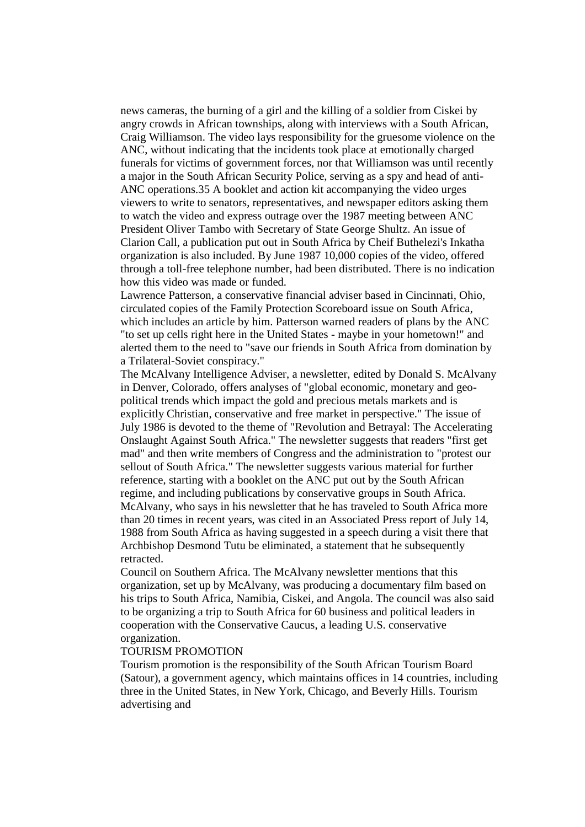news cameras, the burning of a girl and the killing of a soldier from Ciskei by angry crowds in African townships, along with interviews with a South African, Craig Williamson. The video lays responsibility for the gruesome violence on the ANC, without indicating that the incidents took place at emotionally charged funerals for victims of government forces, nor that Williamson was until recently a major in the South African Security Police, serving as a spy and head of anti-ANC operations.35 A booklet and action kit accompanying the video urges viewers to write to senators, representatives, and newspaper editors asking them to watch the video and express outrage over the 1987 meeting between ANC President Oliver Tambo with Secretary of State George Shultz. An issue of Clarion Call, a publication put out in South Africa by Cheif Buthelezi's Inkatha organization is also included. By June 1987 10,000 copies of the video, offered through a toll-free telephone number, had been distributed. There is no indication how this video was made or funded.

Lawrence Patterson, a conservative financial adviser based in Cincinnati, Ohio, circulated copies of the Family Protection Scoreboard issue on South Africa, which includes an article by him. Patterson warned readers of plans by the ANC "to set up cells right here in the United States - maybe in your hometown!" and alerted them to the need to "save our friends in South Africa from domination by a Trilateral-Soviet conspiracy."

The McAlvany Intelligence Adviser, a newsletter, edited by Donald S. McAlvany in Denver, Colorado, offers analyses of "global economic, monetary and geopolitical trends which impact the gold and precious metals markets and is explicitly Christian, conservative and free market in perspective." The issue of July 1986 is devoted to the theme of "Revolution and Betrayal: The Accelerating Onslaught Against South Africa." The newsletter suggests that readers "first get mad" and then write members of Congress and the administration to "protest our sellout of South Africa." The newsletter suggests various material for further reference, starting with a booklet on the ANC put out by the South African regime, and including publications by conservative groups in South Africa. McAlvany, who says in his newsletter that he has traveled to South Africa more than 20 times in recent years, was cited in an Associated Press report of July 14, 1988 from South Africa as having suggested in a speech during a visit there that Archbishop Desmond Tutu be eliminated, a statement that he subsequently retracted.

Council on Southern Africa. The McAlvany newsletter mentions that this organization, set up by McAlvany, was producing a documentary film based on his trips to South Africa, Namibia, Ciskei, and Angola. The council was also said to be organizing a trip to South Africa for 60 business and political leaders in cooperation with the Conservative Caucus, a leading U.S. conservative organization.

#### TOURISM PROMOTION

Tourism promotion is the responsibility of the South African Tourism Board (Satour), a government agency, which maintains offices in 14 countries, including three in the United States, in New York, Chicago, and Beverly Hills. Tourism advertising and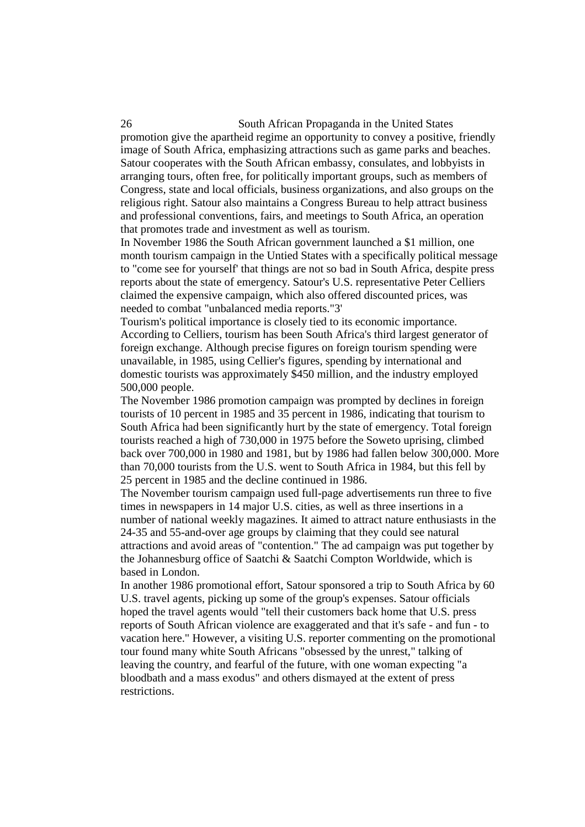26 South African Propaganda in the United States promotion give the apartheid regime an opportunity to convey a positive, friendly image of South Africa, emphasizing attractions such as game parks and beaches. Satour cooperates with the South African embassy, consulates, and lobbyists in arranging tours, often free, for politically important groups, such as members of Congress, state and local officials, business organizations, and also groups on the religious right. Satour also maintains a Congress Bureau to help attract business and professional conventions, fairs, and meetings to South Africa, an operation that promotes trade and investment as well as tourism.

In November 1986 the South African government launched a \$1 million, one month tourism campaign in the Untied States with a specifically political message to "come see for yourself' that things are not so bad in South Africa, despite press reports about the state of emergency. Satour's U.S. representative Peter Celliers claimed the expensive campaign, which also offered discounted prices, was needed to combat "unbalanced media reports."3'

Tourism's political importance is closely tied to its economic importance. According to Celliers, tourism has been South Africa's third largest generator of foreign exchange. Although precise figures on foreign tourism spending were unavailable, in 1985, using Cellier's figures, spending by international and domestic tourists was approximately \$450 million, and the industry employed 500,000 people.

The November 1986 promotion campaign was prompted by declines in foreign tourists of 10 percent in 1985 and 35 percent in 1986, indicating that tourism to South Africa had been significantly hurt by the state of emergency. Total foreign tourists reached a high of 730,000 in 1975 before the Soweto uprising, climbed back over 700,000 in 1980 and 1981, but by 1986 had fallen below 300,000. More than 70,000 tourists from the U.S. went to South Africa in 1984, but this fell by 25 percent in 1985 and the decline continued in 1986.

The November tourism campaign used full-page advertisements run three to five times in newspapers in 14 major U.S. cities, as well as three insertions in a number of national weekly magazines. It aimed to attract nature enthusiasts in the 24-35 and 55-and-over age groups by claiming that they could see natural attractions and avoid areas of "contention." The ad campaign was put together by the Johannesburg office of Saatchi & Saatchi Compton Worldwide, which is based in London.

In another 1986 promotional effort, Satour sponsored a trip to South Africa by 60 U.S. travel agents, picking up some of the group's expenses. Satour officials hoped the travel agents would "tell their customers back home that U.S. press reports of South African violence are exaggerated and that it's safe - and fun - to vacation here." However, a visiting U.S. reporter commenting on the promotional tour found many white South Africans "obsessed by the unrest," talking of leaving the country, and fearful of the future, with one woman expecting "a bloodbath and a mass exodus" and others dismayed at the extent of press restrictions.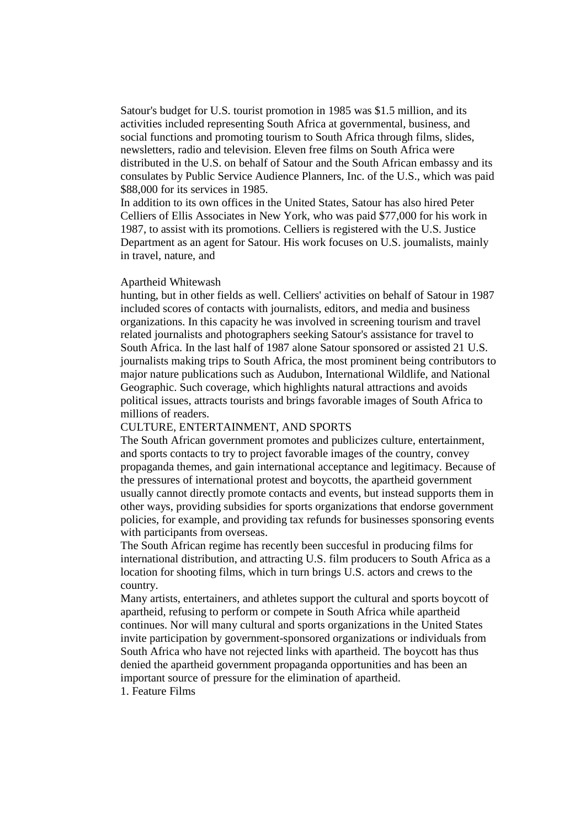Satour's budget for U.S. tourist promotion in 1985 was \$1.5 million, and its activities included representing South Africa at governmental, business, and social functions and promoting tourism to South Africa through films, slides, newsletters, radio and television. Eleven free films on South Africa were distributed in the U.S. on behalf of Satour and the South African embassy and its consulates by Public Service Audience Planners, Inc. of the U.S., which was paid \$88,000 for its services in 1985.

In addition to its own offices in the United States, Satour has also hired Peter Celliers of Ellis Associates in New York, who was paid \$77,000 for his work in 1987, to assist with its promotions. Celliers is registered with the U.S. Justice Department as an agent for Satour. His work focuses on U.S. joumalists, mainly in travel, nature, and

#### Apartheid Whitewash

hunting, but in other fields as well. Celliers' activities on behalf of Satour in 1987 included scores of contacts with journalists, editors, and media and business organizations. In this capacity he was involved in screening tourism and travel related journalists and photographers seeking Satour's assistance for travel to South Africa. In the last half of 1987 alone Satour sponsored or assisted 21 U.S. journalists making trips to South Africa, the most prominent being contributors to major nature publications such as Audubon, International Wildlife, and National Geographic. Such coverage, which highlights natural attractions and avoids political issues, attracts tourists and brings favorable images of South Africa to millions of readers.

### CULTURE, ENTERTAINMENT, AND SPORTS

The South African government promotes and publicizes culture, entertainment, and sports contacts to try to project favorable images of the country, convey propaganda themes, and gain international acceptance and legitimacy. Because of the pressures of international protest and boycotts, the apartheid government usually cannot directly promote contacts and events, but instead supports them in other ways, providing subsidies for sports organizations that endorse government policies, for example, and providing tax refunds for businesses sponsoring events with participants from overseas.

The South African regime has recently been succesful in producing films for international distribution, and attracting U.S. film producers to South Africa as a location for shooting films, which in turn brings U.S. actors and crews to the country.

Many artists, entertainers, and athletes support the cultural and sports boycott of apartheid, refusing to perform or compete in South Africa while apartheid continues. Nor will many cultural and sports organizations in the United States invite participation by government-sponsored organizations or individuals from South Africa who have not rejected links with apartheid. The boycott has thus denied the apartheid government propaganda opportunities and has been an important source of pressure for the elimination of apartheid. 1. Feature Films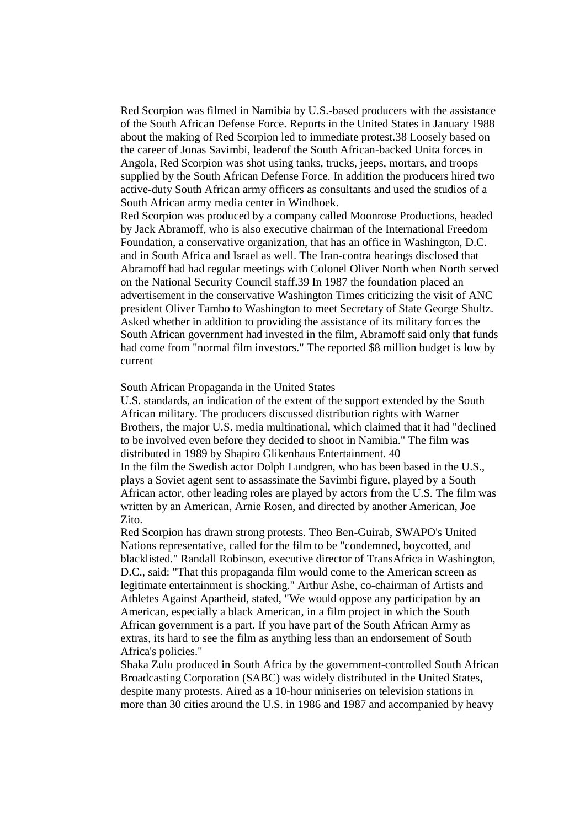Red Scorpion was filmed in Namibia by U.S.-based producers with the assistance of the South African Defense Force. Reports in the United States in January 1988 about the making of Red Scorpion led to immediate protest.38 Loosely based on the career of Jonas Savimbi, leaderof the South African-backed Unita forces in Angola, Red Scorpion was shot using tanks, trucks, jeeps, mortars, and troops supplied by the South African Defense Force. In addition the producers hired two active-duty South African army officers as consultants and used the studios of a South African army media center in Windhoek.

Red Scorpion was produced by a company called Moonrose Productions, headed by Jack Abramoff, who is also executive chairman of the International Freedom Foundation, a conservative organization, that has an office in Washington, D.C. and in South Africa and Israel as well. The Iran-contra hearings disclosed that Abramoff had had regular meetings with Colonel Oliver North when North served on the National Security Council staff.39 In 1987 the foundation placed an advertisement in the conservative Washington Times criticizing the visit of ANC president Oliver Tambo to Washington to meet Secretary of State George Shultz. Asked whether in addition to providing the assistance of its military forces the South African government had invested in the film, Abramoff said only that funds had come from "normal film investors." The reported \$8 million budget is low by current

# South African Propaganda in the United States

U.S. standards, an indication of the extent of the support extended by the South African military. The producers discussed distribution rights with Warner Brothers, the major U.S. media multinational, which claimed that it had "declined to be involved even before they decided to shoot in Namibia." The film was distributed in 1989 by Shapiro Glikenhaus Entertainment. 40 In the film the Swedish actor Dolph Lundgren, who has been based in the U.S., plays a Soviet agent sent to assassinate the Savimbi figure, played by a South African actor, other leading roles are played by actors from the U.S. The film was written by an American, Arnie Rosen, and directed by another American, Joe Zito.

Red Scorpion has drawn strong protests. Theo Ben-Guirab, SWAPO's United Nations representative, called for the film to be "condemned, boycotted, and blacklisted." Randall Robinson, executive director of TransAfrica in Washington, D.C., said: "That this propaganda film would come to the American screen as legitimate entertainment is shocking." Arthur Ashe, co-chairman of Artists and Athletes Against Apartheid, stated, "We would oppose any participation by an American, especially a black American, in a film project in which the South African government is a part. If you have part of the South African Army as extras, its hard to see the film as anything less than an endorsement of South Africa's policies."

Shaka Zulu produced in South Africa by the government-controlled South African Broadcasting Corporation (SABC) was widely distributed in the United States, despite many protests. Aired as a 10-hour miniseries on television stations in more than 30 cities around the U.S. in 1986 and 1987 and accompanied by heavy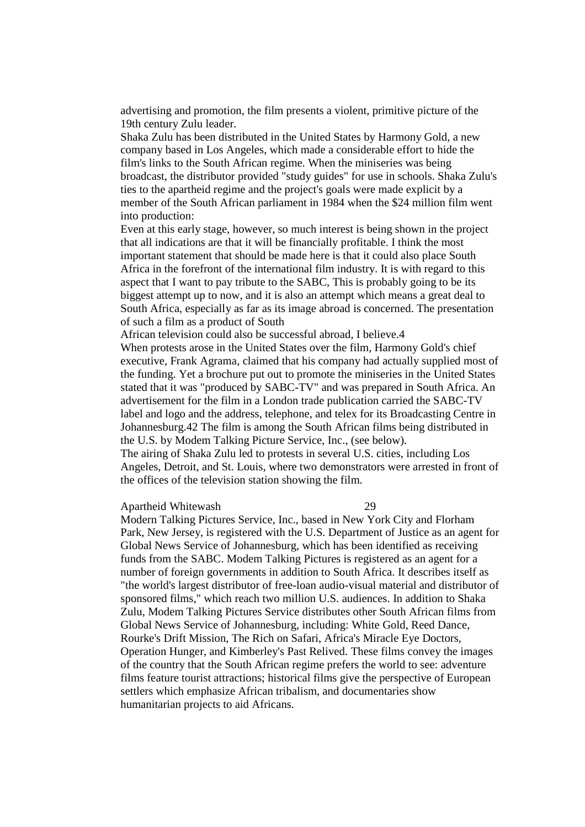advertising and promotion, the film presents a violent, primitive picture of the 19th century Zulu leader.

Shaka Zulu has been distributed in the United States by Harmony Gold, a new company based in Los Angeles, which made a considerable effort to hide the film's links to the South African regime. When the miniseries was being broadcast, the distributor provided "study guides" for use in schools. Shaka Zulu's ties to the apartheid regime and the project's goals were made explicit by a member of the South African parliament in 1984 when the \$24 million film went into production:

Even at this early stage, however, so much interest is being shown in the project that all indications are that it will be financially profitable. I think the most important statement that should be made here is that it could also place South Africa in the forefront of the international film industry. It is with regard to this aspect that I want to pay tribute to the SABC, This is probably going to be its biggest attempt up to now, and it is also an attempt which means a great deal to South Africa, especially as far as its image abroad is concerned. The presentation of such a film as a product of South

African television could also be successful abroad, I believe.4

When protests arose in the United States over the film, Harmony Gold's chief executive, Frank Agrama, claimed that his company had actually supplied most of the funding. Yet a brochure put out to promote the miniseries in the United States stated that it was "produced by SABC-TV" and was prepared in South Africa. An advertisement for the film in a London trade publication carried the SABC-TV label and logo and the address, telephone, and telex for its Broadcasting Centre in Johannesburg.42 The film is among the South African films being distributed in the U.S. by Modem Talking Picture Service, Inc., (see below).

The airing of Shaka Zulu led to protests in several U.S. cities, including Los Angeles, Detroit, and St. Louis, where two demonstrators were arrested in front of the offices of the television station showing the film.

#### Apartheid Whitewash 29

Modern Talking Pictures Service, Inc., based in New York City and Florham Park, New Jersey, is registered with the U.S. Department of Justice as an agent for Global News Service of Johannesburg, which has been identified as receiving funds from the SABC. Modem Talking Pictures is registered as an agent for a number of foreign governments in addition to South Africa. It describes itself as "the world's largest distributor of free-loan audio-visual material and distributor of sponsored films," which reach two million U.S. audiences. In addition to Shaka Zulu, Modem Talking Pictures Service distributes other South African films from Global News Service of Johannesburg, including: White Gold, Reed Dance, Rourke's Drift Mission, The Rich on Safari, Africa's Miracle Eye Doctors, Operation Hunger, and Kimberley's Past Relived. These films convey the images of the country that the South African regime prefers the world to see: adventure films feature tourist attractions; historical films give the perspective of European settlers which emphasize African tribalism, and documentaries show humanitarian projects to aid Africans.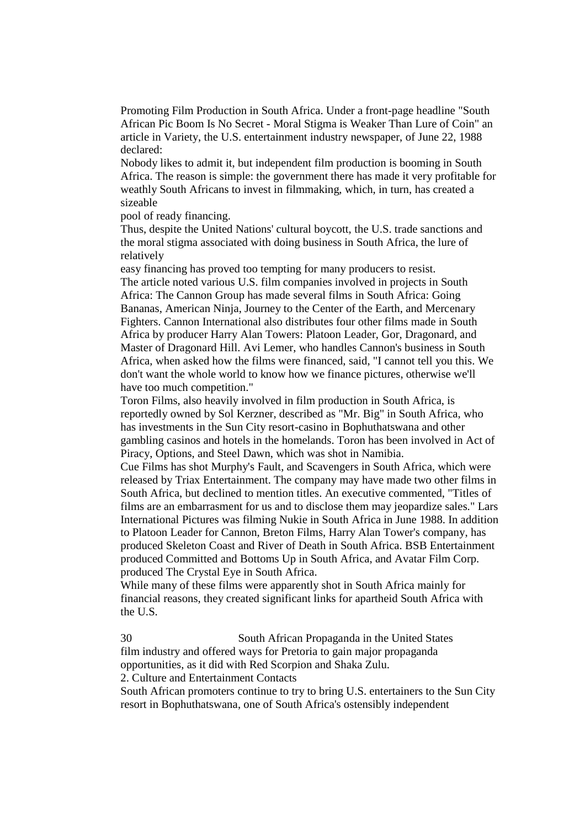Promoting Film Production in South Africa. Under a front-page headline "South African Pic Boom Is No Secret - Moral Stigma is Weaker Than Lure of Coin" an article in Variety, the U.S. entertainment industry newspaper, of June 22, 1988 declared:

Nobody likes to admit it, but independent film production is booming in South Africa. The reason is simple: the government there has made it very profitable for weathly South Africans to invest in filmmaking, which, in turn, has created a sizeable

pool of ready financing.

Thus, despite the United Nations' cultural boycott, the U.S. trade sanctions and the moral stigma associated with doing business in South Africa, the lure of relatively

easy financing has proved too tempting for many producers to resist. The article noted various U.S. film companies involved in projects in South Africa: The Cannon Group has made several films in South Africa: Going Bananas, American Ninja, Journey to the Center of the Earth, and Mercenary Fighters. Cannon International also distributes four other films made in South Africa by producer Harry Alan Towers: Platoon Leader, Gor, Dragonard, and Master of Dragonard Hill. Avi Lemer, who handles Cannon's business in South Africa, when asked how the films were financed, said, "I cannot tell you this. We don't want the whole world to know how we finance pictures, otherwise we'll have too much competition."

Toron Films, also heavily involved in film production in South Africa, is reportedly owned by Sol Kerzner, described as "Mr. Big" in South Africa, who has investments in the Sun City resort-casino in Bophuthatswana and other gambling casinos and hotels in the homelands. Toron has been involved in Act of Piracy, Options, and Steel Dawn, which was shot in Namibia.

Cue Films has shot Murphy's Fault, and Scavengers in South Africa, which were released by Triax Entertainment. The company may have made two other films in South Africa, but declined to mention titles. An executive commented, "Titles of films are an embarrasment for us and to disclose them may jeopardize sales." Lars International Pictures was filming Nukie in South Africa in June 1988. In addition to Platoon Leader for Cannon, Breton Films, Harry Alan Tower's company, has produced Skeleton Coast and River of Death in South Africa. BSB Entertainment produced Committed and Bottoms Up in South Africa, and Avatar Film Corp. produced The Crystal Eye in South Africa.

While many of these films were apparently shot in South Africa mainly for financial reasons, they created significant links for apartheid South Africa with the U.S.

30 South African Propaganda in the United States film industry and offered ways for Pretoria to gain major propaganda opportunities, as it did with Red Scorpion and Shaka Zulu.

2. Culture and Entertainment Contacts

South African promoters continue to try to bring U.S. entertainers to the Sun City resort in Bophuthatswana, one of South Africa's ostensibly independent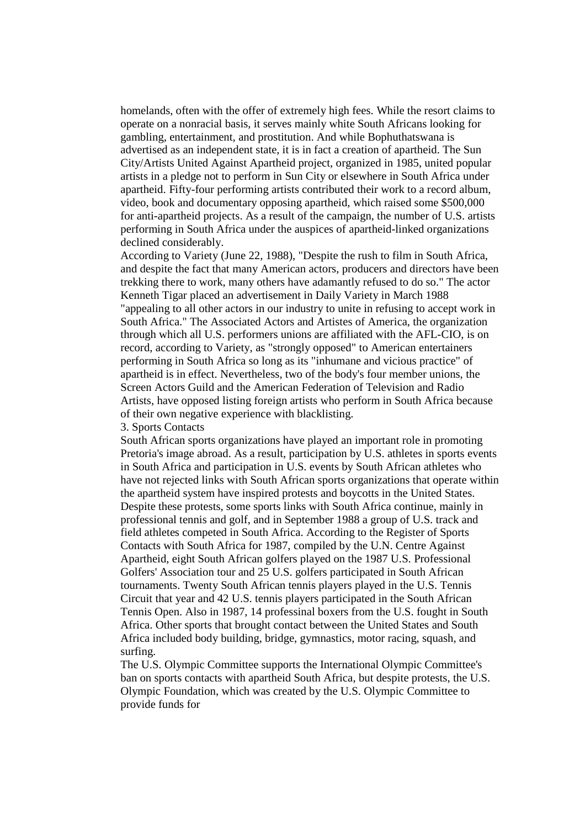homelands, often with the offer of extremely high fees. While the resort claims to operate on a nonracial basis, it serves mainly white South Africans looking for gambling, entertainment, and prostitution. And while Bophuthatswana is advertised as an independent state, it is in fact a creation of apartheid. The Sun City/Artists United Against Apartheid project, organized in 1985, united popular artists in a pledge not to perform in Sun City or elsewhere in South Africa under apartheid. Fifty-four performing artists contributed their work to a record album, video, book and documentary opposing apartheid, which raised some \$500,000 for anti-apartheid projects. As a result of the campaign, the number of U.S. artists performing in South Africa under the auspices of apartheid-linked organizations declined considerably.

According to Variety (June 22, 1988), "Despite the rush to film in South Africa, and despite the fact that many American actors, producers and directors have been trekking there to work, many others have adamantly refused to do so." The actor Kenneth Tigar placed an advertisement in Daily Variety in March 1988 "appealing to all other actors in our industry to unite in refusing to accept work in South Africa." The Associated Actors and Artistes of America, the organization through which all U.S. performers unions are affiliated with the AFL-CIO, is on record, according to Variety, as "strongly opposed" to American entertainers performing in South Africa so long as its "inhumane and vicious practice" of apartheid is in effect. Nevertheless, two of the body's four member unions, the Screen Actors Guild and the American Federation of Television and Radio Artists, have opposed listing foreign artists who perform in South Africa because of their own negative experience with blacklisting.

3. Sports Contacts

South African sports organizations have played an important role in promoting Pretoria's image abroad. As a result, participation by U.S. athletes in sports events in South Africa and participation in U.S. events by South African athletes who have not rejected links with South African sports organizations that operate within the apartheid system have inspired protests and boycotts in the United States. Despite these protests, some sports links with South Africa continue, mainly in professional tennis and golf, and in September 1988 a group of U.S. track and field athletes competed in South Africa. According to the Register of Sports Contacts with South Africa for 1987, compiled by the U.N. Centre Against Apartheid, eight South African golfers played on the 1987 U.S. Professional Golfers' Association tour and 25 U.S. golfers participated in South African tournaments. Twenty South African tennis players played in the U.S. Tennis Circuit that year and 42 U.S. tennis players participated in the South African Tennis Open. Also in 1987, 14 professinal boxers from the U.S. fought in South Africa. Other sports that brought contact between the United States and South Africa included body building, bridge, gymnastics, motor racing, squash, and surfing.

The U.S. Olympic Committee supports the International Olympic Committee's ban on sports contacts with apartheid South Africa, but despite protests, the U.S. Olympic Foundation, which was created by the U.S. Olympic Committee to provide funds for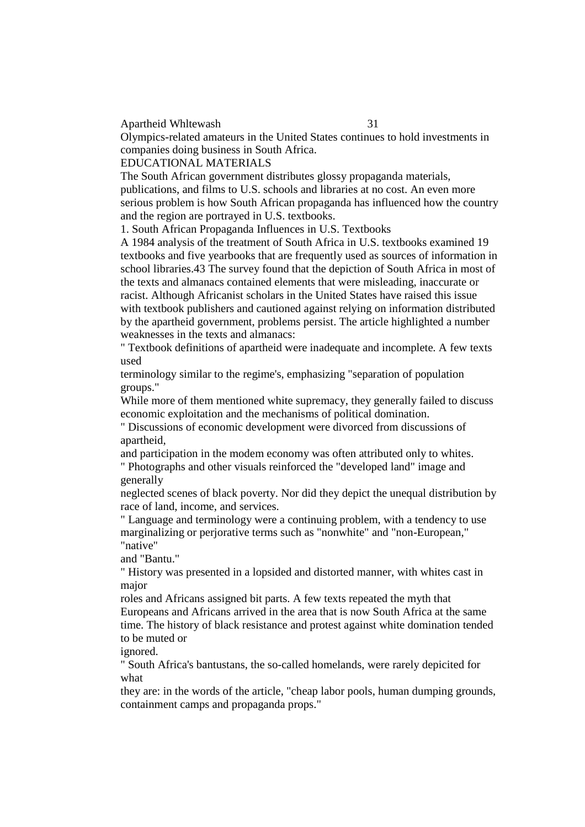Apartheid Whltewash 31

Olympics-related amateurs in the United States continues to hold investments in companies doing business in South Africa.

EDUCATIONAL MATERIALS

The South African government distributes glossy propaganda materials, publications, and films to U.S. schools and libraries at no cost. An even more serious problem is how South African propaganda has influenced how the country and the region are portrayed in U.S. textbooks.

1. South African Propaganda Influences in U.S. Textbooks

A 1984 analysis of the treatment of South Africa in U.S. textbooks examined 19 textbooks and five yearbooks that are frequently used as sources of information in school libraries.43 The survey found that the depiction of South Africa in most of the texts and almanacs contained elements that were misleading, inaccurate or racist. Although Africanist scholars in the United States have raised this issue with textbook publishers and cautioned against relying on information distributed by the apartheid government, problems persist. The article highlighted a number weaknesses in the texts and almanacs:

" Textbook definitions of apartheid were inadequate and incomplete. A few texts used

terminology similar to the regime's, emphasizing "separation of population groups."

While more of them mentioned white supremacy, they generally failed to discuss economic exploitation and the mechanisms of political domination.

" Discussions of economic development were divorced from discussions of apartheid,

and participation in the modem economy was often attributed only to whites.

" Photographs and other visuals reinforced the "developed land" image and generally

neglected scenes of black poverty. Nor did they depict the unequal distribution by race of land, income, and services.

" Language and terminology were a continuing problem, with a tendency to use marginalizing or perjorative terms such as "nonwhite" and "non-European," "native"

and "Bantu."

" History was presented in a lopsided and distorted manner, with whites cast in major

roles and Africans assigned bit parts. A few texts repeated the myth that Europeans and Africans arrived in the area that is now South Africa at the same time. The history of black resistance and protest against white domination tended to be muted or

ignored.

" South Africa's bantustans, the so-called homelands, were rarely depicited for what

they are: in the words of the article, "cheap labor pools, human dumping grounds, containment camps and propaganda props."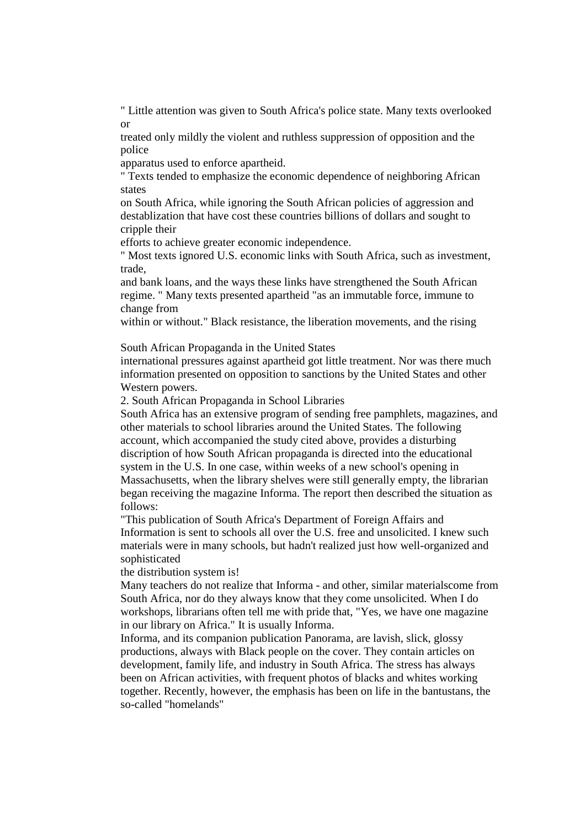" Little attention was given to South Africa's police state. Many texts overlooked or

treated only mildly the violent and ruthless suppression of opposition and the police

apparatus used to enforce apartheid.

" Texts tended to emphasize the economic dependence of neighboring African states

on South Africa, while ignoring the South African policies of aggression and destablization that have cost these countries billions of dollars and sought to cripple their

efforts to achieve greater economic independence.

" Most texts ignored U.S. economic links with South Africa, such as investment, trade,

and bank loans, and the ways these links have strengthened the South African regime. " Many texts presented apartheid "as an immutable force, immune to change from

within or without." Black resistance, the liberation movements, and the rising

South African Propaganda in the United States

international pressures against apartheid got little treatment. Nor was there much information presented on opposition to sanctions by the United States and other Western powers.

2. South African Propaganda in School Libraries

South Africa has an extensive program of sending free pamphlets, magazines, and other materials to school libraries around the United States. The following account, which accompanied the study cited above, provides a disturbing discription of how South African propaganda is directed into the educational system in the U.S. In one case, within weeks of a new school's opening in Massachusetts, when the library shelves were still generally empty, the librarian began receiving the magazine Informa. The report then described the situation as follows:

"This publication of South Africa's Department of Foreign Affairs and Information is sent to schools all over the U.S. free and unsolicited. I knew such materials were in many schools, but hadn't realized just how well-organized and sophisticated

the distribution system is!

Many teachers do not realize that Informa - and other, similar materialscome from South Africa, nor do they always know that they come unsolicited. When I do workshops, librarians often tell me with pride that, "Yes, we have one magazine in our library on Africa." It is usually Informa.

Informa, and its companion publication Panorama, are lavish, slick, glossy productions, always with Black people on the cover. They contain articles on development, family life, and industry in South Africa. The stress has always been on African activities, with frequent photos of blacks and whites working together. Recently, however, the emphasis has been on life in the bantustans, the so-called "homelands"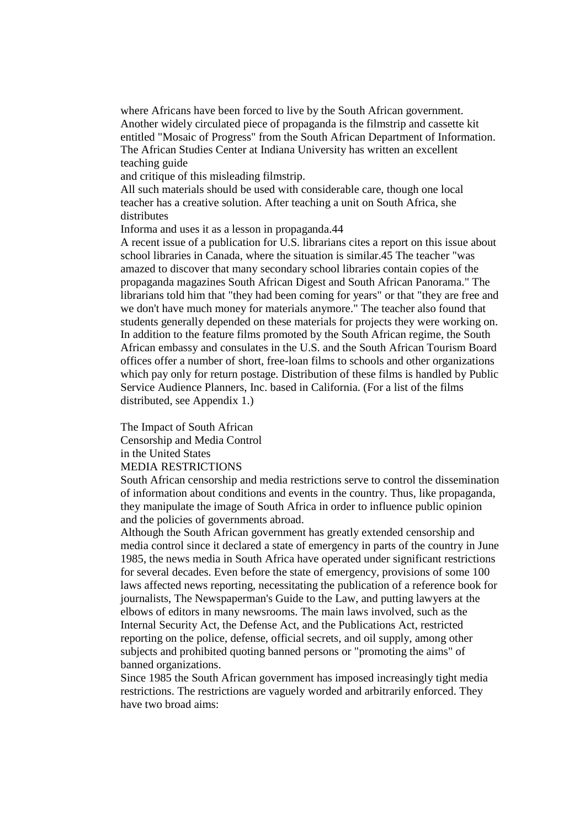where Africans have been forced to live by the South African government. Another widely circulated piece of propaganda is the filmstrip and cassette kit entitled "Mosaic of Progress" from the South African Department of Information. The African Studies Center at Indiana University has written an excellent teaching guide

and critique of this misleading filmstrip.

All such materials should be used with considerable care, though one local teacher has a creative solution. After teaching a unit on South Africa, she distributes

Informa and uses it as a lesson in propaganda.44

A recent issue of a publication for U.S. librarians cites a report on this issue about school libraries in Canada, where the situation is similar.45 The teacher "was amazed to discover that many secondary school libraries contain copies of the propaganda magazines South African Digest and South African Panorama." The librarians told him that "they had been coming for years" or that "they are free and we don't have much money for materials anymore." The teacher also found that students generally depended on these materials for projects they were working on. In addition to the feature films promoted by the South African regime, the South African embassy and consulates in the U.S. and the South African Tourism Board offices offer a number of short, free-loan films to schools and other organizations which pay only for return postage. Distribution of these films is handled by Public Service Audience Planners, Inc. based in California. (For a list of the films distributed, see Appendix 1.)

The Impact of South African

Censorship and Media Control

in the United States

# MEDIA RESTRICTIONS

South African censorship and media restrictions serve to control the dissemination of information about conditions and events in the country. Thus, like propaganda, they manipulate the image of South Africa in order to influence public opinion and the policies of governments abroad.

Although the South African government has greatly extended censorship and media control since it declared a state of emergency in parts of the country in June 1985, the news media in South Africa have operated under significant restrictions for several decades. Even before the state of emergency, provisions of some 100 laws affected news reporting, necessitating the publication of a reference book for journalists, The Newspaperman's Guide to the Law, and putting lawyers at the elbows of editors in many newsrooms. The main laws involved, such as the Internal Security Act, the Defense Act, and the Publications Act, restricted reporting on the police, defense, official secrets, and oil supply, among other subjects and prohibited quoting banned persons or "promoting the aims" of banned organizations.

Since 1985 the South African government has imposed increasingly tight media restrictions. The restrictions are vaguely worded and arbitrarily enforced. They have two broad aims: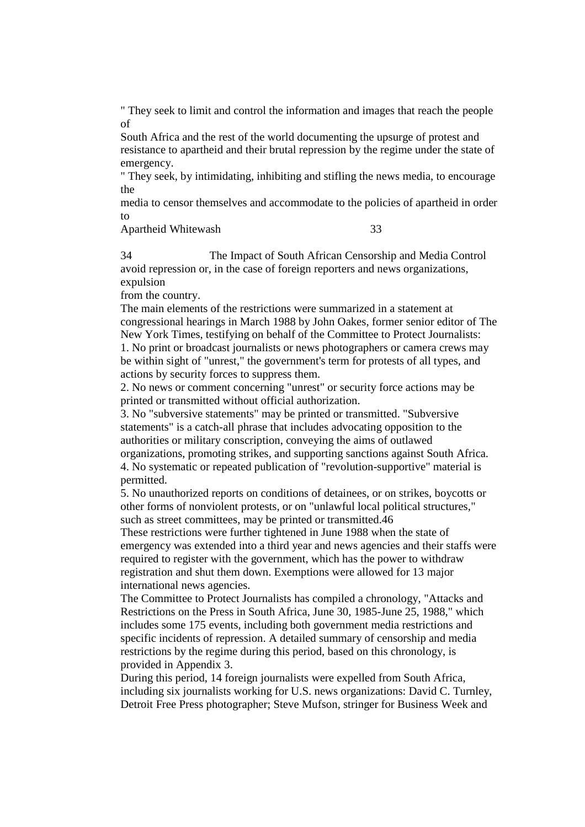" They seek to limit and control the information and images that reach the people of

South Africa and the rest of the world documenting the upsurge of protest and resistance to apartheid and their brutal repression by the regime under the state of emergency.

" They seek, by intimidating, inhibiting and stifling the news media, to encourage the

media to censor themselves and accommodate to the policies of apartheid in order to

Apartheid Whitewash 33

34 The Impact of South African Censorship and Media Control avoid repression or, in the case of foreign reporters and news organizations, expulsion

from the country.

The main elements of the restrictions were summarized in a statement at congressional hearings in March 1988 by John Oakes, former senior editor of The New York Times, testifying on behalf of the Committee to Protect Journalists: 1. No print or broadcast journalists or news photographers or camera crews may be within sight of "unrest," the government's term for protests of all types, and actions by security forces to suppress them.

2. No news or comment concerning "unrest" or security force actions may be printed or transmitted without official authorization.

3. No "subversive statements" may be printed or transmitted. "Subversive statements" is a catch-all phrase that includes advocating opposition to the authorities or military conscription, conveying the aims of outlawed organizations, promoting strikes, and supporting sanctions against South Africa. 4. No systematic or repeated publication of "revolution-supportive" material is

permitted.

5. No unauthorized reports on conditions of detainees, or on strikes, boycotts or other forms of nonviolent protests, or on "unlawful local political structures," such as street committees, may be printed or transmitted.46

These restrictions were further tightened in June 1988 when the state of emergency was extended into a third year and news agencies and their staffs were required to register with the government, which has the power to withdraw registration and shut them down. Exemptions were allowed for 13 major international news agencies.

The Committee to Protect Journalists has compiled a chronology, "Attacks and Restrictions on the Press in South Africa, June 30, 1985-June 25, 1988," which includes some 175 events, including both government media restrictions and specific incidents of repression. A detailed summary of censorship and media restrictions by the regime during this period, based on this chronology, is provided in Appendix 3.

During this period, 14 foreign journalists were expelled from South Africa, including six journalists working for U.S. news organizations: David C. Turnley, Detroit Free Press photographer; Steve Mufson, stringer for Business Week and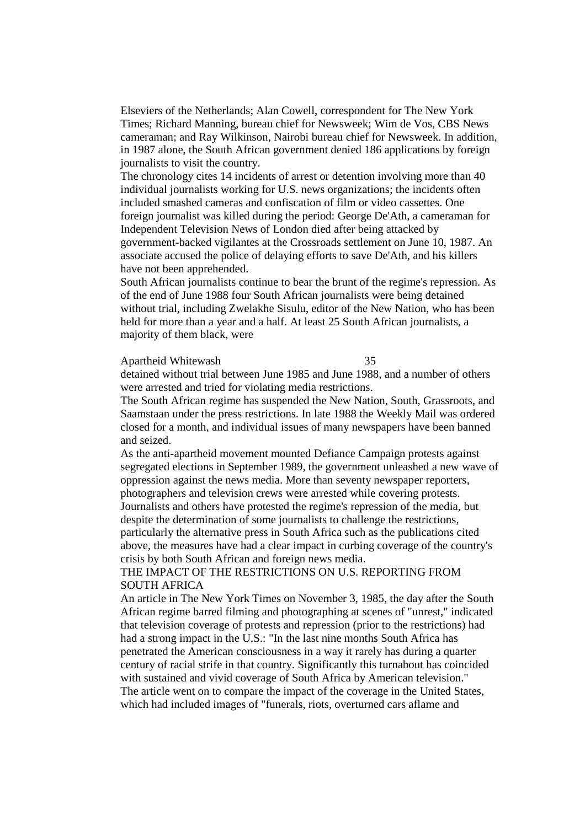Elseviers of the Netherlands; Alan Cowell, correspondent for The New York Times; Richard Manning, bureau chief for Newsweek; Wim de Vos, CBS News cameraman; and Ray Wilkinson, Nairobi bureau chief for Newsweek. In addition, in 1987 alone, the South African government denied 186 applications by foreign journalists to visit the country.

The chronology cites 14 incidents of arrest or detention involving more than 40 individual journalists working for U.S. news organizations; the incidents often included smashed cameras and confiscation of film or video cassettes. One foreign journalist was killed during the period: George De'Ath, a cameraman for Independent Television News of London died after being attacked by government-backed vigilantes at the Crossroads settlement on June 10, 1987. An associate accused the police of delaying efforts to save De'Ath, and his killers have not been apprehended.

South African journalists continue to bear the brunt of the regime's repression. As of the end of June 1988 four South African journalists were being detained without trial, including Zwelakhe Sisulu, editor of the New Nation, who has been held for more than a year and a half. At least 25 South African journalists, a majority of them black, were

### Apartheid Whitewash 35

detained without trial between June 1985 and June 1988, and a number of others were arrested and tried for violating media restrictions.

The South African regime has suspended the New Nation, South, Grassroots, and Saamstaan under the press restrictions. In late 1988 the Weekly Mail was ordered closed for a month, and individual issues of many newspapers have been banned and seized.

As the anti-apartheid movement mounted Defiance Campaign protests against segregated elections in September 1989, the government unleashed a new wave of oppression against the news media. More than seventy newspaper reporters, photographers and television crews were arrested while covering protests. Journalists and others have protested the regime's repression of the media, but despite the determination of some journalists to challenge the restrictions, particularly the alternative press in South Africa such as the publications cited above, the measures have had a clear impact in curbing coverage of the country's crisis by both South African and foreign news media.

# THE IMPACT OF THE RESTRICTIONS ON U.S. REPORTING FROM SOUTH AFRICA

An article in The New York Times on November 3, 1985, the day after the South African regime barred filming and photographing at scenes of "unrest," indicated that television coverage of protests and repression (prior to the restrictions) had had a strong impact in the U.S.: "In the last nine months South Africa has penetrated the American consciousness in a way it rarely has during a quarter century of racial strife in that country. Significantly this turnabout has coincided with sustained and vivid coverage of South Africa by American television." The article went on to compare the impact of the coverage in the United States, which had included images of "funerals, riots, overturned cars aflame and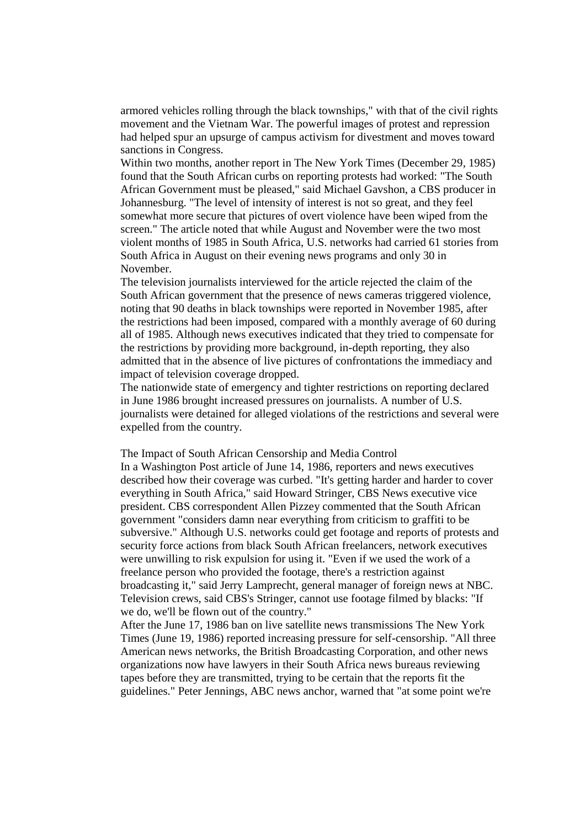armored vehicles rolling through the black townships," with that of the civil rights movement and the Vietnam War. The powerful images of protest and repression had helped spur an upsurge of campus activism for divestment and moves toward sanctions in Congress.

Within two months, another report in The New York Times (December 29, 1985) found that the South African curbs on reporting protests had worked: "The South African Government must be pleased," said Michael Gavshon, a CBS producer in Johannesburg. "The level of intensity of interest is not so great, and they feel somewhat more secure that pictures of overt violence have been wiped from the screen." The article noted that while August and November were the two most violent months of 1985 in South Africa, U.S. networks had carried 61 stories from South Africa in August on their evening news programs and only 30 in November.

The television journalists interviewed for the article rejected the claim of the South African government that the presence of news cameras triggered violence, noting that 90 deaths in black townships were reported in November 1985, after the restrictions had been imposed, compared with a monthly average of 60 during all of 1985. Although news executives indicated that they tried to compensate for the restrictions by providing more background, in-depth reporting, they also admitted that in the absence of live pictures of confrontations the immediacy and impact of television coverage dropped.

The nationwide state of emergency and tighter restrictions on reporting declared in June 1986 brought increased pressures on journalists. A number of U.S. journalists were detained for alleged violations of the restrictions and several were expelled from the country.

The Impact of South African Censorship and Media Control

In a Washington Post article of June 14, 1986, reporters and news executives described how their coverage was curbed. "It's getting harder and harder to cover everything in South Africa," said Howard Stringer, CBS News executive vice president. CBS correspondent Allen Pizzey commented that the South African government "considers damn near everything from criticism to graffiti to be subversive." Although U.S. networks could get footage and reports of protests and security force actions from black South African freelancers, network executives were unwilling to risk expulsion for using it. "Even if we used the work of a freelance person who provided the footage, there's a restriction against broadcasting it," said Jerry Lamprecht, general manager of foreign news at NBC. Television crews, said CBS's Stringer, cannot use footage filmed by blacks: "If we do, we'll be flown out of the country."

After the June 17, 1986 ban on live satellite news transmissions The New York Times (June 19, 1986) reported increasing pressure for self-censorship. "All three American news networks, the British Broadcasting Corporation, and other news organizations now have lawyers in their South Africa news bureaus reviewing tapes before they are transmitted, trying to be certain that the reports fit the guidelines." Peter Jennings, ABC news anchor, warned that "at some point we're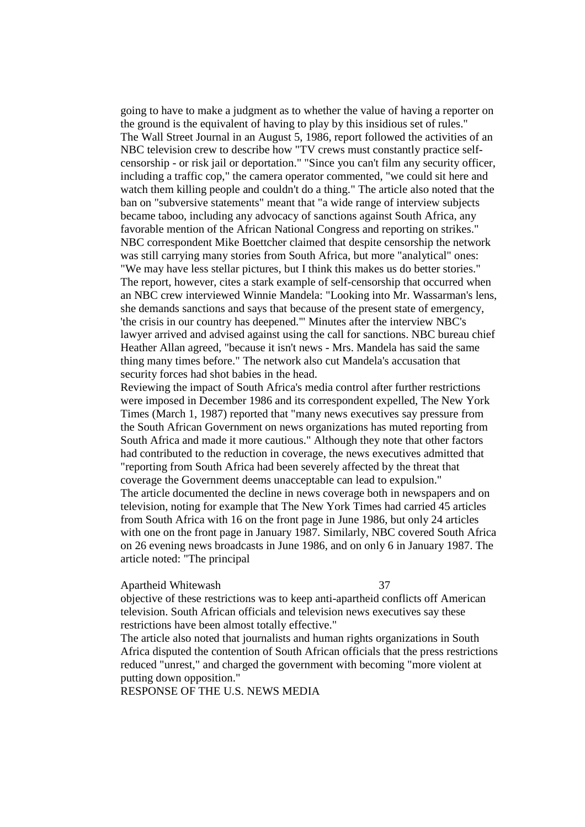going to have to make a judgment as to whether the value of having a reporter on the ground is the equivalent of having to play by this insidious set of rules." The Wall Street Journal in an August 5, 1986, report followed the activities of an NBC television crew to describe how "TV crews must constantly practice selfcensorship - or risk jail or deportation." "Since you can't film any security officer, including a traffic cop," the camera operator commented, "we could sit here and watch them killing people and couldn't do a thing." The article also noted that the ban on "subversive statements" meant that "a wide range of interview subjects became taboo, including any advocacy of sanctions against South Africa, any favorable mention of the African National Congress and reporting on strikes." NBC correspondent Mike Boettcher claimed that despite censorship the network was still carrying many stories from South Africa, but more "analytical" ones: "We may have less stellar pictures, but I think this makes us do better stories." The report, however, cites a stark example of self-censorship that occurred when an NBC crew interviewed Winnie Mandela: "Looking into Mr. Wassarman's lens, she demands sanctions and says that because of the present state of emergency, 'the crisis in our country has deepened.'" Minutes after the interview NBC's lawyer arrived and advised against using the call for sanctions. NBC bureau chief Heather Allan agreed, "because it isn't news - Mrs. Mandela has said the same thing many times before." The network also cut Mandela's accusation that security forces had shot babies in the head.

Reviewing the impact of South Africa's media control after further restrictions were imposed in December 1986 and its correspondent expelled, The New York Times (March 1, 1987) reported that "many news executives say pressure from the South African Government on news organizations has muted reporting from South Africa and made it more cautious." Although they note that other factors had contributed to the reduction in coverage, the news executives admitted that "reporting from South Africa had been severely affected by the threat that coverage the Government deems unacceptable can lead to expulsion." The article documented the decline in news coverage both in newspapers and on television, noting for example that The New York Times had carried 45 articles from South Africa with 16 on the front page in June 1986, but only 24 articles with one on the front page in January 1987. Similarly, NBC covered South Africa on 26 evening news broadcasts in June 1986, and on only 6 in January 1987. The article noted: "The principal

#### Apartheid Whitewash 37

objective of these restrictions was to keep anti-apartheid conflicts off American television. South African officials and television news executives say these restrictions have been almost totally effective."

The article also noted that journalists and human rights organizations in South Africa disputed the contention of South African officials that the press restrictions reduced "unrest," and charged the government with becoming "more violent at putting down opposition."

RESPONSE OF THE U.S. NEWS MEDIA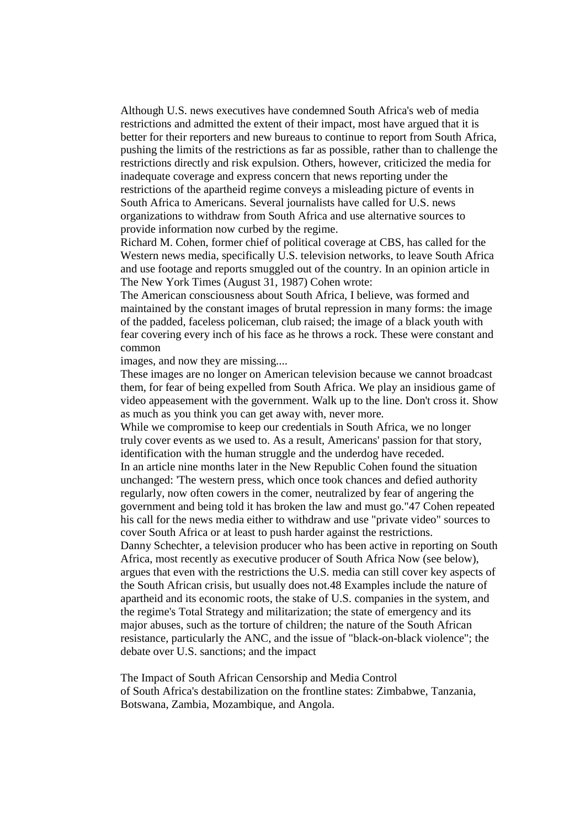Although U.S. news executives have condemned South Africa's web of media restrictions and admitted the extent of their impact, most have argued that it is better for their reporters and new bureaus to continue to report from South Africa, pushing the limits of the restrictions as far as possible, rather than to challenge the restrictions directly and risk expulsion. Others, however, criticized the media for inadequate coverage and express concern that news reporting under the restrictions of the apartheid regime conveys a misleading picture of events in South Africa to Americans. Several journalists have called for U.S. news organizations to withdraw from South Africa and use alternative sources to provide information now curbed by the regime.

Richard M. Cohen, former chief of political coverage at CBS, has called for the Western news media, specifically U.S. television networks, to leave South Africa and use footage and reports smuggled out of the country. In an opinion article in The New York Times (August 31, 1987) Cohen wrote:

The American consciousness about South Africa, I believe, was formed and maintained by the constant images of brutal repression in many forms: the image of the padded, faceless policeman, club raised; the image of a black youth with fear covering every inch of his face as he throws a rock. These were constant and common

images, and now they are missing....

These images are no longer on American television because we cannot broadcast them, for fear of being expelled from South Africa. We play an insidious game of video appeasement with the government. Walk up to the line. Don't cross it. Show as much as you think you can get away with, never more.

While we compromise to keep our credentials in South Africa, we no longer truly cover events as we used to. As a result, Americans' passion for that story, identification with the human struggle and the underdog have receded.

In an article nine months later in the New Republic Cohen found the situation unchanged: 'The western press, which once took chances and defied authority regularly, now often cowers in the comer, neutralized by fear of angering the government and being told it has broken the law and must go."47 Cohen repeated his call for the news media either to withdraw and use "private video" sources to cover South Africa or at least to push harder against the restrictions.

Danny Schechter, a television producer who has been active in reporting on South Africa, most recently as executive producer of South Africa Now (see below), argues that even with the restrictions the U.S. media can still cover key aspects of the South African crisis, but usually does not.48 Examples include the nature of apartheid and its economic roots, the stake of U.S. companies in the system, and the regime's Total Strategy and militarization; the state of emergency and its major abuses, such as the torture of children; the nature of the South African resistance, particularly the ANC, and the issue of "black-on-black violence"; the debate over U.S. sanctions; and the impact

The Impact of South African Censorship and Media Control of South Africa's destabilization on the frontline states: Zimbabwe, Tanzania, Botswana, Zambia, Mozambique, and Angola.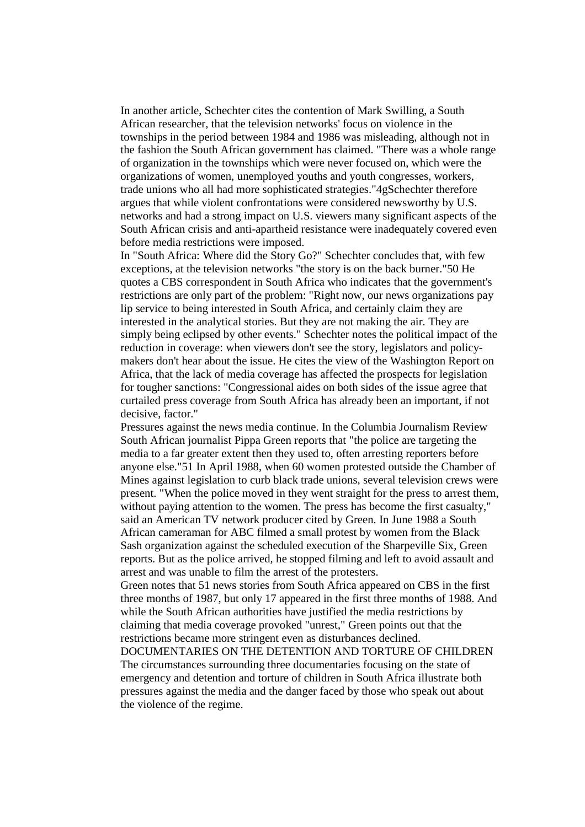In another article, Schechter cites the contention of Mark Swilling, a South African researcher, that the television networks' focus on violence in the townships in the period between 1984 and 1986 was misleading, although not in the fashion the South African government has claimed. "There was a whole range of organization in the townships which were never focused on, which were the organizations of women, unemployed youths and youth congresses, workers, trade unions who all had more sophisticated strategies."4gSchechter therefore argues that while violent confrontations were considered newsworthy by U.S. networks and had a strong impact on U.S. viewers many significant aspects of the South African crisis and anti-apartheid resistance were inadequately covered even before media restrictions were imposed.

In "South Africa: Where did the Story Go?" Schechter concludes that, with few exceptions, at the television networks "the story is on the back burner."50 He quotes a CBS correspondent in South Africa who indicates that the government's restrictions are only part of the problem: "Right now, our news organizations pay lip service to being interested in South Africa, and certainly claim they are interested in the analytical stories. But they are not making the air. They are simply being eclipsed by other events." Schechter notes the political impact of the reduction in coverage: when viewers don't see the story, legislators and policymakers don't hear about the issue. He cites the view of the Washington Report on Africa, that the lack of media coverage has affected the prospects for legislation for tougher sanctions: "Congressional aides on both sides of the issue agree that curtailed press coverage from South Africa has already been an important, if not decisive, factor."

Pressures against the news media continue. In the Columbia Journalism Review South African journalist Pippa Green reports that "the police are targeting the media to a far greater extent then they used to, often arresting reporters before anyone else."51 In April 1988, when 60 women protested outside the Chamber of Mines against legislation to curb black trade unions, several television crews were present. "When the police moved in they went straight for the press to arrest them, without paying attention to the women. The press has become the first casualty," said an American TV network producer cited by Green. In June 1988 a South African cameraman for ABC filmed a small protest by women from the Black Sash organization against the scheduled execution of the Sharpeville Six, Green reports. But as the police arrived, he stopped filming and left to avoid assault and arrest and was unable to film the arrest of the protesters.

Green notes that 51 news stories from South Africa appeared on CBS in the first three months of 1987, but only 17 appeared in the first three months of 1988. And while the South African authorities have justified the media restrictions by claiming that media coverage provoked "unrest," Green points out that the restrictions became more stringent even as disturbances declined.

DOCUMENTARIES ON THE DETENTION AND TORTURE OF CHILDREN The circumstances surrounding three documentaries focusing on the state of emergency and detention and torture of children in South Africa illustrate both pressures against the media and the danger faced by those who speak out about the violence of the regime.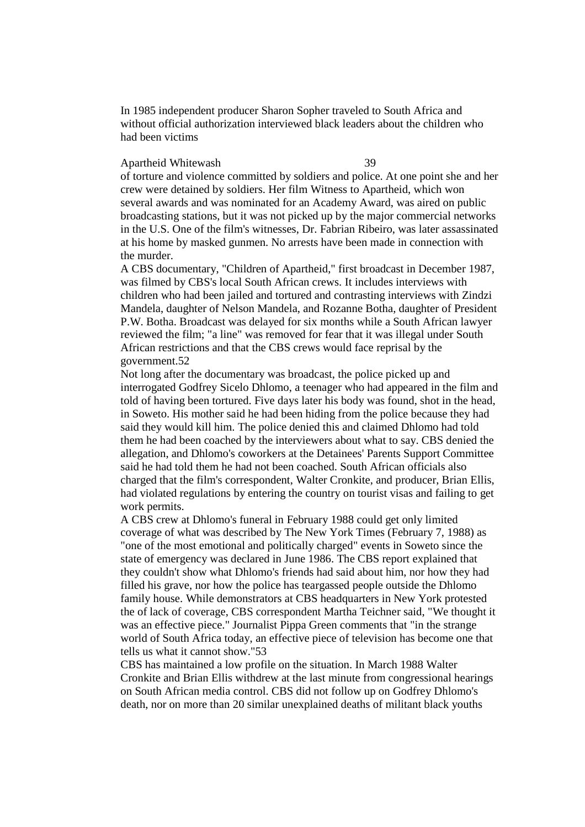In 1985 independent producer Sharon Sopher traveled to South Africa and without official authorization interviewed black leaders about the children who had been victims

# Apartheid Whitewash 39

of torture and violence committed by soldiers and police. At one point she and her crew were detained by soldiers. Her film Witness to Apartheid, which won several awards and was nominated for an Academy Award, was aired on public broadcasting stations, but it was not picked up by the major commercial networks in the U.S. One of the film's witnesses, Dr. Fabrian Ribeiro, was later assassinated at his home by masked gunmen. No arrests have been made in connection with the murder.

A CBS documentary, "Children of Apartheid," first broadcast in December 1987, was filmed by CBS's local South African crews. It includes interviews with children who had been jailed and tortured and contrasting interviews with Zindzi Mandela, daughter of Nelson Mandela, and Rozanne Botha, daughter of President P.W. Botha. Broadcast was delayed for six months while a South African lawyer reviewed the film; "a line" was removed for fear that it was illegal under South African restrictions and that the CBS crews would face reprisal by the government.52

Not long after the documentary was broadcast, the police picked up and interrogated Godfrey Sicelo Dhlomo, a teenager who had appeared in the film and told of having been tortured. Five days later his body was found, shot in the head, in Soweto. His mother said he had been hiding from the police because they had said they would kill him. The police denied this and claimed Dhlomo had told them he had been coached by the interviewers about what to say. CBS denied the allegation, and Dhlomo's coworkers at the Detainees' Parents Support Committee said he had told them he had not been coached. South African officials also charged that the film's correspondent, Walter Cronkite, and producer, Brian Ellis, had violated regulations by entering the country on tourist visas and failing to get work permits.

A CBS crew at Dhlomo's funeral in February 1988 could get only limited coverage of what was described by The New York Times (February 7, 1988) as "one of the most emotional and politically charged" events in Soweto since the state of emergency was declared in June 1986. The CBS report explained that they couldn't show what Dhlomo's friends had said about him, nor how they had filled his grave, nor how the police has teargassed people outside the Dhlomo family house. While demonstrators at CBS headquarters in New York protested the of lack of coverage, CBS correspondent Martha Teichner said, "We thought it was an effective piece." Journalist Pippa Green comments that "in the strange world of South Africa today, an effective piece of television has become one that tells us what it cannot show."53

CBS has maintained a low profile on the situation. In March 1988 Walter Cronkite and Brian Ellis withdrew at the last minute from congressional hearings on South African media control. CBS did not follow up on Godfrey Dhlomo's death, nor on more than 20 similar unexplained deaths of militant black youths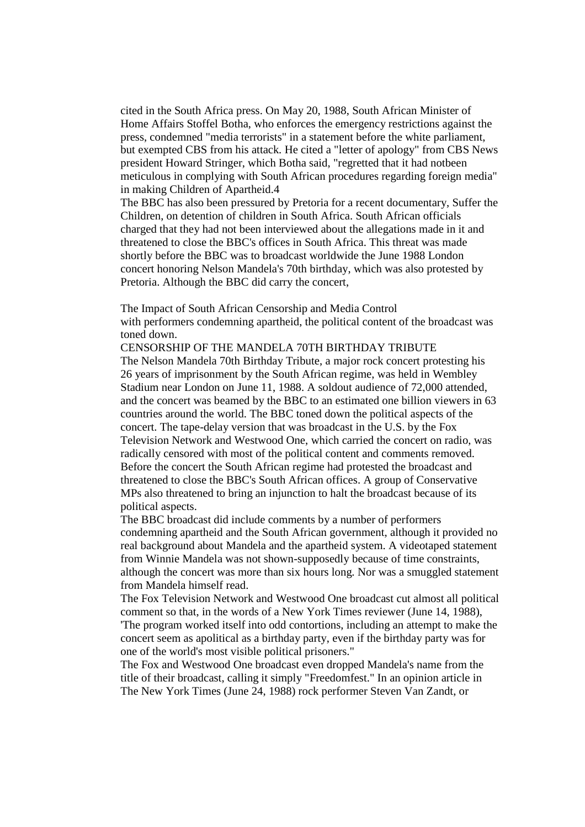cited in the South Africa press. On May 20, 1988, South African Minister of Home Affairs Stoffel Botha, who enforces the emergency restrictions against the press, condemned "media terrorists" in a statement before the white parliament, but exempted CBS from his attack. He cited a "letter of apology" from CBS News president Howard Stringer, which Botha said, "regretted that it had notbeen meticulous in complying with South African procedures regarding foreign media" in making Children of Apartheid.4

The BBC has also been pressured by Pretoria for a recent documentary, Suffer the Children, on detention of children in South Africa. South African officials charged that they had not been interviewed about the allegations made in it and threatened to close the BBC's offices in South Africa. This threat was made shortly before the BBC was to broadcast worldwide the June 1988 London concert honoring Nelson Mandela's 70th birthday, which was also protested by Pretoria. Although the BBC did carry the concert,

The Impact of South African Censorship and Media Control with performers condemning apartheid, the political content of the broadcast was toned down.

CENSORSHIP OF THE MANDELA 70TH BIRTHDAY TRIBUTE The Nelson Mandela 70th Birthday Tribute, a major rock concert protesting his 26 years of imprisonment by the South African regime, was held in Wembley Stadium near London on June 11, 1988. A soldout audience of 72,000 attended, and the concert was beamed by the BBC to an estimated one billion viewers in 63 countries around the world. The BBC toned down the political aspects of the concert. The tape-delay version that was broadcast in the U.S. by the Fox Television Network and Westwood One, which carried the concert on radio, was radically censored with most of the political content and comments removed. Before the concert the South African regime had protested the broadcast and threatened to close the BBC's South African offices. A group of Conservative MPs also threatened to bring an injunction to halt the broadcast because of its political aspects.

The BBC broadcast did include comments by a number of performers condemning apartheid and the South African government, although it provided no real background about Mandela and the apartheid system. A videotaped statement from Winnie Mandela was not shown-supposedly because of time constraints, although the concert was more than six hours long. Nor was a smuggled statement from Mandela himself read.

The Fox Television Network and Westwood One broadcast cut almost all political comment so that, in the words of a New York Times reviewer (June 14, 1988), 'The program worked itself into odd contortions, including an attempt to make the concert seem as apolitical as a birthday party, even if the birthday party was for one of the world's most visible political prisoners."

The Fox and Westwood One broadcast even dropped Mandela's name from the title of their broadcast, calling it simply "Freedomfest." In an opinion article in The New York Times (June 24, 1988) rock performer Steven Van Zandt, or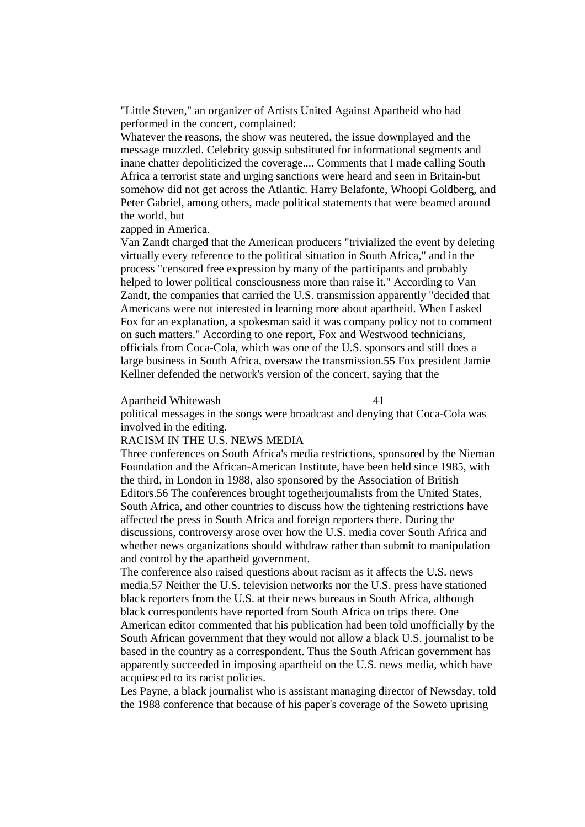"Little Steven," an organizer of Artists United Against Apartheid who had performed in the concert, complained:

Whatever the reasons, the show was neutered, the issue downplayed and the message muzzled. Celebrity gossip substituted for informational segments and inane chatter depoliticized the coverage.... Comments that I made calling South Africa a terrorist state and urging sanctions were heard and seen in Britain-but somehow did not get across the Atlantic. Harry Belafonte, Whoopi Goldberg, and Peter Gabriel, among others, made political statements that were beamed around the world, but

zapped in America.

Van Zandt charged that the American producers "trivialized the event by deleting virtually every reference to the political situation in South Africa," and in the process "censored free expression by many of the participants and probably helped to lower political consciousness more than raise it." According to Van Zandt, the companies that carried the U.S. transmission apparently "decided that Americans were not interested in learning more about apartheid. When I asked Fox for an explanation, a spokesman said it was company policy not to comment on such matters." According to one report, Fox and Westwood technicians, officials from Coca-Cola, which was one of the U.S. sponsors and still does a large business in South Africa, oversaw the transmission.55 Fox president Jamie Kellner defended the network's version of the concert, saying that the

#### Apartheid Whitewash 41

political messages in the songs were broadcast and denying that Coca-Cola was involved in the editing.

RACISM IN THE U.S. NEWS MEDIA

Three conferences on South Africa's media restrictions, sponsored by the Nieman Foundation and the African-American Institute, have been held since 1985, with the third, in London in 1988, also sponsored by the Association of British Editors.56 The conferences brought togetherjoumalists from the United States, South Africa, and other countries to discuss how the tightening restrictions have affected the press in South Africa and foreign reporters there. During the discussions, controversy arose over how the U.S. media cover South Africa and whether news organizations should withdraw rather than submit to manipulation and control by the apartheid government.

The conference also raised questions about racism as it affects the U.S. news media.57 Neither the U.S. television networks nor the U.S. press have stationed black reporters from the U.S. at their news bureaus in South Africa, although black correspondents have reported from South Africa on trips there. One American editor commented that his publication had been told unofficially by the South African government that they would not allow a black U.S. journalist to be based in the country as a correspondent. Thus the South African government has apparently succeeded in imposing apartheid on the U.S. news media, which have acquiesced to its racist policies.

Les Payne, a black journalist who is assistant managing director of Newsday, told the 1988 conference that because of his paper's coverage of the Soweto uprising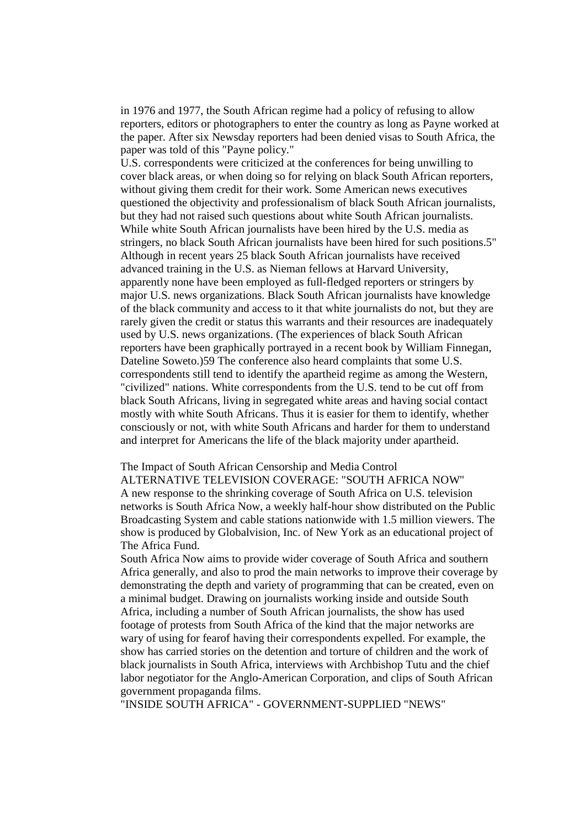in 1976 and 1977, the South African regime had a policy of refusing to allow reporters, editors or photographers to enter the country as long as Payne worked at the paper. After six Newsday reporters had been denied visas to South Africa, the paper was told of this "Payne policy."

U.S. correspondents were criticized at the conferences for being unwilling to cover black areas, or when doing so for relying on black South African reporters, without giving them credit for their work. Some American news executives questioned the objectivity and professionalism of black South African journalists, but they had not raised such questions about white South African journalists. While white South African journalists have been hired by the U.S. media as stringers, no black South African journalists have been hired for such positions.5" Although in recent years 25 black South African journalists have received advanced training in the U.S. as Nieman fellows at Harvard University, apparently none have been employed as full-fledged reporters or stringers by major U.S. news organizations. Black South African journalists have knowledge of the black community and access to it that white journalists do not, but they are rarely given the credit or status this warrants and their resources are inadequately used by U.S. news organizations. (The experiences of black South African reporters have been graphically portrayed in a recent book by William Finnegan, Dateline Soweto.)59 The conference also heard complaints that some U.S. correspondents still tend to identify the apartheid regime as among the Western, "civilized" nations. White correspondents from the U.S. tend to be cut off from black South Africans, living in segregated white areas and having social contact mostly with white South Africans. Thus it is easier for them to identify, whether consciously or not, with white South Africans and harder for them to understand and interpret for Americans the life of the black majority under apartheid.

#### The Impact of South African Censorship and Media Control

ALTERNATIVE TELEVISION COVERAGE: "SOUTH AFRICA NOW" A new response to the shrinking coverage of South Africa on U.S. television networks is South Africa Now, a weekly half-hour show distributed on the Public Broadcasting System and cable stations nationwide with 1.5 million viewers. The show is produced by Globalvision, Inc. of New York as an educational project of The Africa Fund.

South Africa Now aims to provide wider coverage of South Africa and southern Africa generally, and also to prod the main networks to improve their coverage by demonstrating the depth and variety of programming that can be created, even on a minimal budget. Drawing on journalists working inside and outside South Africa, including a number of South African journalists, the show has used footage of protests from South Africa of the kind that the major networks are wary of using for fearof having their correspondents expelled. For example, the show has carried stories on the detention and torture of children and the work of black journalists in South Africa, interviews with Archbishop Tutu and the chief labor negotiator for the Anglo-American Corporation, and clips of South African government propaganda films.

"INSIDE SOUTH AFRICA" - GOVERNMENT-SUPPLIED "NEWS"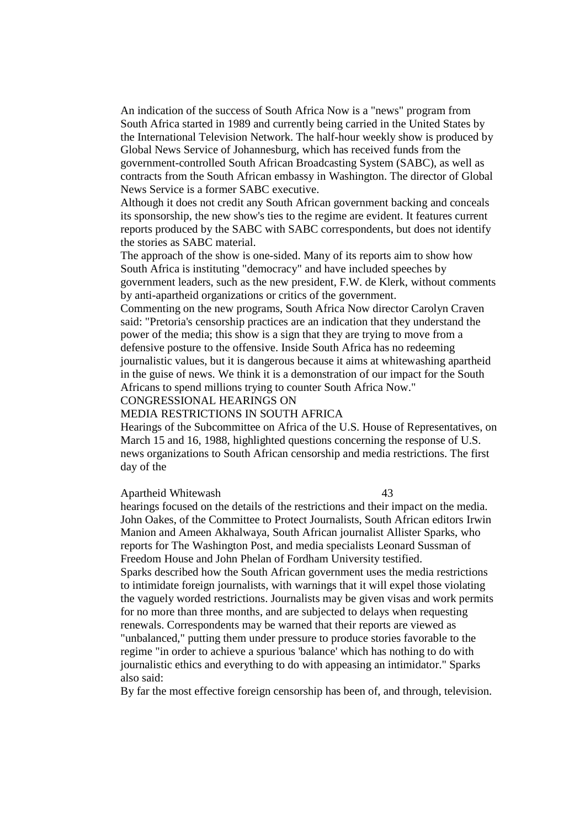An indication of the success of South Africa Now is a "news" program from South Africa started in 1989 and currently being carried in the United States by the International Television Network. The half-hour weekly show is produced by Global News Service of Johannesburg, which has received funds from the government-controlled South African Broadcasting System (SABC), as well as contracts from the South African embassy in Washington. The director of Global News Service is a former SABC executive.

Although it does not credit any South African government backing and conceals its sponsorship, the new show's ties to the regime are evident. It features current reports produced by the SABC with SABC correspondents, but does not identify the stories as SABC material.

The approach of the show is one-sided. Many of its reports aim to show how South Africa is instituting "democracy" and have included speeches by government leaders, such as the new president, F.W. de Klerk, without comments by anti-apartheid organizations or critics of the government.

Commenting on the new programs, South Africa Now director Carolyn Craven said: "Pretoria's censorship practices are an indication that they understand the power of the media; this show is a sign that they are trying to move from a defensive posture to the offensive. Inside South Africa has no redeeming journalistic values, but it is dangerous because it aims at whitewashing apartheid in the guise of news. We think it is a demonstration of our impact for the South Africans to spend millions trying to counter South Africa Now."

CONGRESSIONAL HEARINGS ON

### MEDIA RESTRICTIONS IN SOUTH AFRICA

Hearings of the Subcommittee on Africa of the U.S. House of Representatives, on March 15 and 16, 1988, highlighted questions concerning the response of U.S. news organizations to South African censorship and media restrictions. The first day of the

Apartheid Whitewash 43

hearings focused on the details of the restrictions and their impact on the media. John Oakes, of the Committee to Protect Journalists, South African editors Irwin Manion and Ameen Akhalwaya, South African journalist Allister Sparks, who reports for The Washington Post, and media specialists Leonard Sussman of Freedom House and John Phelan of Fordham University testified. Sparks described how the South African government uses the media restrictions to intimidate foreign journalists, with warnings that it will expel those violating the vaguely worded restrictions. Journalists may be given visas and work permits for no more than three months, and are subjected to delays when requesting renewals. Correspondents may be warned that their reports are viewed as "unbalanced," putting them under pressure to produce stories favorable to the regime "in order to achieve a spurious 'balance' which has nothing to do with journalistic ethics and everything to do with appeasing an intimidator." Sparks also said:

By far the most effective foreign censorship has been of, and through, television.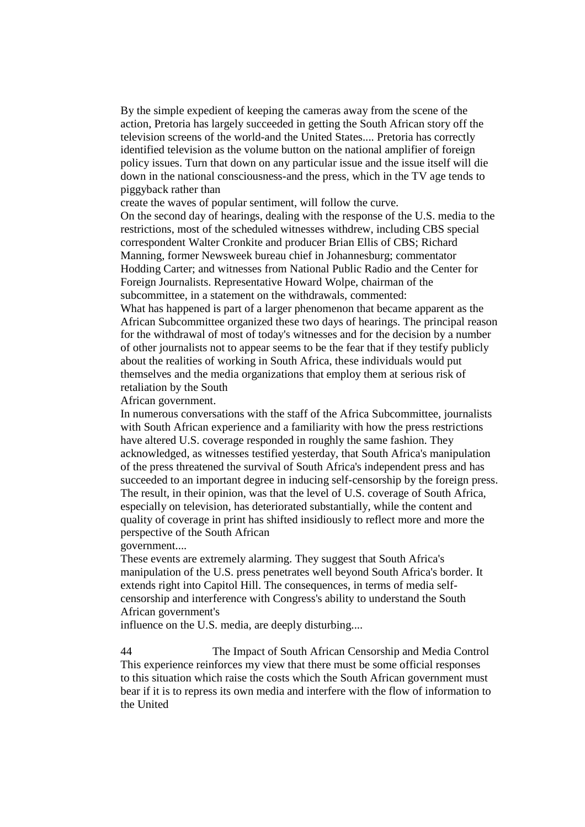By the simple expedient of keeping the cameras away from the scene of the action, Pretoria has largely succeeded in getting the South African story off the television screens of the world-and the United States.... Pretoria has correctly identified television as the volume button on the national amplifier of foreign policy issues. Turn that down on any particular issue and the issue itself will die down in the national consciousness-and the press, which in the TV age tends to piggyback rather than

create the waves of popular sentiment, will follow the curve.

On the second day of hearings, dealing with the response of the U.S. media to the restrictions, most of the scheduled witnesses withdrew, including CBS special correspondent Walter Cronkite and producer Brian Ellis of CBS; Richard Manning, former Newsweek bureau chief in Johannesburg; commentator Hodding Carter; and witnesses from National Public Radio and the Center for Foreign Journalists. Representative Howard Wolpe, chairman of the subcommittee, in a statement on the withdrawals, commented:

What has happened is part of a larger phenomenon that became apparent as the African Subcommittee organized these two days of hearings. The principal reason for the withdrawal of most of today's witnesses and for the decision by a number of other journalists not to appear seems to be the fear that if they testify publicly about the realities of working in South Africa, these individuals would put themselves and the media organizations that employ them at serious risk of retaliation by the South

African government.

In numerous conversations with the staff of the Africa Subcommittee, journalists with South African experience and a familiarity with how the press restrictions have altered U.S. coverage responded in roughly the same fashion. They acknowledged, as witnesses testified yesterday, that South Africa's manipulation of the press threatened the survival of South Africa's independent press and has succeeded to an important degree in inducing self-censorship by the foreign press. The result, in their opinion, was that the level of U.S. coverage of South Africa, especially on television, has deteriorated substantially, while the content and quality of coverage in print has shifted insidiously to reflect more and more the perspective of the South African

government....

These events are extremely alarming. They suggest that South Africa's manipulation of the U.S. press penetrates well beyond South Africa's border. It extends right into Capitol Hill. The consequences, in terms of media selfcensorship and interference with Congress's ability to understand the South African government's

influence on the U.S. media, are deeply disturbing....

44 The Impact of South African Censorship and Media Control This experience reinforces my view that there must be some official responses to this situation which raise the costs which the South African government must bear if it is to repress its own media and interfere with the flow of information to the United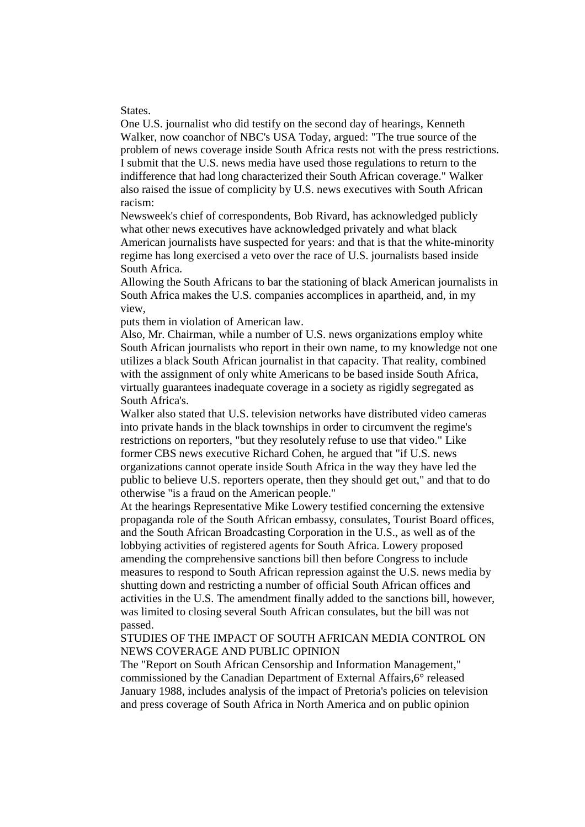#### States.

One U.S. journalist who did testify on the second day of hearings, Kenneth Walker, now coanchor of NBC's USA Today, argued: "The true source of the problem of news coverage inside South Africa rests not with the press restrictions. I submit that the U.S. news media have used those regulations to return to the indifference that had long characterized their South African coverage." Walker also raised the issue of complicity by U.S. news executives with South African racism:

Newsweek's chief of correspondents, Bob Rivard, has acknowledged publicly what other news executives have acknowledged privately and what black American journalists have suspected for years: and that is that the white-minority regime has long exercised a veto over the race of U.S. journalists based inside South Africa.

Allowing the South Africans to bar the stationing of black American journalists in South Africa makes the U.S. companies accomplices in apartheid, and, in my view,

puts them in violation of American law.

Also, Mr. Chairman, while a number of U.S. news organizations employ white South African journalists who report in their own name, to my knowledge not one utilizes a black South African journalist in that capacity. That reality, combined with the assignment of only white Americans to be based inside South Africa, virtually guarantees inadequate coverage in a society as rigidly segregated as South Africa's.

Walker also stated that U.S. television networks have distributed video cameras into private hands in the black townships in order to circumvent the regime's restrictions on reporters, "but they resolutely refuse to use that video." Like former CBS news executive Richard Cohen, he argued that "if U.S. news organizations cannot operate inside South Africa in the way they have led the public to believe U.S. reporters operate, then they should get out," and that to do otherwise "is a fraud on the American people."

At the hearings Representative Mike Lowery testified concerning the extensive propaganda role of the South African embassy, consulates, Tourist Board offices, and the South African Broadcasting Corporation in the U.S., as well as of the lobbying activities of registered agents for South Africa. Lowery proposed amending the comprehensive sanctions bill then before Congress to include measures to respond to South African repression against the U.S. news media by shutting down and restricting a number of official South African offices and activities in the U.S. The amendment finally added to the sanctions bill, however, was limited to closing several South African consulates, but the bill was not passed.

# STUDIES OF THE IMPACT OF SOUTH AFRICAN MEDIA CONTROL ON NEWS COVERAGE AND PUBLIC OPINION

The "Report on South African Censorship and Information Management," commissioned by the Canadian Department of External Affairs,6° released January 1988, includes analysis of the impact of Pretoria's policies on television and press coverage of South Africa in North America and on public opinion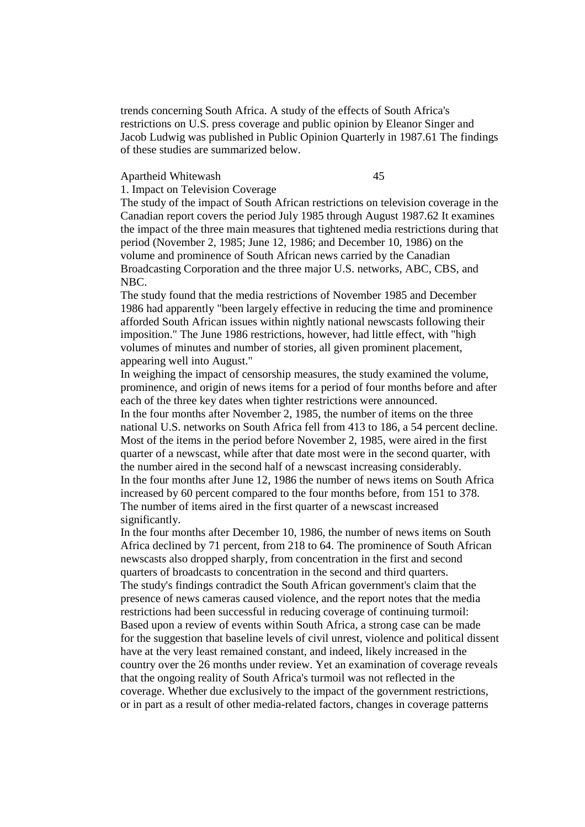trends concerning South Africa. A study of the effects of South Africa's restrictions on U.S. press coverage and public opinion by Eleanor Singer and Jacob Ludwig was published in Public Opinion Quarterly in 1987.61 The findings of these studies are summarized below.

Apartheid Whitewash 45

1. Impact on Television Coverage

The study of the impact of South African restrictions on television coverage in the Canadian report covers the period July 1985 through August 1987.62 It examines the impact of the three main measures that tightened media restrictions during that period (November 2, 1985; June 12, 1986; and December 10, 1986) on the volume and prominence of South African news carried by the Canadian Broadcasting Corporation and the three major U.S. networks, ABC, CBS, and NBC.

The study found that the media restrictions of November 1985 and December 1986 had apparently "been largely effective in reducing the time and prominence afforded South African issues within nightly national newscasts following their imposition." The June 1986 restrictions, however, had little effect, with "high volumes of minutes and number of stories, all given prominent placement, appearing well into August."

In weighing the impact of censorship measures, the study examined the volume, prominence, and origin of news items for a period of four months before and after each of the three key dates when tighter restrictions were announced.

In the four months after November 2, 1985, the number of items on the three national U.S. networks on South Africa fell from 413 to 186, a 54 percent decline. Most of the items in the period before November 2, 1985, were aired in the first quarter of a newscast, while after that date most were in the second quarter, with the number aired in the second half of a newscast increasing considerably. In the four months after June 12, 1986 the number of news items on South Africa increased by 60 percent compared to the four months before, from 151 to 378. The number of items aired in the first quarter of a newscast increased significantly.

In the four months after December 10, 1986, the number of news items on South Africa declined by 71 percent, from 218 to 64. The prominence of South African newscasts also dropped sharply, from concentration in the first and second quarters of broadcasts to concentration in the second and third quarters. The study's findings contradict the South African government's claim that the presence of news cameras caused violence, and the report notes that the media restrictions had been successful in reducing coverage of continuing turmoil: Based upon a review of events within South Africa, a strong case can be made for the suggestion that baseline levels of civil unrest, violence and political dissent have at the very least remained constant, and indeed, likely increased in the country over the 26 months under review. Yet an examination of coverage reveals that the ongoing reality of South Africa's turmoil was not reflected in the coverage. Whether due exclusively to the impact of the government restrictions, or in part as a result of other media-related factors, changes in coverage patterns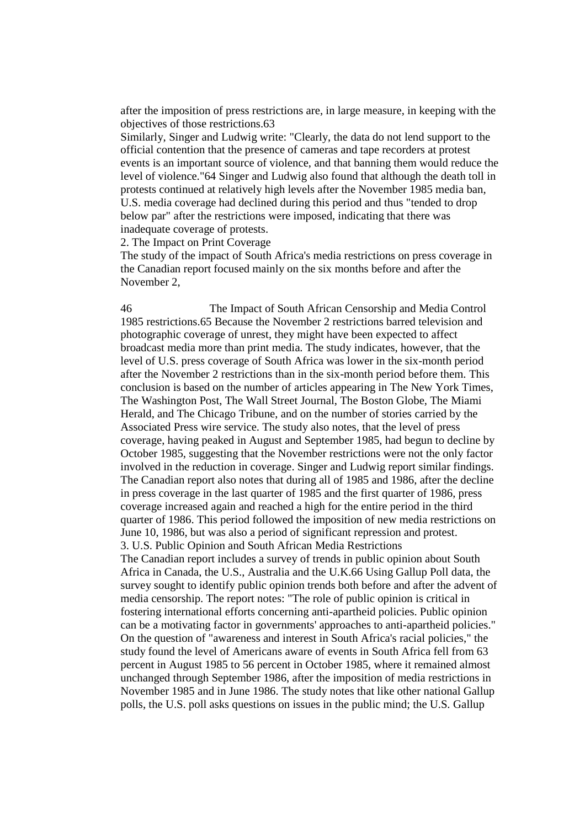after the imposition of press restrictions are, in large measure, in keeping with the objectives of those restrictions.63

Similarly, Singer and Ludwig write: "Clearly, the data do not lend support to the official contention that the presence of cameras and tape recorders at protest events is an important source of violence, and that banning them would reduce the level of violence."64 Singer and Ludwig also found that although the death toll in protests continued at relatively high levels after the November 1985 media ban, U.S. media coverage had declined during this period and thus "tended to drop below par" after the restrictions were imposed, indicating that there was inadequate coverage of protests.

2. The Impact on Print Coverage

The study of the impact of South Africa's media restrictions on press coverage in the Canadian report focused mainly on the six months before and after the November 2,

46 The Impact of South African Censorship and Media Control 1985 restrictions.65 Because the November 2 restrictions barred television and photographic coverage of unrest, they might have been expected to affect broadcast media more than print media. The study indicates, however, that the level of U.S. press coverage of South Africa was lower in the six-month period after the November 2 restrictions than in the six-month period before them. This conclusion is based on the number of articles appearing in The New York Times, The Washington Post, The Wall Street Journal, The Boston Globe, The Miami Herald, and The Chicago Tribune, and on the number of stories carried by the Associated Press wire service. The study also notes, that the level of press coverage, having peaked in August and September 1985, had begun to decline by October 1985, suggesting that the November restrictions were not the only factor involved in the reduction in coverage. Singer and Ludwig report similar findings. The Canadian report also notes that during all of 1985 and 1986, after the decline in press coverage in the last quarter of 1985 and the first quarter of 1986, press coverage increased again and reached a high for the entire period in the third quarter of 1986. This period followed the imposition of new media restrictions on June 10, 1986, but was also a period of significant repression and protest. 3. U.S. Public Opinion and South African Media Restrictions

The Canadian report includes a survey of trends in public opinion about South Africa in Canada, the U.S., Australia and the U.K.66 Using Gallup Poll data, the survey sought to identify public opinion trends both before and after the advent of media censorship. The report notes: "The role of public opinion is critical in fostering international efforts concerning anti-apartheid policies. Public opinion can be a motivating factor in governments' approaches to anti-apartheid policies." On the question of "awareness and interest in South Africa's racial policies," the study found the level of Americans aware of events in South Africa fell from 63 percent in August 1985 to 56 percent in October 1985, where it remained almost unchanged through September 1986, after the imposition of media restrictions in November 1985 and in June 1986. The study notes that like other national Gallup polls, the U.S. poll asks questions on issues in the public mind; the U.S. Gallup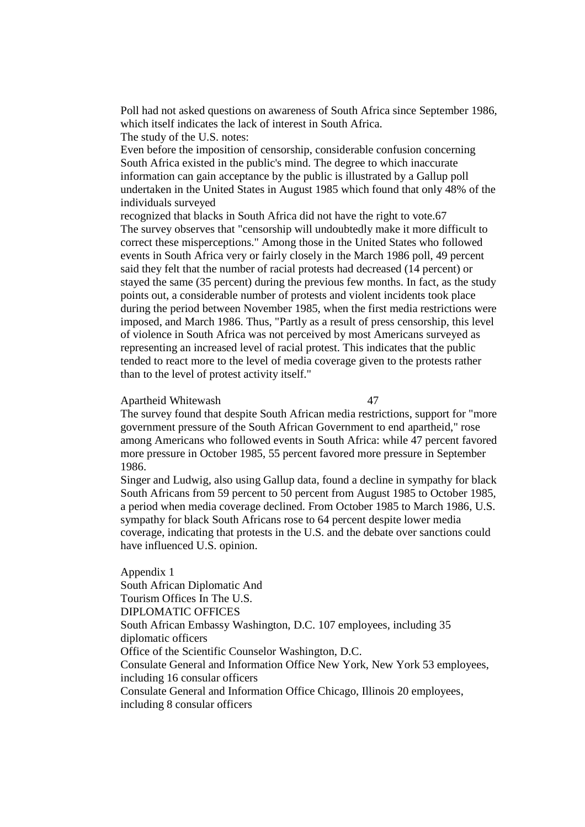Poll had not asked questions on awareness of South Africa since September 1986, which itself indicates the lack of interest in South Africa. The study of the U.S. notes:

Even before the imposition of censorship, considerable confusion concerning South Africa existed in the public's mind. The degree to which inaccurate

information can gain acceptance by the public is illustrated by a Gallup poll undertaken in the United States in August 1985 which found that only 48% of the individuals surveyed

recognized that blacks in South Africa did not have the right to vote.67 The survey observes that "censorship will undoubtedly make it more difficult to correct these misperceptions." Among those in the United States who followed events in South Africa very or fairly closely in the March 1986 poll, 49 percent said they felt that the number of racial protests had decreased (14 percent) or stayed the same (35 percent) during the previous few months. In fact, as the study points out, a considerable number of protests and violent incidents took place during the period between November 1985, when the first media restrictions were imposed, and March 1986. Thus, "Partly as a result of press censorship, this level of violence in South Africa was not perceived by most Americans surveyed as representing an increased level of racial protest. This indicates that the public tended to react more to the level of media coverage given to the protests rather than to the level of protest activity itself."

# Apartheid Whitewash 47

The survey found that despite South African media restrictions, support for "more government pressure of the South African Government to end apartheid," rose among Americans who followed events in South Africa: while 47 percent favored more pressure in October 1985, 55 percent favored more pressure in September 1986.

Singer and Ludwig, also using Gallup data, found a decline in sympathy for black South Africans from 59 percent to 50 percent from August 1985 to October 1985, a period when media coverage declined. From October 1985 to March 1986, U.S. sympathy for black South Africans rose to 64 percent despite lower media coverage, indicating that protests in the U.S. and the debate over sanctions could have influenced U.S. opinion.

Appendix 1 South African Diplomatic And Tourism Offices In The U.S. DIPLOMATIC OFFICES South African Embassy Washington, D.C. 107 employees, including 35 diplomatic officers Office of the Scientific Counselor Washington, D.C. Consulate General and Information Office New York, New York 53 employees, including 16 consular officers Consulate General and Information Office Chicago, Illinois 20 employees, including 8 consular officers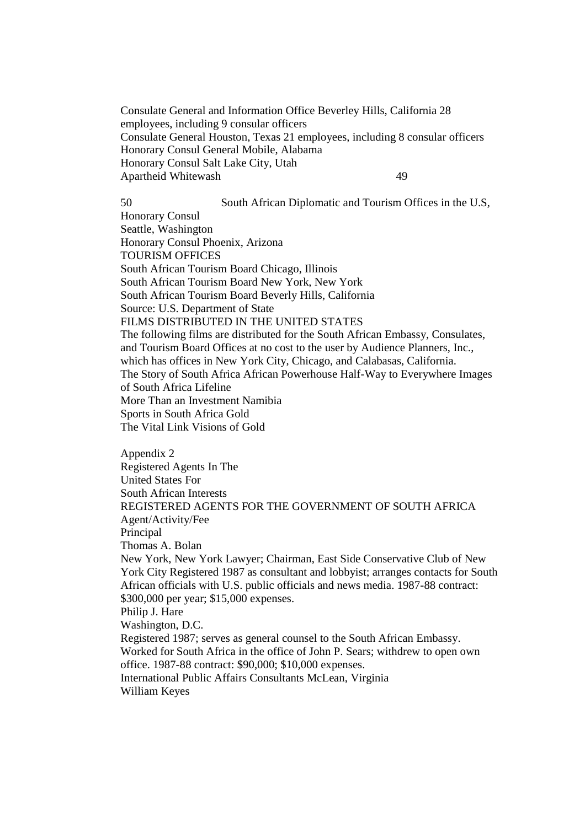Consulate General and Information Office Beverley Hills, California 28 employees, including 9 consular officers Consulate General Houston, Texas 21 employees, including 8 consular officers Honorary Consul General Mobile, Alabama Honorary Consul Salt Lake City, Utah Apartheid Whitewash 49

50 South African Diplomatic and Tourism Offices in the U.S, Honorary Consul Seattle, Washington Honorary Consul Phoenix, Arizona TOURISM OFFICES South African Tourism Board Chicago, Illinois South African Tourism Board New York, New York South African Tourism Board Beverly Hills, California Source: U.S. Department of State FILMS DISTRIBUTED IN THE UNITED STATES The following films are distributed for the South African Embassy, Consulates, and Tourism Board Offices at no cost to the user by Audience Planners, Inc., which has offices in New York City, Chicago, and Calabasas, California. The Story of South Africa African Powerhouse Half-Way to Everywhere Images of South Africa Lifeline More Than an Investment Namibia Sports in South Africa Gold The Vital Link Visions of Gold

Appendix 2 Registered Agents In The United States For South African Interests REGISTERED AGENTS FOR THE GOVERNMENT OF SOUTH AFRICA Agent/Activity/Fee Principal Thomas A. Bolan New York, New York Lawyer; Chairman, East Side Conservative Club of New York City Registered 1987 as consultant and lobbyist; arranges contacts for South African officials with U.S. public officials and news media. 1987-88 contract: \$300,000 per year; \$15,000 expenses. Philip J. Hare Washington, D.C. Registered 1987; serves as general counsel to the South African Embassy. Worked for South Africa in the office of John P. Sears; withdrew to open own office. 1987-88 contract: \$90,000; \$10,000 expenses. International Public Affairs Consultants McLean, Virginia William Keyes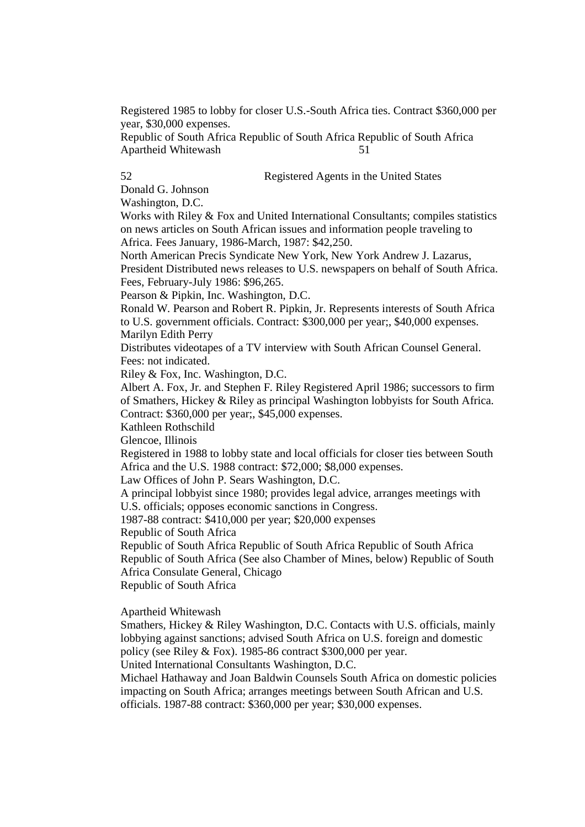Registered 1985 to lobby for closer U.S.-South Africa ties. Contract \$360,000 per year, \$30,000 expenses.

Republic of South Africa Republic of South Africa Republic of South Africa Apartheid Whitewash 51

52 Registered Agents in the United States

Donald G. Johnson

Washington, D.C.

Works with Riley & Fox and United International Consultants; compiles statistics on news articles on South African issues and information people traveling to Africa. Fees January, 1986-March, 1987: \$42,250.

North American Precis Syndicate New York, New York Andrew J. Lazarus, President Distributed news releases to U.S. newspapers on behalf of South Africa. Fees, February-July 1986: \$96,265.

Pearson & Pipkin, Inc. Washington, D.C.

Ronald W. Pearson and Robert R. Pipkin, Jr. Represents interests of South Africa to U.S. government officials. Contract: \$300,000 per year;, \$40,000 expenses. Marilyn Edith Perry

Distributes videotapes of a TV interview with South African Counsel General. Fees: not indicated.

Riley & Fox, Inc. Washington, D.C.

Albert A. Fox, Jr. and Stephen F. Riley Registered April 1986; successors to firm of Smathers, Hickey & Riley as principal Washington lobbyists for South Africa. Contract: \$360,000 per year;, \$45,000 expenses.

Kathleen Rothschild

Glencoe, Illinois

Registered in 1988 to lobby state and local officials for closer ties between South Africa and the U.S. 1988 contract: \$72,000; \$8,000 expenses.

Law Offices of John P. Sears Washington, D.C.

A principal lobbyist since 1980; provides legal advice, arranges meetings with U.S. officials; opposes economic sanctions in Congress.

1987-88 contract: \$410,000 per year; \$20,000 expenses

Republic of South Africa

Republic of South Africa Republic of South Africa Republic of South Africa Republic of South Africa (See also Chamber of Mines, below) Republic of South Africa Consulate General, Chicago

Republic of South Africa

Apartheid Whitewash

Smathers, Hickey & Riley Washington, D.C. Contacts with U.S. officials, mainly lobbying against sanctions; advised South Africa on U.S. foreign and domestic policy (see Riley & Fox). 1985-86 contract \$300,000 per year.

United International Consultants Washington, D.C.

Michael Hathaway and Joan Baldwin Counsels South Africa on domestic policies impacting on South Africa; arranges meetings between South African and U.S. officials. 1987-88 contract: \$360,000 per year; \$30,000 expenses.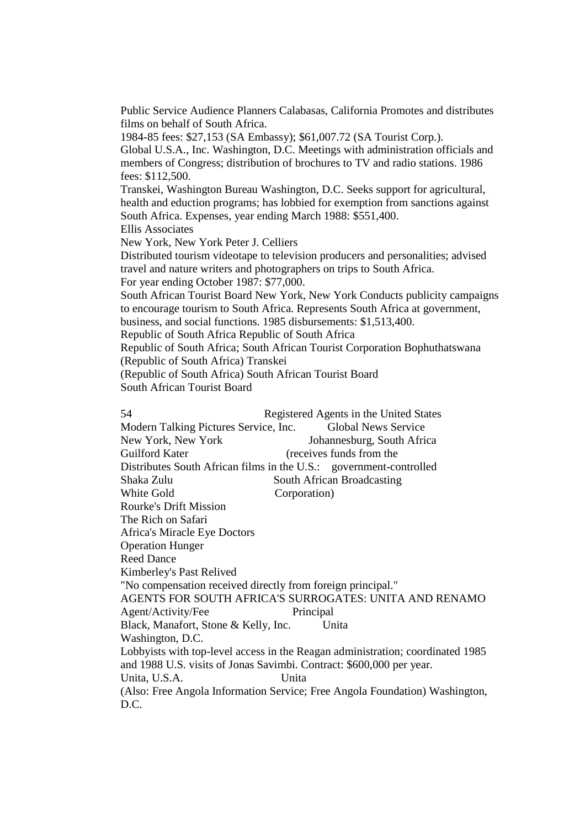Public Service Audience Planners Calabasas, California Promotes and distributes films on behalf of South Africa. 1984-85 fees: \$27,153 (SA Embassy); \$61,007.72 (SA Tourist Corp.). Global U.S.A., Inc. Washington, D.C. Meetings with administration officials and members of Congress; distribution of brochures to TV and radio stations. 1986 fees: \$112,500. Transkei, Washington Bureau Washington, D.C. Seeks support for agricultural, health and eduction programs; has lobbied for exemption from sanctions against South Africa. Expenses, year ending March 1988: \$551,400. Ellis Associates New York, New York Peter J. Celliers Distributed tourism videotape to television producers and personalities; advised travel and nature writers and photographers on trips to South Africa. For year ending October 1987: \$77,000. South African Tourist Board New York, New York Conducts publicity campaigns to encourage tourism to South Africa. Represents South Africa at government, business, and social functions. 1985 disbursements: \$1,513,400. Republic of South Africa Republic of South Africa Republic of South Africa; South African Tourist Corporation Bophuthatswana (Republic of South Africa) Transkei (Republic of South Africa) South African Tourist Board South African Tourist Board

54 Registered Agents in the United States Modern Talking Pictures Service, Inc. Global News Service New York, New York Johannesburg, South Africa Guilford Kater (receives funds from the Distributes South African films in the U.S.: government-controlled Shaka Zulu South African Broadcasting White Gold Corporation Rourke's Drift Mission The Rich on Safari Africa's Miracle Eye Doctors Operation Hunger Reed Dance Kimberley's Past Relived "No compensation received directly from foreign principal." AGENTS FOR SOUTH AFRICA'S SURROGATES: UNITA AND RENAMO Agent/Activity/Fee Principal Black, Manafort, Stone & Kelly, Inc. Unita Washington, D.C. Lobbyists with top-level access in the Reagan administration; coordinated 1985 and 1988 U.S. visits of Jonas Savimbi. Contract: \$600,000 per year. Unita, U.S.A. Unita (Also: Free Angola Information Service; Free Angola Foundation) Washington, D.C.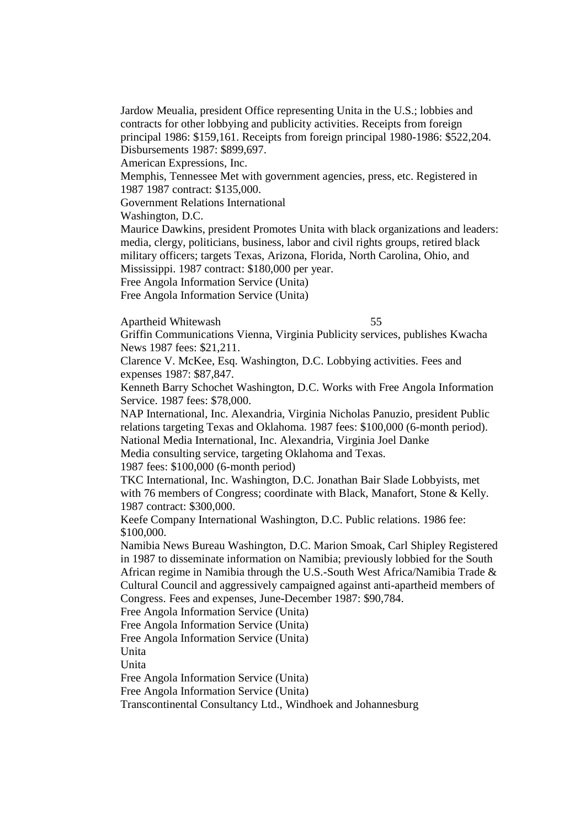Jardow Meualia, president Office representing Unita in the U.S.; lobbies and contracts for other lobbying and publicity activities. Receipts from foreign principal 1986: \$159,161. Receipts from foreign principal 1980-1986: \$522,204. Disbursements 1987: \$899,697.

American Expressions, Inc.

Memphis, Tennessee Met with government agencies, press, etc. Registered in 1987 1987 contract: \$135,000.

Government Relations International

Washington, D.C.

Maurice Dawkins, president Promotes Unita with black organizations and leaders: media, clergy, politicians, business, labor and civil rights groups, retired black military officers; targets Texas, Arizona, Florida, North Carolina, Ohio, and Mississippi. 1987 contract: \$180,000 per year.

Free Angola Information Service (Unita)

Free Angola Information Service (Unita)

Apartheid Whitewash 55

Griffin Communications Vienna, Virginia Publicity services, publishes Kwacha News 1987 fees: \$21,211.

Clarence V. McKee, Esq. Washington, D.C. Lobbying activities. Fees and expenses 1987: \$87,847.

Kenneth Barry Schochet Washington, D.C. Works with Free Angola Information Service. 1987 fees: \$78,000.

NAP International, Inc. Alexandria, Virginia Nicholas Panuzio, president Public relations targeting Texas and Oklahoma. 1987 fees: \$100,000 (6-month period). National Media International, Inc. Alexandria, Virginia Joel Danke

Media consulting service, targeting Oklahoma and Texas.

1987 fees: \$100,000 (6-month period)

TKC International, Inc. Washington, D.C. Jonathan Bair Slade Lobbyists, met with 76 members of Congress; coordinate with Black, Manafort, Stone & Kelly. 1987 contract: \$300,000.

Keefe Company International Washington, D.C. Public relations. 1986 fee: \$100,000.

Namibia News Bureau Washington, D.C. Marion Smoak, Carl Shipley Registered in 1987 to disseminate information on Namibia; previously lobbied for the South African regime in Namibia through the U.S.-South West Africa/Namibia Trade & Cultural Council and aggressively campaigned against anti-apartheid members of Congress. Fees and expenses, June-December 1987: \$90,784.

Free Angola Information Service (Unita)

Free Angola Information Service (Unita)

Free Angola Information Service (Unita)

Unita

Unita

Free Angola Information Service (Unita)

Free Angola Information Service (Unita)

Transcontinental Consultancy Ltd., Windhoek and Johannesburg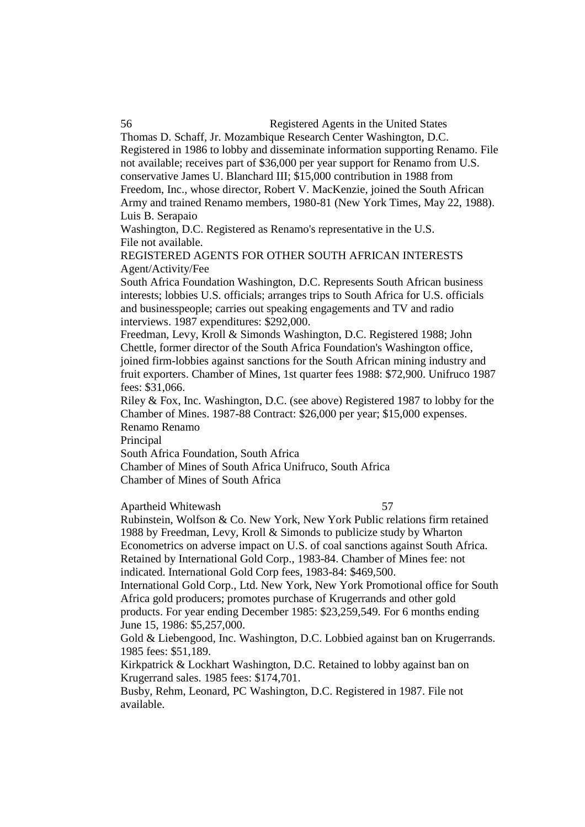# 56 Registered Agents in the United States

Thomas D. Schaff, Jr. Mozambique Research Center Washington, D.C. Registered in 1986 to lobby and disseminate information supporting Renamo. File not available; receives part of \$36,000 per year support for Renamo from U.S. conservative James U. Blanchard III; \$15,000 contribution in 1988 from Freedom, Inc., whose director, Robert V. MacKenzie, joined the South African Army and trained Renamo members, 1980-81 (New York Times, May 22, 1988). Luis B. Serapaio

Washington, D.C. Registered as Renamo's representative in the U.S. File not available.

REGISTERED AGENTS FOR OTHER SOUTH AFRICAN INTERESTS Agent/Activity/Fee

South Africa Foundation Washington, D.C. Represents South African business interests; lobbies U.S. officials; arranges trips to South Africa for U.S. officials and businesspeople; carries out speaking engagements and TV and radio interviews. 1987 expenditures: \$292,000.

Freedman, Levy, Kroll & Simonds Washington, D.C. Registered 1988; John Chettle, former director of the South Africa Foundation's Washington office, joined firm-lobbies against sanctions for the South African mining industry and fruit exporters. Chamber of Mines, 1st quarter fees 1988: \$72,900. Unifruco 1987 fees: \$31,066.

Riley & Fox, Inc. Washington, D.C. (see above) Registered 1987 to lobby for the Chamber of Mines. 1987-88 Contract: \$26,000 per year; \$15,000 expenses. Renamo Renamo

Principal

South Africa Foundation, South Africa

Chamber of Mines of South Africa Unifruco, South Africa Chamber of Mines of South Africa

Apartheid Whitewash 57

Rubinstein, Wolfson & Co. New York, New York Public relations firm retained 1988 by Freedman, Levy, Kroll & Simonds to publicize study by Wharton Econometrics on adverse impact on U.S. of coal sanctions against South Africa. Retained by International Gold Corp., 1983-84. Chamber of Mines fee: not indicated. International Gold Corp fees, 1983-84: \$469,500.

International Gold Corp., Ltd. New York, New York Promotional office for South Africa gold producers; promotes purchase of Krugerrands and other gold products. For year ending December 1985: \$23,259,549. For 6 months ending June 15, 1986: \$5,257,000.

Gold & Liebengood, Inc. Washington, D.C. Lobbied against ban on Krugerrands. 1985 fees: \$51,189.

Kirkpatrick & Lockhart Washington, D.C. Retained to lobby against ban on Krugerrand sales. 1985 fees: \$174,701.

Busby, Rehm, Leonard, PC Washington, D.C. Registered in 1987. File not available.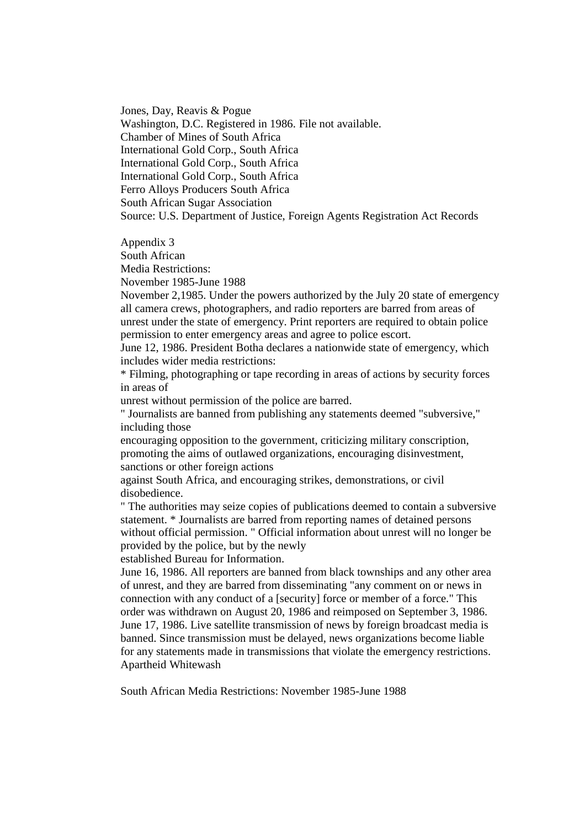Jones, Day, Reavis & Pogue Washington, D.C. Registered in 1986. File not available. Chamber of Mines of South Africa International Gold Corp., South Africa International Gold Corp., South Africa International Gold Corp., South Africa Ferro Alloys Producers South Africa South African Sugar Association Source: U.S. Department of Justice, Foreign Agents Registration Act Records

Appendix 3

South African

Media Restrictions:

November 1985-June 1988

November 2,1985. Under the powers authorized by the July 20 state of emergency all camera crews, photographers, and radio reporters are barred from areas of unrest under the state of emergency. Print reporters are required to obtain police permission to enter emergency areas and agree to police escort.

June 12, 1986. President Botha declares a nationwide state of emergency, which includes wider media restrictions:

\* Filming, photographing or tape recording in areas of actions by security forces in areas of

unrest without permission of the police are barred.

" Journalists are banned from publishing any statements deemed "subversive," including those

encouraging opposition to the government, criticizing military conscription, promoting the aims of outlawed organizations, encouraging disinvestment, sanctions or other foreign actions

against South Africa, and encouraging strikes, demonstrations, or civil disobedience.

" The authorities may seize copies of publications deemed to contain a subversive statement. \* Journalists are barred from reporting names of detained persons without official permission. " Official information about unrest will no longer be provided by the police, but by the newly

established Bureau for Information.

June 16, 1986. All reporters are banned from black townships and any other area of unrest, and they are barred from disseminating "any comment on or news in connection with any conduct of a [security] force or member of a force." This order was withdrawn on August 20, 1986 and reimposed on September 3, 1986. June 17, 1986. Live satellite transmission of news by foreign broadcast media is banned. Since transmission must be delayed, news organizations become liable for any statements made in transmissions that violate the emergency restrictions. Apartheid Whitewash

South African Media Restrictions: November 1985-June 1988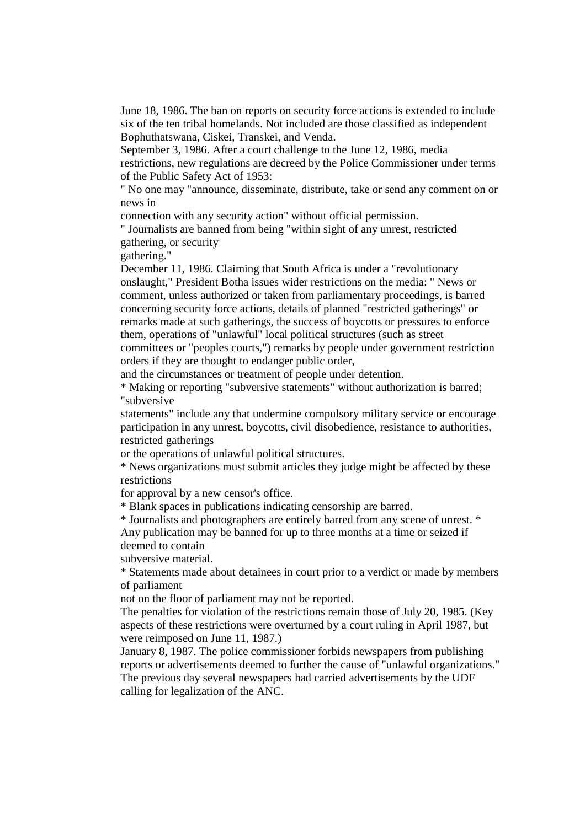June 18, 1986. The ban on reports on security force actions is extended to include six of the ten tribal homelands. Not included are those classified as independent Bophuthatswana, Ciskei, Transkei, and Venda.

September 3, 1986. After a court challenge to the June 12, 1986, media restrictions, new regulations are decreed by the Police Commissioner under terms of the Public Safety Act of 1953:

" No one may "announce, disseminate, distribute, take or send any comment on or news in

connection with any security action" without official permission.

" Journalists are banned from being "within sight of any unrest, restricted gathering, or security

gathering."

December 11, 1986. Claiming that South Africa is under a "revolutionary onslaught," President Botha issues wider restrictions on the media: " News or comment, unless authorized or taken from parliamentary proceedings, is barred concerning security force actions, details of planned "restricted gatherings" or remarks made at such gatherings, the success of boycotts or pressures to enforce them, operations of "unlawful" local political structures (such as street committees or "peoples courts,") remarks by people under government restriction orders if they are thought to endanger public order,

and the circumstances or treatment of people under detention.

\* Making or reporting "subversive statements" without authorization is barred; "subversive

statements" include any that undermine compulsory military service or encourage participation in any unrest, boycotts, civil disobedience, resistance to authorities, restricted gatherings

or the operations of unlawful political structures.

\* News organizations must submit articles they judge might be affected by these restrictions

for approval by a new censor's office.

\* Blank spaces in publications indicating censorship are barred.

\* Journalists and photographers are entirely barred from any scene of unrest. \* Any publication may be banned for up to three months at a time or seized if deemed to contain

subversive material.

\* Statements made about detainees in court prior to a verdict or made by members of parliament

not on the floor of parliament may not be reported.

The penalties for violation of the restrictions remain those of July 20, 1985. (Key aspects of these restrictions were overturned by a court ruling in April 1987, but were reimposed on June 11, 1987.)

January 8, 1987. The police commissioner forbids newspapers from publishing reports or advertisements deemed to further the cause of "unlawful organizations." The previous day several newspapers had carried advertisements by the UDF calling for legalization of the ANC.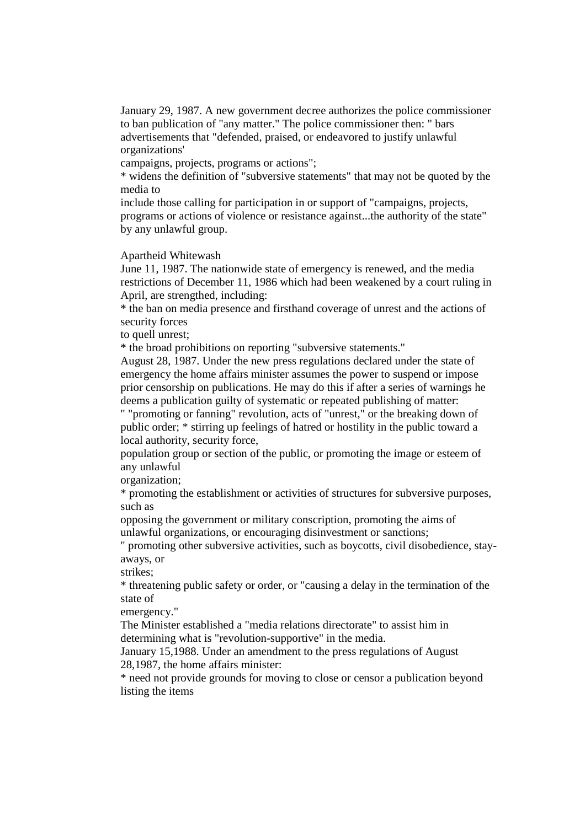January 29, 1987. A new government decree authorizes the police commissioner to ban publication of "any matter." The police commissioner then: " bars advertisements that "defended, praised, or endeavored to justify unlawful organizations'

campaigns, projects, programs or actions";

\* widens the definition of "subversive statements" that may not be quoted by the media to

include those calling for participation in or support of "campaigns, projects, programs or actions of violence or resistance against...the authority of the state" by any unlawful group.

Apartheid Whitewash

June 11, 1987. The nationwide state of emergency is renewed, and the media restrictions of December 11, 1986 which had been weakened by a court ruling in April, are strengthed, including:

\* the ban on media presence and firsthand coverage of unrest and the actions of security forces

to quell unrest;

\* the broad prohibitions on reporting "subversive statements."

August 28, 1987. Under the new press regulations declared under the state of emergency the home affairs minister assumes the power to suspend or impose prior censorship on publications. He may do this if after a series of warnings he deems a publication guilty of systematic or repeated publishing of matter:

" "promoting or fanning" revolution, acts of "unrest," or the breaking down of public order; \* stirring up feelings of hatred or hostility in the public toward a local authority, security force,

population group or section of the public, or promoting the image or esteem of any unlawful

organization;

\* promoting the establishment or activities of structures for subversive purposes, such as

opposing the government or military conscription, promoting the aims of unlawful organizations, or encouraging disinvestment or sanctions;

" promoting other subversive activities, such as boycotts, civil disobedience, stayaways, or

strikes;

\* threatening public safety or order, or "causing a delay in the termination of the state of

emergency."

The Minister established a "media relations directorate" to assist him in determining what is "revolution-supportive" in the media.

January 15,1988. Under an amendment to the press regulations of August 28,1987, the home affairs minister:

\* need not provide grounds for moving to close or censor a publication beyond listing the items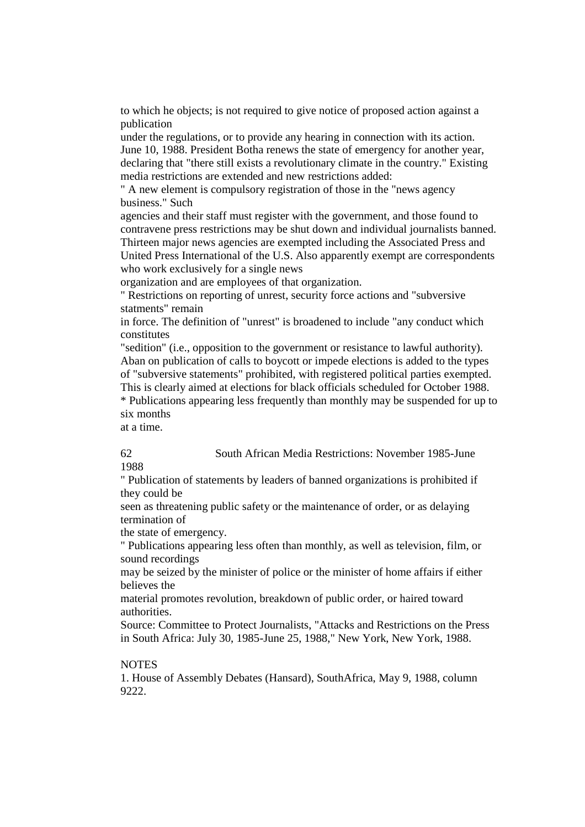to which he objects; is not required to give notice of proposed action against a publication

under the regulations, or to provide any hearing in connection with its action. June 10, 1988. President Botha renews the state of emergency for another year, declaring that "there still exists a revolutionary climate in the country." Existing media restrictions are extended and new restrictions added:

" A new element is compulsory registration of those in the "news agency business." Such

agencies and their staff must register with the government, and those found to contravene press restrictions may be shut down and individual journalists banned. Thirteen major news agencies are exempted including the Associated Press and United Press International of the U.S. Also apparently exempt are correspondents who work exclusively for a single news

organization and are employees of that organization.

" Restrictions on reporting of unrest, security force actions and "subversive statments" remain

in force. The definition of "unrest" is broadened to include "any conduct which constitutes

"sedition" (i.e., opposition to the government or resistance to lawful authority). Aban on publication of calls to boycott or impede elections is added to the types of "subversive statements" prohibited, with registered political parties exempted. This is clearly aimed at elections for black officials scheduled for October 1988. \* Publications appearing less frequently than monthly may be suspended for up to six months

at a time.

62 South African Media Restrictions: November 1985-June 1988

" Publication of statements by leaders of banned organizations is prohibited if they could be

seen as threatening public safety or the maintenance of order, or as delaying termination of

the state of emergency.

" Publications appearing less often than monthly, as well as television, film, or sound recordings

may be seized by the minister of police or the minister of home affairs if either believes the

material promotes revolution, breakdown of public order, or haired toward authorities.

Source: Committee to Protect Journalists, "Attacks and Restrictions on the Press in South Africa: July 30, 1985-June 25, 1988," New York, New York, 1988.

# **NOTES**

1. House of Assembly Debates (Hansard), SouthAfrica, May 9, 1988, column 9222.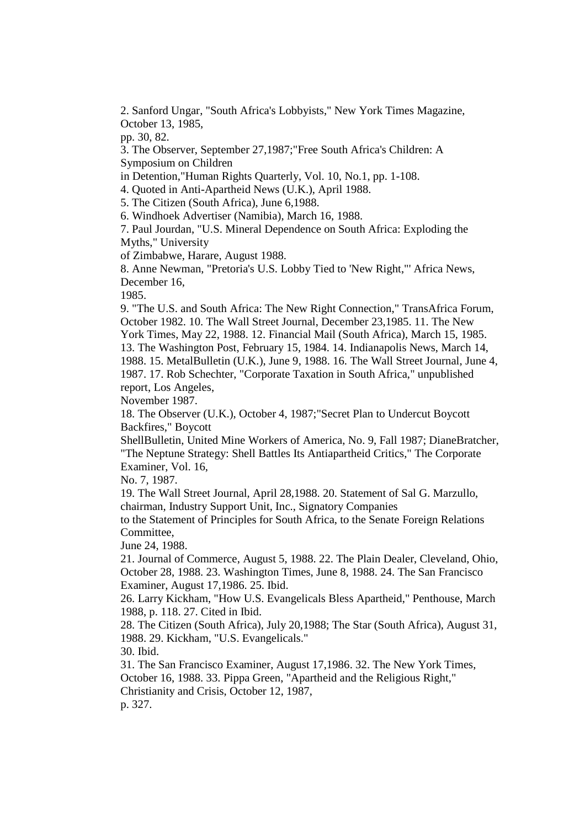2. Sanford Ungar, "South Africa's Lobbyists," New York Times Magazine, October 13, 1985,

pp. 30, 82.

3. The Observer, September 27,1987;"Free South Africa's Children: A Symposium on Children

in Detention,"Human Rights Quarterly, Vol. 10, No.1, pp. 1-108.

4. Quoted in Anti-Apartheid News (U.K.), April 1988.

5. The Citizen (South Africa), June 6,1988.

6. Windhoek Advertiser (Namibia), March 16, 1988.

7. Paul Jourdan, "U.S. Mineral Dependence on South Africa: Exploding the Myths," University

of Zimbabwe, Harare, August 1988.

8. Anne Newman, "Pretoria's U.S. Lobby Tied to 'New Right,"' Africa News, December 16,

1985.

9. "The U.S. and South Africa: The New Right Connection," TransAfrica Forum, October 1982. 10. The Wall Street Journal, December 23,1985. 11. The New York Times, May 22, 1988. 12. Financial Mail (South Africa), March 15, 1985. 13. The Washington Post, February 15, 1984. 14. Indianapolis News, March 14, 1988. 15. MetalBulletin (U.K.), June 9, 1988. 16. The Wall Street Journal, June 4, 1987. 17. Rob Schechter, "Corporate Taxation in South Africa," unpublished report, Los Angeles,

November 1987.

18. The Observer (U.K.), October 4, 1987;"Secret Plan to Undercut Boycott Backfires," Boycott

ShellBulletin, United Mine Workers of America, No. 9, Fall 1987; DianeBratcher, "The Neptune Strategy: Shell Battles Its Antiapartheid Critics," The Corporate Examiner, Vol. 16,

No. 7, 1987.

19. The Wall Street Journal, April 28,1988. 20. Statement of Sal G. Marzullo, chairman, Industry Support Unit, Inc., Signatory Companies

to the Statement of Principles for South Africa, to the Senate Foreign Relations Committee,

June 24, 1988.

21. Journal of Commerce, August 5, 1988. 22. The Plain Dealer, Cleveland, Ohio, October 28, 1988. 23. Washington Times, June 8, 1988. 24. The San Francisco Examiner, August 17,1986. 25. Ibid.

26. Larry Kickham, "How U.S. Evangelicals Bless Apartheid," Penthouse, March 1988, p. 118. 27. Cited in Ibid.

28. The Citizen (South Africa), July 20,1988; The Star (South Africa), August 31, 1988. 29. Kickham, "U.S. Evangelicals."

30. Ibid.

31. The San Francisco Examiner, August 17,1986. 32. The New York Times, October 16, 1988. 33. Pippa Green, "Apartheid and the Religious Right," Christianity and Crisis, October 12, 1987, p. 327.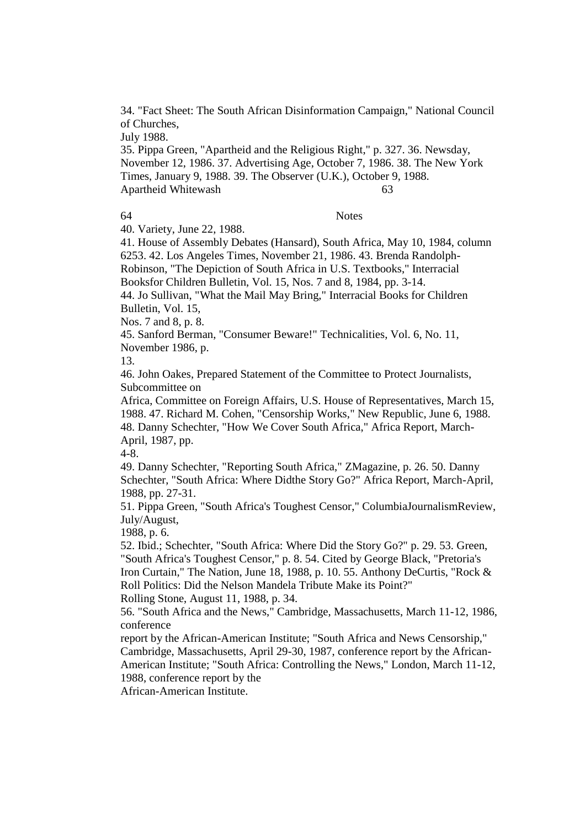34. "Fact Sheet: The South African Disinformation Campaign," National Council of Churches,

July 1988.

35. Pippa Green, "Apartheid and the Religious Right," p. 327. 36. Newsday, November 12, 1986. 37. Advertising Age, October 7, 1986. 38. The New York Times, January 9, 1988. 39. The Observer (U.K.), October 9, 1988. Apartheid Whitewash 63

64 Notes

40. Variety, June 22, 1988.

41. House of Assembly Debates (Hansard), South Africa, May 10, 1984, column 6253. 42. Los Angeles Times, November 21, 1986. 43. Brenda Randolph-Robinson, "The Depiction of South Africa in U.S. Textbooks," Interracial Booksfor Children Bulletin, Vol. 15, Nos. 7 and 8, 1984, pp. 3-14.

44. Jo Sullivan, "What the Mail May Bring," Interracial Books for Children Bulletin, Vol. 15,

Nos. 7 and 8, p. 8.

45. Sanford Berman, "Consumer Beware!" Technicalities, Vol. 6, No. 11, November 1986, p.

13.

46. John Oakes, Prepared Statement of the Committee to Protect Journalists, Subcommittee on

Africa, Committee on Foreign Affairs, U.S. House of Representatives, March 15, 1988. 47. Richard M. Cohen, "Censorship Works," New Republic, June 6, 1988. 48. Danny Schechter, "How We Cover South Africa," Africa Report, March-April, 1987, pp.

4-8.

49. Danny Schechter, "Reporting South Africa," ZMagazine, p. 26. 50. Danny Schechter, "South Africa: Where Didthe Story Go?" Africa Report, March-April, 1988, pp. 27-31.

51. Pippa Green, "South Africa's Toughest Censor," ColumbiaJournalismReview, July/August,

1988, p. 6.

52. Ibid.; Schechter, "South Africa: Where Did the Story Go?" p. 29. 53. Green, "South Africa's Toughest Censor," p. 8. 54. Cited by George Black, "Pretoria's Iron Curtain," The Nation, June 18, 1988, p. 10. 55. Anthony DeCurtis, "Rock & Roll Politics: Did the Nelson Mandela Tribute Make its Point?" Rolling Stone, August 11, 1988, p. 34.

56. "South Africa and the News," Cambridge, Massachusetts, March 11-12, 1986, conference

report by the African-American Institute; "South Africa and News Censorship," Cambridge, Massachusetts, April 29-30, 1987, conference report by the African-American Institute; "South Africa: Controlling the News," London, March 11-12, 1988, conference report by the

African-American Institute.